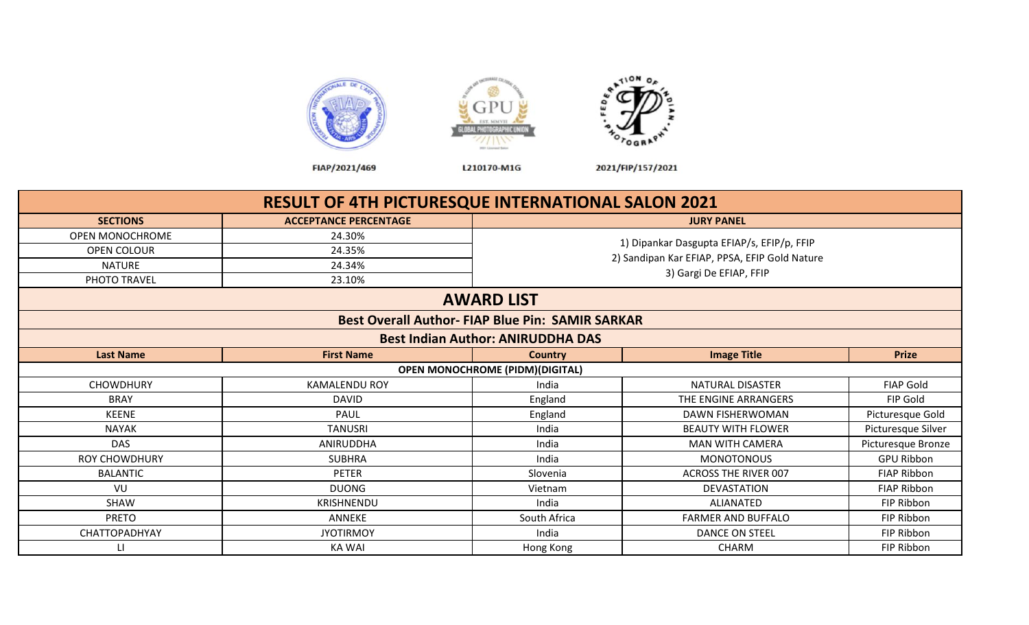



FIAP/2021/469

L210170-M1G

2021/FIP/157/2021

|                      | <b>RESULT OF 4TH PICTURESQUE INTERNATIONAL SALON 2021</b> |                                                         |                                               |                    |  |  |  |  |
|----------------------|-----------------------------------------------------------|---------------------------------------------------------|-----------------------------------------------|--------------------|--|--|--|--|
| <b>SECTIONS</b>      | <b>ACCEPTANCE PERCENTAGE</b>                              |                                                         | <b>JURY PANEL</b>                             |                    |  |  |  |  |
| OPEN MONOCHROME      | 24.30%                                                    |                                                         |                                               |                    |  |  |  |  |
| <b>OPEN COLOUR</b>   | 24.35%                                                    |                                                         | 1) Dipankar Dasgupta EFIAP/s, EFIP/p, FFIP    |                    |  |  |  |  |
| <b>NATURE</b>        | 24.34%                                                    |                                                         | 2) Sandipan Kar EFIAP, PPSA, EFIP Gold Nature |                    |  |  |  |  |
| PHOTO TRAVEL         | 23.10%                                                    |                                                         | 3) Gargi De EFIAP, FFIP                       |                    |  |  |  |  |
|                      |                                                           | <b>AWARD LIST</b>                                       |                                               |                    |  |  |  |  |
|                      |                                                           | <b>Best Overall Author- FIAP Blue Pin: SAMIR SARKAR</b> |                                               |                    |  |  |  |  |
|                      |                                                           | <b>Best Indian Author: ANIRUDDHA DAS</b>                |                                               |                    |  |  |  |  |
| <b>Last Name</b>     | <b>First Name</b>                                         | <b>Country</b>                                          | <b>Image Title</b>                            | <b>Prize</b>       |  |  |  |  |
|                      |                                                           | <b>OPEN MONOCHROME (PIDM)(DIGITAL)</b>                  |                                               |                    |  |  |  |  |
| <b>CHOWDHURY</b>     | <b>KAMALENDU ROY</b>                                      | India                                                   | NATURAL DISASTER                              | <b>FIAP Gold</b>   |  |  |  |  |
| <b>BRAY</b>          | <b>DAVID</b>                                              | England                                                 | THE ENGINE ARRANGERS                          | FIP Gold           |  |  |  |  |
| <b>KEENE</b>         | PAUL                                                      | England                                                 | DAWN FISHERWOMAN                              | Picturesque Gold   |  |  |  |  |
| <b>NAYAK</b>         | <b>TANUSRI</b>                                            | India                                                   | <b>BEAUTY WITH FLOWER</b>                     | Picturesque Silver |  |  |  |  |
| <b>DAS</b>           | ANIRUDDHA                                                 | India                                                   | <b>MAN WITH CAMERA</b>                        | Picturesque Bronze |  |  |  |  |
| <b>ROY CHOWDHURY</b> | <b>SUBHRA</b>                                             | India                                                   | <b>MONOTONOUS</b>                             | <b>GPU Ribbon</b>  |  |  |  |  |
| <b>BALANTIC</b>      | PETER                                                     | Slovenia                                                | <b>ACROSS THE RIVER 007</b>                   | <b>FIAP Ribbon</b> |  |  |  |  |
| VU                   | <b>DUONG</b>                                              | Vietnam                                                 | <b>DEVASTATION</b>                            | <b>FIAP Ribbon</b> |  |  |  |  |
| <b>SHAW</b>          | <b>KRISHNENDU</b>                                         | India                                                   | ALIANATED                                     | FIP Ribbon         |  |  |  |  |
| <b>PRETO</b>         | <b>ANNEKE</b>                                             | South Africa                                            | <b>FARMER AND BUFFALO</b>                     | FIP Ribbon         |  |  |  |  |
| CHATTOPADHYAY        | <b>JYOTIRMOY</b>                                          | India                                                   | <b>DANCE ON STEEL</b>                         | FIP Ribbon         |  |  |  |  |
| $\mathbf{H}$         | KA WAI                                                    | Hong Kong                                               | <b>CHARM</b>                                  | FIP Ribbon         |  |  |  |  |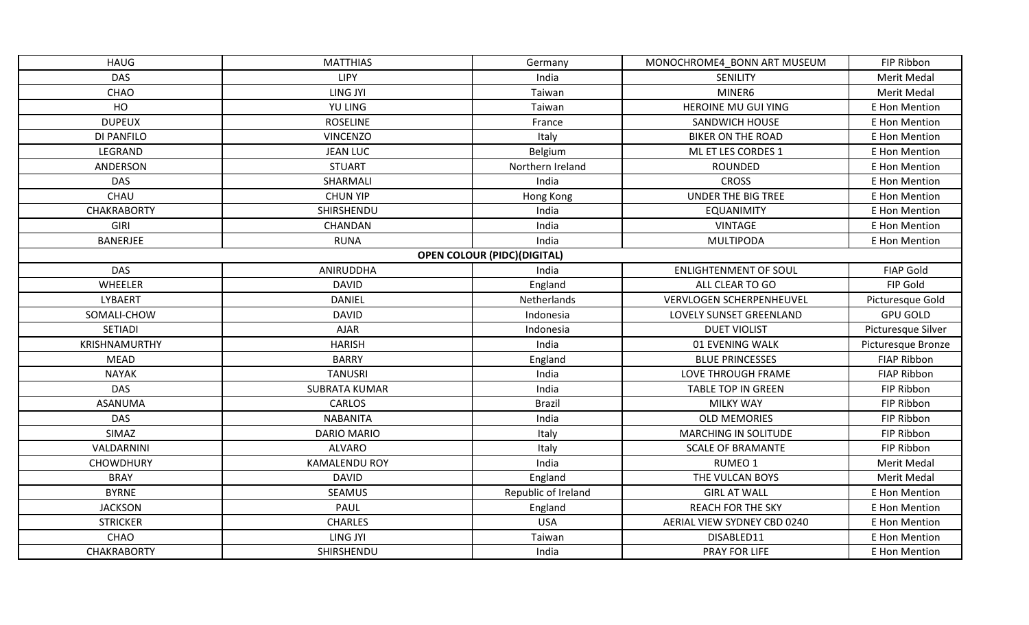| <b>HAUG</b>        | <b>MATTHIAS</b>      | Germany                            | MONOCHROME4 BONN ART MUSEUM  | FIP Ribbon         |
|--------------------|----------------------|------------------------------------|------------------------------|--------------------|
| <b>DAS</b>         | <b>LIPY</b>          | India                              | SENILITY                     | <b>Merit Medal</b> |
| CHAO               | LING JYI             | Taiwan                             | MINER6                       | Merit Medal        |
| HO                 | YU LING              | Taiwan                             | HEROINE MU GUI YING          | E Hon Mention      |
| <b>DUPEUX</b>      | <b>ROSELINE</b>      | France                             | SANDWICH HOUSE               | E Hon Mention      |
| DI PANFILO         | <b>VINCENZO</b>      | Italy                              | <b>BIKER ON THE ROAD</b>     | E Hon Mention      |
| LEGRAND            | <b>JEAN LUC</b>      | Belgium                            | ML ET LES CORDES 1           | E Hon Mention      |
| ANDERSON           | <b>STUART</b>        | Northern Ireland                   | ROUNDED                      | E Hon Mention      |
| <b>DAS</b>         | SHARMALI             | India                              | <b>CROSS</b>                 | E Hon Mention      |
| CHAU               | <b>CHUN YIP</b>      | Hong Kong                          | UNDER THE BIG TREE           | E Hon Mention      |
| <b>CHAKRABORTY</b> | SHIRSHENDU           | India                              | <b>EQUANIMITY</b>            | E Hon Mention      |
| GIRI               | CHANDAN              | India                              | <b>VINTAGE</b>               | E Hon Mention      |
| <b>BANERJEE</b>    | <b>RUNA</b>          | India                              | <b>MULTIPODA</b>             | E Hon Mention      |
|                    |                      | <b>OPEN COLOUR (PIDC)(DIGITAL)</b> |                              |                    |
| DAS                | ANIRUDDHA            | India                              | <b>ENLIGHTENMENT OF SOUL</b> | <b>FIAP Gold</b>   |
| WHEELER            | <b>DAVID</b>         | England                            | ALL CLEAR TO GO              | FIP Gold           |
| LYBAERT            | <b>DANIEL</b>        | Netherlands                        | VERVLOGEN SCHERPENHEUVEL     | Picturesque Gold   |
| SOMALI-CHOW        | <b>DAVID</b>         | Indonesia                          | LOVELY SUNSET GREENLAND      | <b>GPU GOLD</b>    |
| SETIADI            | <b>AJAR</b>          | Indonesia                          | <b>DUET VIOLIST</b>          | Picturesque Silver |
| KRISHNAMURTHY      | <b>HARISH</b>        | India                              | 01 EVENING WALK              | Picturesque Bronze |
| <b>MEAD</b>        | <b>BARRY</b>         | England                            | <b>BLUE PRINCESSES</b>       | <b>FIAP Ribbon</b> |
| <b>NAYAK</b>       | <b>TANUSRI</b>       | India                              | LOVE THROUGH FRAME           | <b>FIAP Ribbon</b> |
| <b>DAS</b>         | <b>SUBRATA KUMAR</b> | India                              | <b>TABLE TOP IN GREEN</b>    | FIP Ribbon         |
| ASANUMA            | <b>CARLOS</b>        | <b>Brazil</b>                      | <b>MILKY WAY</b>             | FIP Ribbon         |
| <b>DAS</b>         | <b>NABANITA</b>      | India                              | <b>OLD MEMORIES</b>          | FIP Ribbon         |
| SIMAZ              | <b>DARIO MARIO</b>   | Italy                              | MARCHING IN SOLITUDE         | FIP Ribbon         |
| VALDARNINI         | <b>ALVARO</b>        | Italy                              | <b>SCALE OF BRAMANTE</b>     | FIP Ribbon         |
| <b>CHOWDHURY</b>   | <b>KAMALENDU ROY</b> | India                              | RUMEO 1                      | Merit Medal        |
| <b>BRAY</b>        | <b>DAVID</b>         | England                            | THE VULCAN BOYS              | Merit Medal        |
| <b>BYRNE</b>       | <b>SEAMUS</b>        | Republic of Ireland                | <b>GIRL AT WALL</b>          | E Hon Mention      |
| <b>JACKSON</b>     | PAUL                 | England                            | <b>REACH FOR THE SKY</b>     | E Hon Mention      |
| <b>STRICKER</b>    | <b>CHARLES</b>       | <b>USA</b>                         | AERIAL VIEW SYDNEY CBD 0240  | E Hon Mention      |
| CHAO               | LING JYI             | Taiwan                             | DISABLED11                   | E Hon Mention      |
| <b>CHAKRABORTY</b> | SHIRSHENDU           | India                              | PRAY FOR LIFE                | E Hon Mention      |
|                    |                      |                                    |                              |                    |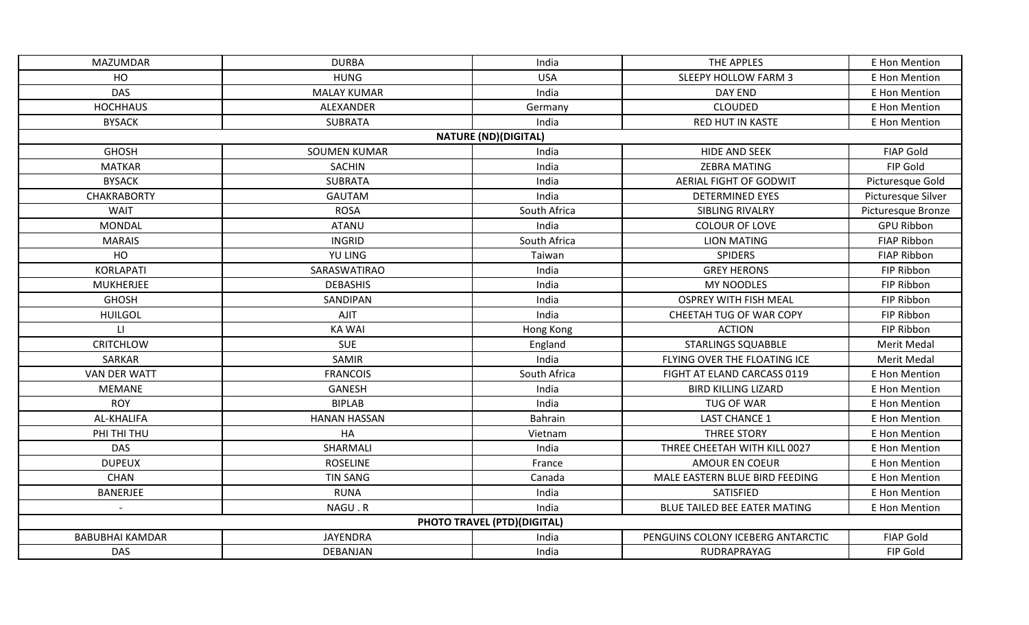| <b>MAZUMDAR</b>        | <b>DURBA</b>        | India                       | THE APPLES                        | E Hon Mention      |
|------------------------|---------------------|-----------------------------|-----------------------------------|--------------------|
| HO                     | <b>HUNG</b>         | <b>USA</b>                  | <b>SLEEPY HOLLOW FARM 3</b>       | E Hon Mention      |
| <b>DAS</b>             | <b>MALAY KUMAR</b>  | India                       | DAY END                           | E Hon Mention      |
| <b>HOCHHAUS</b>        | ALEXANDER           | Germany                     | <b>CLOUDED</b>                    | E Hon Mention      |
| <b>BYSACK</b>          | <b>SUBRATA</b>      | India                       | <b>RED HUT IN KASTE</b>           | E Hon Mention      |
|                        |                     | <b>NATURE (ND)(DIGITAL)</b> |                                   |                    |
| <b>GHOSH</b>           | <b>SOUMEN KUMAR</b> | India                       | <b>HIDE AND SEEK</b>              | <b>FIAP Gold</b>   |
| <b>MATKAR</b>          | SACHIN              | India                       | <b>ZEBRA MATING</b>               | FIP Gold           |
| <b>BYSACK</b>          | <b>SUBRATA</b>      | India                       | AERIAL FIGHT OF GODWIT            | Picturesque Gold   |
| <b>CHAKRABORTY</b>     | <b>GAUTAM</b>       | India                       | <b>DETERMINED EYES</b>            | Picturesque Silver |
| WAIT                   | <b>ROSA</b>         | South Africa                | SIBLING RIVALRY                   | Picturesque Bronze |
| <b>MONDAL</b>          | <b>ATANU</b>        | India                       | <b>COLOUR OF LOVE</b>             | <b>GPU Ribbon</b>  |
| <b>MARAIS</b>          | <b>INGRID</b>       | South Africa                | <b>LION MATING</b>                | <b>FIAP Ribbon</b> |
| HO                     | YU LING             | Taiwan                      | <b>SPIDERS</b>                    | <b>FIAP Ribbon</b> |
| <b>KORLAPATI</b>       | SARASWATIRAO        | India                       | <b>GREY HERONS</b>                | FIP Ribbon         |
| <b>MUKHERJEE</b>       | <b>DEBASHIS</b>     | India                       | <b>MY NOODLES</b>                 | FIP Ribbon         |
| <b>GHOSH</b>           | SANDIPAN            | India                       | <b>OSPREY WITH FISH MEAL</b>      | FIP Ribbon         |
| <b>HUILGOL</b>         | <b>AJIT</b>         | India                       | CHEETAH TUG OF WAR COPY           | FIP Ribbon         |
| $\mathsf{L}\mathsf{I}$ | <b>KA WAI</b>       | Hong Kong                   | <b>ACTION</b>                     | FIP Ribbon         |
| <b>CRITCHLOW</b>       | <b>SUE</b>          | England                     | <b>STARLINGS SQUABBLE</b>         | Merit Medal        |
| SARKAR                 | <b>SAMIR</b>        | India                       | FLYING OVER THE FLOATING ICE      | Merit Medal        |
| <b>VAN DER WATT</b>    | <b>FRANCOIS</b>     | South Africa                | FIGHT AT ELAND CARCASS 0119       | E Hon Mention      |
| <b>MEMANE</b>          | <b>GANESH</b>       | India                       | <b>BIRD KILLING LIZARD</b>        | E Hon Mention      |
| <b>ROY</b>             | <b>BIPLAB</b>       | India                       | TUG OF WAR                        | E Hon Mention      |
| AL-KHALIFA             | <b>HANAN HASSAN</b> | Bahrain                     | <b>LAST CHANCE 1</b>              | E Hon Mention      |
| PHI THI THU            | HA                  | Vietnam                     | <b>THREE STORY</b>                | E Hon Mention      |
| <b>DAS</b>             | SHARMALI            | India                       | THREE CHEETAH WITH KILL 0027      | E Hon Mention      |
| <b>DUPEUX</b>          | <b>ROSELINE</b>     | France                      | <b>AMOUR EN COEUR</b>             | E Hon Mention      |
| <b>CHAN</b>            | <b>TIN SANG</b>     | Canada                      | MALE EASTERN BLUE BIRD FEEDING    | E Hon Mention      |
| <b>BANERJEE</b>        | <b>RUNA</b>         | India                       | SATISFIED                         | E Hon Mention      |
|                        | NAGU.R              | India                       | BLUE TAILED BEE EATER MATING      | E Hon Mention      |
|                        |                     | PHOTO TRAVEL (PTD)(DIGITAL) |                                   |                    |
| <b>BABUBHAI KAMDAR</b> | <b>JAYENDRA</b>     | India                       | PENGUINS COLONY ICEBERG ANTARCTIC | <b>FIAP Gold</b>   |
| DAS                    | DEBANJAN            | India                       | RUDRAPRAYAG                       | FIP Gold           |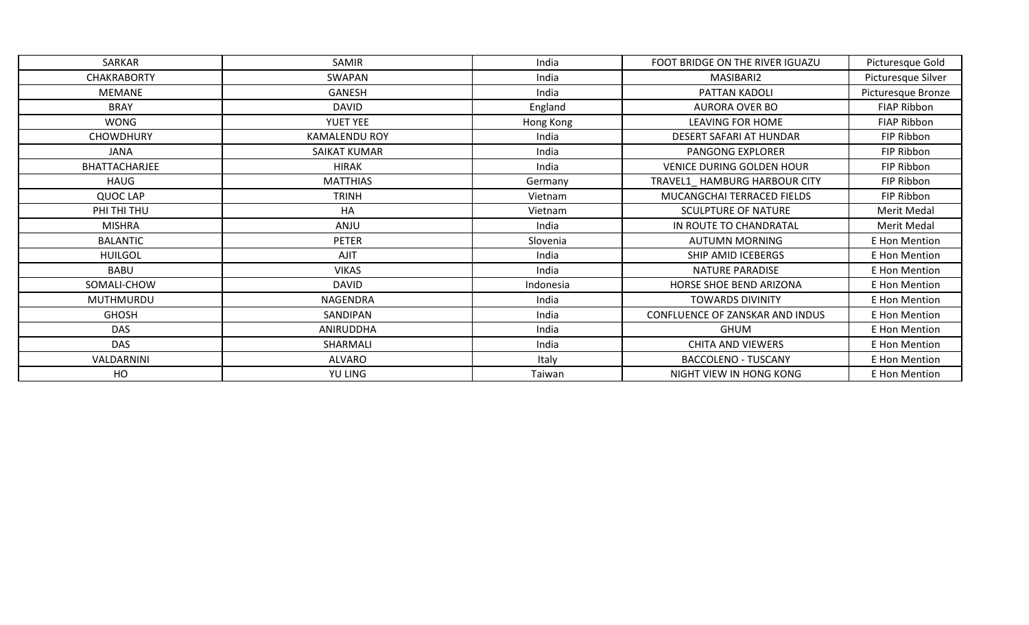| SARKAR             | SAMIR                | India     | FOOT BRIDGE ON THE RIVER IGUAZU  | Picturesque Gold   |
|--------------------|----------------------|-----------|----------------------------------|--------------------|
| <b>CHAKRABORTY</b> | SWAPAN               | India     | MASIBARI2                        | Picturesque Silver |
| <b>MEMANE</b>      | GANESH               | India     | PATTAN KADOLI                    | Picturesque Bronze |
| <b>BRAY</b>        | <b>DAVID</b>         | England   | <b>AURORA OVER BO</b>            | FIAP Ribbon        |
| WONG               | <b>YUET YEE</b>      | Hong Kong | LEAVING FOR HOME                 | FIAP Ribbon        |
| <b>CHOWDHURY</b>   | <b>KAMALENDU ROY</b> | India     | DESERT SAFARI AT HUNDAR          | FIP Ribbon         |
| JANA               | SAIKAT KUMAR         | India     | PANGONG EXPLORER                 | FIP Ribbon         |
| BHATTACHARJEE      | <b>HIRAK</b>         | India     | <b>VENICE DURING GOLDEN HOUR</b> | FIP Ribbon         |
| HAUG               | <b>MATTHIAS</b>      | Germany   | TRAVEL1_HAMBURG HARBOUR CITY     | FIP Ribbon         |
| QUOC LAP           | <b>TRINH</b>         | Vietnam   | MUCANGCHAI TERRACED FIELDS       | FIP Ribbon         |
| PHI THI THU        | HA                   | Vietnam   | <b>SCULPTURE OF NATURE</b>       | Merit Medal        |
| <b>MISHRA</b>      | ANJU                 | India     | IN ROUTE TO CHANDRATAL           | Merit Medal        |
| <b>BALANTIC</b>    | <b>PETER</b>         | Slovenia  | <b>AUTUMN MORNING</b>            | E Hon Mention      |
| <b>HUILGOL</b>     | <b>AJIT</b>          | India     | SHIP AMID ICEBERGS               | E Hon Mention      |
| <b>BABU</b>        | <b>VIKAS</b>         | India     | <b>NATURE PARADISE</b>           | E Hon Mention      |
| SOMALI-CHOW        | <b>DAVID</b>         | Indonesia | HORSE SHOE BEND ARIZONA          | E Hon Mention      |
| MUTHMURDU          | NAGENDRA             | India     | <b>TOWARDS DIVINITY</b>          | E Hon Mention      |
| <b>GHOSH</b>       | SANDIPAN             | India     | CONFLUENCE OF ZANSKAR AND INDUS  | E Hon Mention      |
| <b>DAS</b>         | ANIRUDDHA            | India     | <b>GHUM</b>                      | E Hon Mention      |
| <b>DAS</b>         | SHARMALI             | India     | CHITA AND VIEWERS                | E Hon Mention      |
| VALDARNINI         | ALVARO               | Italy     | <b>BACCOLENO - TUSCANY</b>       | E Hon Mention      |
| HO                 | YU LING              | Taiwan    | NIGHT VIEW IN HONG KONG          | E Hon Mention      |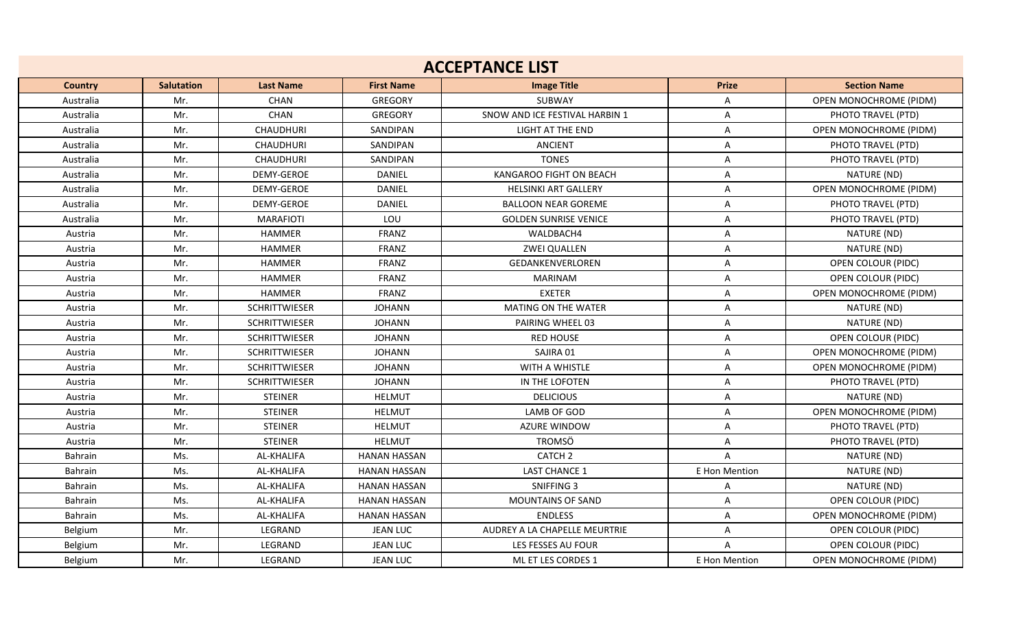| <b>ACCEPTANCE LIST</b> |                   |                      |                     |                                |               |                               |  |  |  |
|------------------------|-------------------|----------------------|---------------------|--------------------------------|---------------|-------------------------------|--|--|--|
| <b>Country</b>         | <b>Salutation</b> | <b>Last Name</b>     | <b>First Name</b>   | <b>Image Title</b>             | <b>Prize</b>  | <b>Section Name</b>           |  |  |  |
| Australia              | Mr.               | <b>CHAN</b>          | GREGORY             | SUBWAY                         | Α             | OPEN MONOCHROME (PIDM)        |  |  |  |
| Australia              | Mr.               | <b>CHAN</b>          | <b>GREGORY</b>      | SNOW AND ICE FESTIVAL HARBIN 1 | Α             | PHOTO TRAVEL (PTD)            |  |  |  |
| Australia              | Mr.               | <b>CHAUDHURI</b>     | SANDIPAN            | <b>LIGHT AT THE END</b>        | A             | OPEN MONOCHROME (PIDM)        |  |  |  |
| Australia              | Mr.               | CHAUDHURI            | SANDIPAN            | <b>ANCIENT</b>                 | Α             | PHOTO TRAVEL (PTD)            |  |  |  |
| Australia              | Mr.               | <b>CHAUDHURI</b>     | SANDIPAN            | <b>TONES</b>                   | A             | PHOTO TRAVEL (PTD)            |  |  |  |
| Australia              | Mr.               | DEMY-GEROE           | <b>DANIEL</b>       | KANGAROO FIGHT ON BEACH        | A             | NATURE (ND)                   |  |  |  |
| Australia              | Mr.               | <b>DEMY-GEROE</b>    | DANIEL              | <b>HELSINKI ART GALLERY</b>    | Α             | OPEN MONOCHROME (PIDM)        |  |  |  |
| Australia              | Mr.               | DEMY-GEROE           | DANIEL              | <b>BALLOON NEAR GOREME</b>     | A             | PHOTO TRAVEL (PTD)            |  |  |  |
| Australia              | Mr.               | <b>MARAFIOTI</b>     | LOU                 | <b>GOLDEN SUNRISE VENICE</b>   | A             | PHOTO TRAVEL (PTD)            |  |  |  |
| Austria                | Mr.               | <b>HAMMER</b>        | <b>FRANZ</b>        | WALDBACH4                      | Α             | NATURE (ND)                   |  |  |  |
| Austria                | Mr.               | <b>HAMMER</b>        | <b>FRANZ</b>        | <b>ZWEI QUALLEN</b>            | Α             | NATURE (ND)                   |  |  |  |
| Austria                | Mr.               | <b>HAMMER</b>        | <b>FRANZ</b>        | <b>GEDANKENVERLOREN</b>        | Α             | OPEN COLOUR (PIDC)            |  |  |  |
| Austria                | Mr.               | <b>HAMMER</b>        | <b>FRANZ</b>        | <b>MARINAM</b>                 | A             | OPEN COLOUR (PIDC)            |  |  |  |
| Austria                | Mr.               | <b>HAMMER</b>        | <b>FRANZ</b>        | <b>EXETER</b>                  | Α             | OPEN MONOCHROME (PIDM)        |  |  |  |
| Austria                | Mr.               | <b>SCHRITTWIESER</b> | <b>JOHANN</b>       | MATING ON THE WATER            | A             | NATURE (ND)                   |  |  |  |
| Austria                | Mr.               | <b>SCHRITTWIESER</b> | <b>JOHANN</b>       | PAIRING WHEEL 03               | A             | NATURE (ND)                   |  |  |  |
| Austria                | Mr.               | <b>SCHRITTWIESER</b> | <b>JOHANN</b>       | <b>RED HOUSE</b>               | Α             | OPEN COLOUR (PIDC)            |  |  |  |
| Austria                | Mr.               | <b>SCHRITTWIESER</b> | <b>JOHANN</b>       | SAJIRA 01                      | Α             | OPEN MONOCHROME (PIDM)        |  |  |  |
| Austria                | Mr.               | <b>SCHRITTWIESER</b> | <b>JOHANN</b>       | <b>WITH A WHISTLE</b>          | Α             | <b>OPEN MONOCHROME (PIDM)</b> |  |  |  |
| Austria                | Mr.               | <b>SCHRITTWIESER</b> | <b>JOHANN</b>       | IN THE LOFOTEN                 | Α             | PHOTO TRAVEL (PTD)            |  |  |  |
| Austria                | Mr.               | <b>STEINER</b>       | <b>HELMUT</b>       | <b>DELICIOUS</b>               | Α             | NATURE (ND)                   |  |  |  |
| Austria                | Mr.               | <b>STEINER</b>       | <b>HELMUT</b>       | LAMB OF GOD                    | Α             | OPEN MONOCHROME (PIDM)        |  |  |  |
| Austria                | Mr.               | <b>STEINER</b>       | <b>HELMUT</b>       | <b>AZURE WINDOW</b>            | A             | PHOTO TRAVEL (PTD)            |  |  |  |
| Austria                | Mr.               | <b>STEINER</b>       | <b>HELMUT</b>       | <b>TROMSÖ</b>                  | Α             | PHOTO TRAVEL (PTD)            |  |  |  |
| Bahrain                | Ms.               | AL-KHALIFA           | <b>HANAN HASSAN</b> | CATCH <sub>2</sub>             | A             | NATURE (ND)                   |  |  |  |
| Bahrain                | Ms.               | <b>AL-KHALIFA</b>    | <b>HANAN HASSAN</b> | <b>LAST CHANCE 1</b>           | E Hon Mention | NATURE (ND)                   |  |  |  |
| Bahrain                | Ms.               | AL-KHALIFA           | <b>HANAN HASSAN</b> | SNIFFING 3                     | Α             | NATURE (ND)                   |  |  |  |
| Bahrain                | Ms.               | AL-KHALIFA           | <b>HANAN HASSAN</b> | <b>MOUNTAINS OF SAND</b>       | Α             | OPEN COLOUR (PIDC)            |  |  |  |
| Bahrain                | Ms.               | AL-KHALIFA           | <b>HANAN HASSAN</b> | <b>ENDLESS</b>                 | A             | OPEN MONOCHROME (PIDM)        |  |  |  |
| Belgium                | Mr.               | LEGRAND              | <b>JEAN LUC</b>     | AUDREY A LA CHAPELLE MEURTRIE  | A             | <b>OPEN COLOUR (PIDC)</b>     |  |  |  |
| Belgium                | Mr.               | LEGRAND              | <b>JEAN LUC</b>     | LES FESSES AU FOUR             | A             | OPEN COLOUR (PIDC)            |  |  |  |
| Belgium                | Mr.               | LEGRAND              | <b>JEAN LUC</b>     | ML ET LES CORDES 1             | E Hon Mention | <b>OPEN MONOCHROME (PIDM)</b> |  |  |  |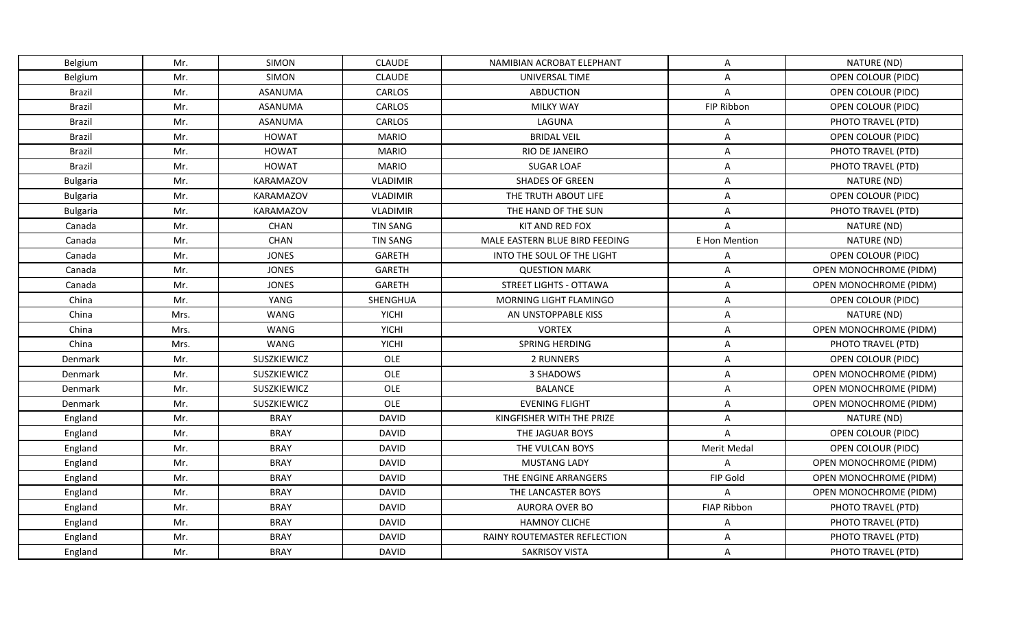| Belgium         | Mr.  | <b>SIMON</b>     | <b>CLAUDE</b>   | NAMIBIAN ACROBAT ELEPHANT      | A                  | NATURE (ND)                   |
|-----------------|------|------------------|-----------------|--------------------------------|--------------------|-------------------------------|
| Belgium         | Mr.  | <b>SIMON</b>     | <b>CLAUDE</b>   | UNIVERSAL TIME                 | A                  | OPEN COLOUR (PIDC)            |
| <b>Brazil</b>   | Mr.  | <b>ASANUMA</b>   | CARLOS          | <b>ABDUCTION</b>               | $\overline{A}$     | <b>OPEN COLOUR (PIDC)</b>     |
| <b>Brazil</b>   | Mr.  | <b>ASANUMA</b>   | CARLOS          | <b>MILKY WAY</b>               | FIP Ribbon         | OPEN COLOUR (PIDC)            |
| Brazil          | Mr.  | <b>ASANUMA</b>   | CARLOS          | LAGUNA                         | A                  | PHOTO TRAVEL (PTD)            |
| <b>Brazil</b>   | Mr.  | <b>HOWAT</b>     | <b>MARIO</b>    | <b>BRIDAL VEIL</b>             | A                  | OPEN COLOUR (PIDC)            |
| <b>Brazil</b>   | Mr.  | <b>HOWAT</b>     | <b>MARIO</b>    | RIO DE JANEIRO                 | A                  | PHOTO TRAVEL (PTD)            |
| Brazil          | Mr.  | <b>HOWAT</b>     | <b>MARIO</b>    | <b>SUGAR LOAF</b>              | A                  | PHOTO TRAVEL (PTD)            |
| <b>Bulgaria</b> | Mr.  | KARAMAZOV        | <b>VLADIMIR</b> | <b>SHADES OF GREEN</b>         | A                  | NATURE (ND)                   |
| <b>Bulgaria</b> | Mr.  | <b>KARAMAZOV</b> | <b>VLADIMIR</b> | THE TRUTH ABOUT LIFE           | Α                  | OPEN COLOUR (PIDC)            |
| <b>Bulgaria</b> | Mr.  | KARAMAZOV        | <b>VLADIMIR</b> | THE HAND OF THE SUN            | A                  | PHOTO TRAVEL (PTD)            |
| Canada          | Mr.  | <b>CHAN</b>      | <b>TIN SANG</b> | KIT AND RED FOX                | A                  | NATURE (ND)                   |
| Canada          | Mr.  | <b>CHAN</b>      | <b>TIN SANG</b> | MALE EASTERN BLUE BIRD FEEDING | E Hon Mention      | NATURE (ND)                   |
| Canada          | Mr.  | <b>JONES</b>     | GARETH          | INTO THE SOUL OF THE LIGHT     | Α                  | OPEN COLOUR (PIDC)            |
| Canada          | Mr.  | <b>JONES</b>     | <b>GARETH</b>   | <b>QUESTION MARK</b>           | A                  | OPEN MONOCHROME (PIDM)        |
| Canada          | Mr.  | JONES            | GARETH          | <b>STREET LIGHTS - OTTAWA</b>  | Α                  | OPEN MONOCHROME (PIDM)        |
| China           | Mr.  | YANG             | SHENGHUA        | <b>MORNING LIGHT FLAMINGO</b>  | A                  | OPEN COLOUR (PIDC)            |
| China           | Mrs. | WANG             | <b>YICHI</b>    | AN UNSTOPPABLE KISS            | A                  | NATURE (ND)                   |
| China           | Mrs. | WANG             | <b>YICHI</b>    | <b>VORTEX</b>                  | Α                  | OPEN MONOCHROME (PIDM)        |
| China           | Mrs. | WANG             | <b>YICHI</b>    | SPRING HERDING                 | A                  | PHOTO TRAVEL (PTD)            |
| Denmark         | Mr.  | SUSZKIEWICZ      | OLE             | 2 RUNNERS                      | Α                  | OPEN COLOUR (PIDC)            |
| Denmark         | Mr.  | SUSZKIEWICZ      | OLE             | 3 SHADOWS                      | A                  | OPEN MONOCHROME (PIDM)        |
| Denmark         | Mr.  | SUSZKIEWICZ      | OLE             | <b>BALANCE</b>                 | A                  | OPEN MONOCHROME (PIDM)        |
| Denmark         | Mr.  | SUSZKIEWICZ      | OLE             | <b>EVENING FLIGHT</b>          | A                  | OPEN MONOCHROME (PIDM)        |
| England         | Mr.  | <b>BRAY</b>      | <b>DAVID</b>    | KINGFISHER WITH THE PRIZE      | Α                  | NATURE (ND)                   |
| England         | Mr.  | <b>BRAY</b>      | <b>DAVID</b>    | THE JAGUAR BOYS                | $\overline{A}$     | OPEN COLOUR (PIDC)            |
| England         | Mr.  | <b>BRAY</b>      | <b>DAVID</b>    | THE VULCAN BOYS                | Merit Medal        | OPEN COLOUR (PIDC)            |
| England         | Mr.  | <b>BRAY</b>      | <b>DAVID</b>    | <b>MUSTANG LADY</b>            | $\overline{A}$     | <b>OPEN MONOCHROME (PIDM)</b> |
| England         | Mr.  | <b>BRAY</b>      | <b>DAVID</b>    | THE ENGINE ARRANGERS           | FIP Gold           | OPEN MONOCHROME (PIDM)        |
| England         | Mr.  | <b>BRAY</b>      | <b>DAVID</b>    | THE LANCASTER BOYS             | A                  | OPEN MONOCHROME (PIDM)        |
| England         | Mr.  | <b>BRAY</b>      | <b>DAVID</b>    | AURORA OVER BO                 | <b>FIAP Ribbon</b> | PHOTO TRAVEL (PTD)            |
| England         | Mr.  | <b>BRAY</b>      | <b>DAVID</b>    | <b>HAMNOY CLICHE</b>           | Α                  | PHOTO TRAVEL (PTD)            |
| England         | Mr.  | <b>BRAY</b>      | <b>DAVID</b>    | RAINY ROUTEMASTER REFLECTION   | A                  | PHOTO TRAVEL (PTD)            |
| England         | Mr.  | <b>BRAY</b>      | <b>DAVID</b>    | <b>SAKRISOY VISTA</b>          | Α                  | PHOTO TRAVEL (PTD)            |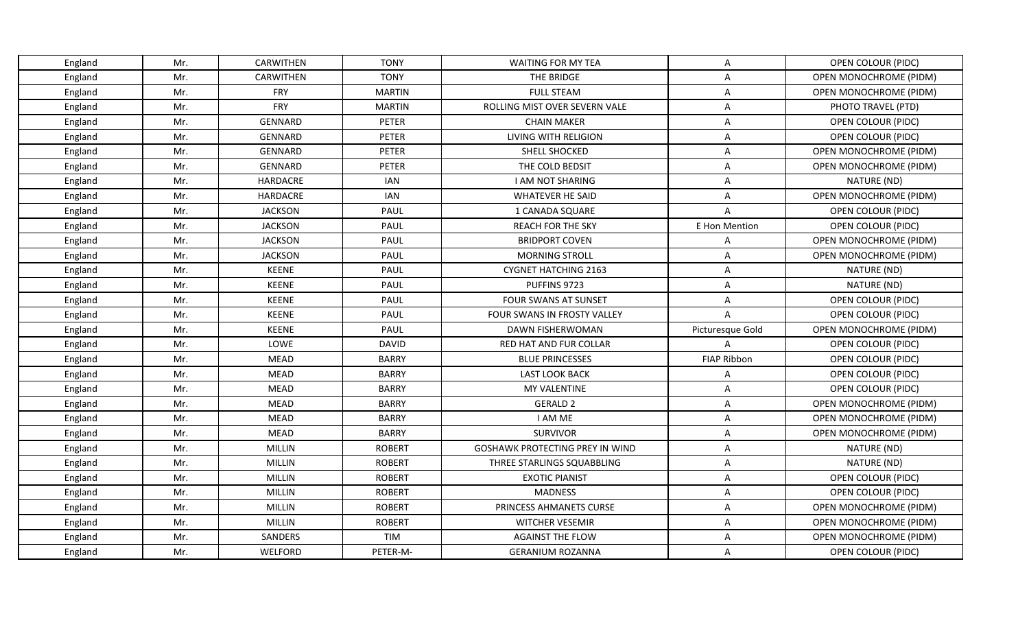| England | Mr. | CARWITHEN      | <b>TONY</b>   | <b>WAITING FOR MY TEA</b>              | A                  | OPEN COLOUR (PIDC)     |
|---------|-----|----------------|---------------|----------------------------------------|--------------------|------------------------|
| England | Mr. | CARWITHEN      | <b>TONY</b>   | THE BRIDGE                             | A                  | OPEN MONOCHROME (PIDM) |
| England | Mr. | <b>FRY</b>     | <b>MARTIN</b> | <b>FULL STEAM</b>                      | Α                  | OPEN MONOCHROME (PIDM) |
| England | Mr. | FRY            | <b>MARTIN</b> | ROLLING MIST OVER SEVERN VALE          | A                  | PHOTO TRAVEL (PTD)     |
| England | Mr. | <b>GENNARD</b> | PETER         | <b>CHAIN MAKER</b>                     | A                  | OPEN COLOUR (PIDC)     |
| England | Mr. | GENNARD        | PETER         | LIVING WITH RELIGION                   | A                  | OPEN COLOUR (PIDC)     |
| England | Mr. | GENNARD        | PETER         | SHELL SHOCKED                          | A                  | OPEN MONOCHROME (PIDM) |
| England | Mr. | <b>GENNARD</b> | PETER         | THE COLD BEDSIT                        | A                  | OPEN MONOCHROME (PIDM) |
| England | Mr. | HARDACRE       | <b>IAN</b>    | <b>I AM NOT SHARING</b>                | A                  | NATURE (ND)            |
| England | Mr. | HARDACRE       | <b>IAN</b>    | <b>WHATEVER HE SAID</b>                | A                  | OPEN MONOCHROME (PIDM) |
| England | Mr. | <b>JACKSON</b> | PAUL          | 1 CANADA SQUARE                        | A                  | OPEN COLOUR (PIDC)     |
| England | Mr. | <b>JACKSON</b> | PAUL          | <b>REACH FOR THE SKY</b>               | E Hon Mention      | OPEN COLOUR (PIDC)     |
| England | Mr. | <b>JACKSON</b> | PAUL          | <b>BRIDPORT COVEN</b>                  | $\mathsf{A}$       | OPEN MONOCHROME (PIDM) |
| England | Mr. | <b>JACKSON</b> | PAUL          | <b>MORNING STROLL</b>                  | A                  | OPEN MONOCHROME (PIDM) |
| England | Mr. | <b>KEENE</b>   | <b>PAUL</b>   | <b>CYGNET HATCHING 2163</b>            | A                  | NATURE (ND)            |
| England | Mr. | <b>KEENE</b>   | PAUL          | PUFFINS 9723                           | A                  | NATURE (ND)            |
| England | Mr. | <b>KEENE</b>   | PAUL          | <b>FOUR SWANS AT SUNSET</b>            | A                  | OPEN COLOUR (PIDC)     |
| England | Mr. | <b>KEENE</b>   | PAUL          | FOUR SWANS IN FROSTY VALLEY            | A                  | OPEN COLOUR (PIDC)     |
| England | Mr. | <b>KEENE</b>   | <b>PAUL</b>   | DAWN FISHERWOMAN                       | Picturesque Gold   | OPEN MONOCHROME (PIDM) |
| England | Mr. | LOWE           | <b>DAVID</b>  | RED HAT AND FUR COLLAR                 | A                  | OPEN COLOUR (PIDC)     |
| England | Mr. | <b>MEAD</b>    | <b>BARRY</b>  | <b>BLUE PRINCESSES</b>                 | <b>FIAP Ribbon</b> | OPEN COLOUR (PIDC)     |
| England | Mr. | <b>MEAD</b>    | <b>BARRY</b>  | <b>LAST LOOK BACK</b>                  | Α                  | OPEN COLOUR (PIDC)     |
| England | Mr. | <b>MEAD</b>    | <b>BARRY</b>  | MY VALENTINE                           | $\mathsf{A}$       | OPEN COLOUR (PIDC)     |
| England | Mr. | <b>MEAD</b>    | <b>BARRY</b>  | <b>GERALD 2</b>                        | A                  | OPEN MONOCHROME (PIDM) |
| England | Mr. | MEAD           | <b>BARRY</b>  | I AM ME                                | Α                  | OPEN MONOCHROME (PIDM) |
| England | Mr. | <b>MEAD</b>    | <b>BARRY</b>  | <b>SURVIVOR</b>                        | A                  | OPEN MONOCHROME (PIDM) |
| England | Mr. | MILLIN         | <b>ROBERT</b> | <b>GOSHAWK PROTECTING PREY IN WIND</b> | $\mathsf{A}$       | NATURE (ND)            |
| England | Mr. | MILLIN         | <b>ROBERT</b> | THREE STARLINGS SQUABBLING             | A                  | NATURE (ND)            |
| England | Mr. | MILLIN         | <b>ROBERT</b> | <b>EXOTIC PIANIST</b>                  | $\mathsf{A}$       | OPEN COLOUR (PIDC)     |
| England | Mr. | <b>MILLIN</b>  | <b>ROBERT</b> | <b>MADNESS</b>                         | A                  | OPEN COLOUR (PIDC)     |
| England | Mr. | MILLIN         | <b>ROBERT</b> | PRINCESS AHMANETS CURSE                | A                  | OPEN MONOCHROME (PIDM) |
| England | Mr. | <b>MILLIN</b>  | <b>ROBERT</b> | <b>WITCHER VESEMIR</b>                 | A                  | OPEN MONOCHROME (PIDM) |
| England | Mr. | SANDERS        | <b>TIM</b>    | <b>AGAINST THE FLOW</b>                | A                  | OPEN MONOCHROME (PIDM) |
| England | Mr. | WELFORD        | PETER-M-      | <b>GERANIUM ROZANNA</b>                | A                  | OPEN COLOUR (PIDC)     |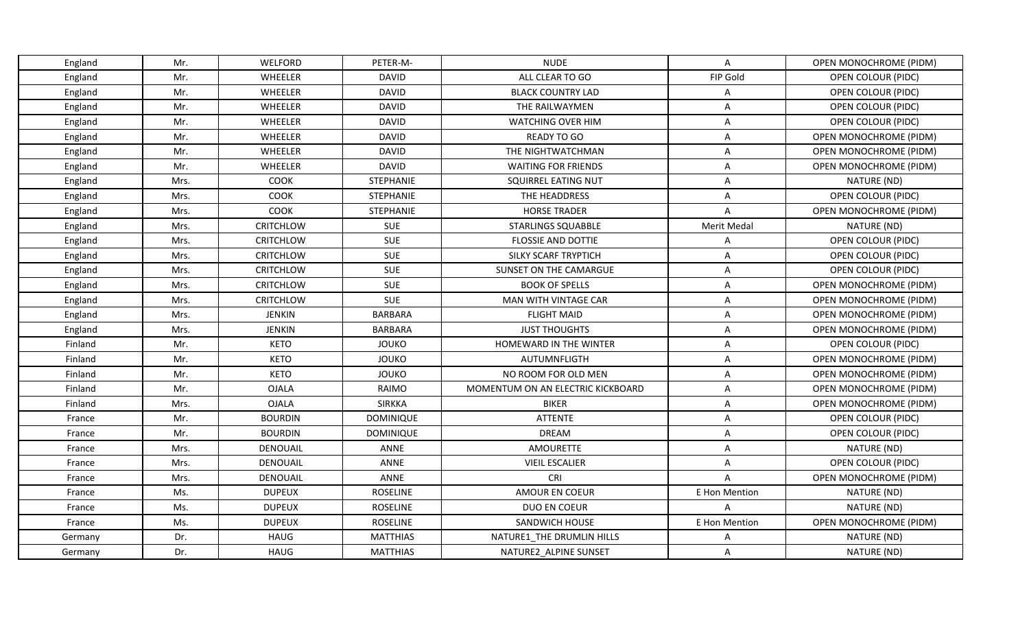| England | Mr.  | WELFORD          | PETER-M-         | <b>NUDE</b>                       | $\mathsf{A}$   | OPEN MONOCHROME (PIDM)        |
|---------|------|------------------|------------------|-----------------------------------|----------------|-------------------------------|
| England | Mr.  | WHEELER          | <b>DAVID</b>     | ALL CLEAR TO GO                   | FIP Gold       | OPEN COLOUR (PIDC)            |
| England | Mr.  | WHEELER          | <b>DAVID</b>     | <b>BLACK COUNTRY LAD</b>          | A              | OPEN COLOUR (PIDC)            |
| England | Mr.  | WHEELER          | <b>DAVID</b>     | THE RAILWAYMEN                    | A              | OPEN COLOUR (PIDC)            |
| England | Mr.  | WHEELER          | <b>DAVID</b>     | <b>WATCHING OVER HIM</b>          | $\overline{A}$ | OPEN COLOUR (PIDC)            |
| England | Mr.  | WHEELER          | <b>DAVID</b>     | READY TO GO                       | A              | OPEN MONOCHROME (PIDM)        |
| England | Mr.  | WHEELER          | <b>DAVID</b>     | THE NIGHTWATCHMAN                 | A              | OPEN MONOCHROME (PIDM)        |
| England | Mr.  | WHEELER          | <b>DAVID</b>     | <b>WAITING FOR FRIENDS</b>        | A              | OPEN MONOCHROME (PIDM)        |
| England | Mrs. | COOK             | STEPHANIE        | SQUIRREL EATING NUT               | A              | NATURE (ND)                   |
| England | Mrs. | <b>COOK</b>      | <b>STEPHANIE</b> | THE HEADDRESS                     | A              | OPEN COLOUR (PIDC)            |
| England | Mrs. | <b>COOK</b>      | STEPHANIE        | <b>HORSE TRADER</b>               | $\overline{A}$ | OPEN MONOCHROME (PIDM)        |
| England | Mrs. | <b>CRITCHLOW</b> | <b>SUE</b>       | <b>STARLINGS SQUABBLE</b>         | Merit Medal    | NATURE (ND)                   |
| England | Mrs. | <b>CRITCHLOW</b> | <b>SUE</b>       | FLOSSIE AND DOTTIE                | $\mathsf{A}$   | OPEN COLOUR (PIDC)            |
| England | Mrs. | <b>CRITCHLOW</b> | <b>SUE</b>       | SILKY SCARF TRYPTICH              | A              | OPEN COLOUR (PIDC)            |
| England | Mrs. | <b>CRITCHLOW</b> | <b>SUE</b>       | SUNSET ON THE CAMARGUE            | A              | OPEN COLOUR (PIDC)            |
| England | Mrs. | <b>CRITCHLOW</b> | <b>SUE</b>       | <b>BOOK OF SPELLS</b>             | A              | OPEN MONOCHROME (PIDM)        |
| England | Mrs. | <b>CRITCHLOW</b> | <b>SUE</b>       | <b>MAN WITH VINTAGE CAR</b>       | Α              | OPEN MONOCHROME (PIDM)        |
| England | Mrs. | <b>JENKIN</b>    | <b>BARBARA</b>   | <b>FLIGHT MAID</b>                | A              | OPEN MONOCHROME (PIDM)        |
| England | Mrs. | <b>JENKIN</b>    | <b>BARBARA</b>   | <b>JUST THOUGHTS</b>              | A              | <b>OPEN MONOCHROME (PIDM)</b> |
| Finland | Mr.  | <b>KETO</b>      | <b>JOUKO</b>     | HOMEWARD IN THE WINTER            | A              | OPEN COLOUR (PIDC)            |
| Finland | Mr.  | <b>KETO</b>      | <b>JOUKO</b>     | AUTUMNFLIGTH                      | Α              | OPEN MONOCHROME (PIDM)        |
| Finland | Mr.  | <b>KETO</b>      | <b>JOUKO</b>     | NO ROOM FOR OLD MEN               | A              | OPEN MONOCHROME (PIDM)        |
| Finland | Mr.  | <b>OJALA</b>     | RAIMO            | MOMENTUM ON AN ELECTRIC KICKBOARD | A              | OPEN MONOCHROME (PIDM)        |
| Finland | Mrs. | <b>OJALA</b>     | <b>SIRKKA</b>    | <b>BIKER</b>                      | A              | OPEN MONOCHROME (PIDM)        |
| France  | Mr.  | <b>BOURDIN</b>   | <b>DOMINIQUE</b> | <b>ATTENTE</b>                    | $\overline{A}$ | OPEN COLOUR (PIDC)            |
| France  | Mr.  | <b>BOURDIN</b>   | <b>DOMINIQUE</b> | <b>DREAM</b>                      | Α              | OPEN COLOUR (PIDC)            |
| France  | Mrs. | DENOUAIL         | ANNE             | <b>AMOURETTE</b>                  | A              | NATURE (ND)                   |
| France  | Mrs. | DENOUAIL         | ANNE             | <b>VIEIL ESCALIER</b>             | A              | OPEN COLOUR (PIDC)            |
| France  | Mrs. | <b>DENOUAIL</b>  | ANNE             | CRI                               | A              | <b>OPEN MONOCHROME (PIDM)</b> |
| France  | Ms.  | <b>DUPEUX</b>    | <b>ROSELINE</b>  | AMOUR EN COEUR                    | E Hon Mention  | NATURE (ND)                   |
| France  | Ms.  | <b>DUPEUX</b>    | <b>ROSELINE</b>  | <b>DUO EN COEUR</b>               | A              | NATURE (ND)                   |
| France  | Ms.  | <b>DUPEUX</b>    | <b>ROSELINE</b>  | SANDWICH HOUSE                    | E Hon Mention  | OPEN MONOCHROME (PIDM)        |
| Germany | Dr.  | <b>HAUG</b>      | <b>MATTHIAS</b>  | NATURE1 THE DRUMLIN HILLS         | Α              | NATURE (ND)                   |
| Germany | Dr.  | <b>HAUG</b>      | <b>MATTHIAS</b>  | NATURE2 ALPINE SUNSET             | A              | NATURE (ND)                   |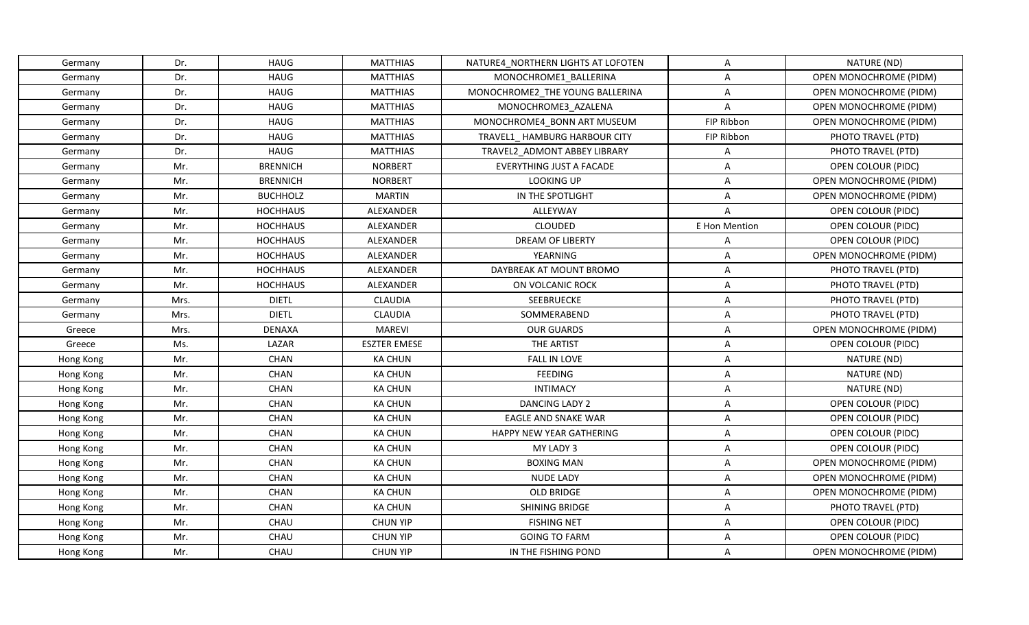| Germany   | Dr.  | HAUG            | <b>MATTHIAS</b>     | NATURE4_NORTHERN LIGHTS AT LOFOTEN | Α             | NATURE (ND)            |
|-----------|------|-----------------|---------------------|------------------------------------|---------------|------------------------|
| Germany   | Dr.  | <b>HAUG</b>     | <b>MATTHIAS</b>     | MONOCHROME1 BALLERINA              | A             | OPEN MONOCHROME (PIDM) |
| Germany   | Dr.  | <b>HAUG</b>     | <b>MATTHIAS</b>     | MONOCHROME2_THE YOUNG BALLERINA    | Α             | OPEN MONOCHROME (PIDM) |
| Germany   | Dr.  | <b>HAUG</b>     | <b>MATTHIAS</b>     | MONOCHROME3_AZALENA                | A             | OPEN MONOCHROME (PIDM) |
| Germany   | Dr.  | <b>HAUG</b>     | <b>MATTHIAS</b>     | MONOCHROME4_BONN ART MUSEUM        | FIP Ribbon    | OPEN MONOCHROME (PIDM) |
| Germany   | Dr.  | <b>HAUG</b>     | <b>MATTHIAS</b>     | TRAVEL1 HAMBURG HARBOUR CITY       | FIP Ribbon    | PHOTO TRAVEL (PTD)     |
| Germany   | Dr.  | <b>HAUG</b>     | <b>MATTHIAS</b>     | TRAVEL2 ADMONT ABBEY LIBRARY       | A             | PHOTO TRAVEL (PTD)     |
| Germany   | Mr.  | <b>BRENNICH</b> | <b>NORBERT</b>      | <b>EVERYTHING JUST A FACADE</b>    | A             | OPEN COLOUR (PIDC)     |
| Germany   | Mr.  | <b>BRENNICH</b> | <b>NORBERT</b>      | <b>LOOKING UP</b>                  | Α             | OPEN MONOCHROME (PIDM) |
| Germany   | Mr.  | <b>BUCHHOLZ</b> | <b>MARTIN</b>       | IN THE SPOTLIGHT                   | A             | OPEN MONOCHROME (PIDM) |
| Germany   | Mr.  | <b>HOCHHAUS</b> | ALEXANDER           | ALLEYWAY                           | A             | OPEN COLOUR (PIDC)     |
| Germany   | Mr.  | <b>HOCHHAUS</b> | ALEXANDER           | CLOUDED                            | E Hon Mention | OPEN COLOUR (PIDC)     |
| Germany   | Mr.  | <b>HOCHHAUS</b> | ALEXANDER           | <b>DREAM OF LIBERTY</b>            | Α             | OPEN COLOUR (PIDC)     |
| Germany   | Mr.  | <b>HOCHHAUS</b> | ALEXANDER           | YEARNING                           | A             | OPEN MONOCHROME (PIDM) |
| Germany   | Mr.  | <b>HOCHHAUS</b> | ALEXANDER           | DAYBREAK AT MOUNT BROMO            | Α             | PHOTO TRAVEL (PTD)     |
| Germany   | Mr.  | <b>HOCHHAUS</b> | ALEXANDER           | ON VOLCANIC ROCK                   | Α             | PHOTO TRAVEL (PTD)     |
| Germany   | Mrs. | <b>DIETL</b>    | <b>CLAUDIA</b>      | SEEBRUECKE                         | A             | PHOTO TRAVEL (PTD)     |
| Germany   | Mrs. | <b>DIETL</b>    | <b>CLAUDIA</b>      | SOMMERABEND                        | A             | PHOTO TRAVEL (PTD)     |
| Greece    | Mrs. | <b>DENAXA</b>   | MAREVI              | <b>OUR GUARDS</b>                  | Α             | OPEN MONOCHROME (PIDM) |
| Greece    | Ms.  | LAZAR           | <b>ESZTER EMESE</b> | THE ARTIST                         | A             | OPEN COLOUR (PIDC)     |
| Hong Kong | Mr.  | CHAN            | <b>KA CHUN</b>      | FALL IN LOVE                       | A             | NATURE (ND)            |
| Hong Kong | Mr.  | <b>CHAN</b>     | <b>KA CHUN</b>      | <b>FEEDING</b>                     | Α             | NATURE (ND)            |
| Hong Kong | Mr.  | <b>CHAN</b>     | <b>KA CHUN</b>      | <b>INTIMACY</b>                    | A             | NATURE (ND)            |
| Hong Kong | Mr.  | CHAN            | <b>KA CHUN</b>      | <b>DANCING LADY 2</b>              | Α             | OPEN COLOUR (PIDC)     |
| Hong Kong | Mr.  | CHAN            | <b>KA CHUN</b>      | EAGLE AND SNAKE WAR                | A             | OPEN COLOUR (PIDC)     |
| Hong Kong | Mr.  | CHAN            | <b>KA CHUN</b>      | HAPPY NEW YEAR GATHERING           | A             | OPEN COLOUR (PIDC)     |
| Hong Kong | Mr.  | CHAN            | <b>KA CHUN</b>      | MY LADY 3                          | A             | OPEN COLOUR (PIDC)     |
| Hong Kong | Mr.  | <b>CHAN</b>     | <b>KA CHUN</b>      | <b>BOXING MAN</b>                  | A             | OPEN MONOCHROME (PIDM) |
| Hong Kong | Mr.  | CHAN            | KA CHUN             | <b>NUDE LADY</b>                   | A             | OPEN MONOCHROME (PIDM) |
| Hong Kong | Mr.  | CHAN            | <b>KA CHUN</b>      | OLD BRIDGE                         | A             | OPEN MONOCHROME (PIDM) |
| Hong Kong | Mr.  | CHAN            | <b>KA CHUN</b>      | SHINING BRIDGE                     | $\mathsf{A}$  | PHOTO TRAVEL (PTD)     |
| Hong Kong | Mr.  | CHAU            | <b>CHUN YIP</b>     | <b>FISHING NET</b>                 | Α             | OPEN COLOUR (PIDC)     |
| Hong Kong | Mr.  | CHAU            | <b>CHUN YIP</b>     | <b>GOING TO FARM</b>               | A             | OPEN COLOUR (PIDC)     |
| Hong Kong | Mr.  | CHAU            | <b>CHUN YIP</b>     | IN THE FISHING POND                | Α             | OPEN MONOCHROME (PIDM) |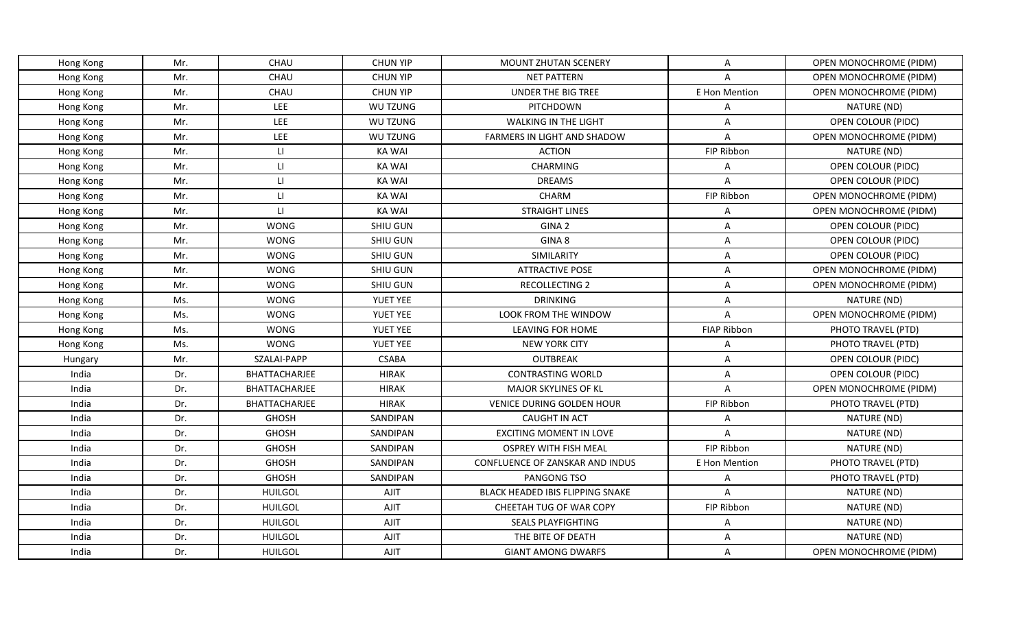| Mr.<br>CHAU<br><b>CHUN YIP</b><br>A<br>Hong Kong<br><b>MOUNT ZHUTAN SCENERY</b><br>CHAU<br><b>CHUN YIP</b><br>Hong Kong<br>Mr.<br><b>NET PATTERN</b><br>$\overline{A}$<br>Mr.<br>CHAU<br><b>CHUN YIP</b><br>UNDER THE BIG TREE<br>E Hon Mention<br>Hong Kong<br>Mr.<br><b>LEE</b><br>WU TZUNG<br>PITCHDOWN<br>Hong Kong<br>A<br>Mr.<br><b>LEE</b><br>WU TZUNG<br><b>WALKING IN THE LIGHT</b><br>Α<br>Hong Kong<br>Mr.<br>LEE<br>WU TZUNG<br><b>FARMERS IN LIGHT AND SHADOW</b><br>A<br>Hong Kong<br>$\mathsf{L}\mathsf{L}$<br>Mr.<br><b>KA WAI</b><br><b>ACTION</b><br>FIP Ribbon<br>Hong Kong<br>Mr.<br>$\mathsf{H}$<br>CHARMING<br><b>KA WAI</b><br>Α<br>Hong Kong<br>$\mathsf{L} \mathsf{L}$<br>Mr.<br><b>KA WAI</b><br><b>DREAMS</b><br>$\overline{A}$<br>Hong Kong<br>CHARM<br>Mr.<br>$\mathsf{L}\mathsf{L}$<br><b>KA WAI</b><br>FIP Ribbon<br>Hong Kong | OPEN MONOCHROME (PIDM)<br>OPEN MONOCHROME (PIDM)<br>OPEN MONOCHROME (PIDM)<br>NATURE (ND)<br>OPEN COLOUR (PIDC)<br>OPEN MONOCHROME (PIDM)<br>NATURE (ND)<br><b>OPEN COLOUR (PIDC)</b><br>OPEN COLOUR (PIDC) |
|---------------------------------------------------------------------------------------------------------------------------------------------------------------------------------------------------------------------------------------------------------------------------------------------------------------------------------------------------------------------------------------------------------------------------------------------------------------------------------------------------------------------------------------------------------------------------------------------------------------------------------------------------------------------------------------------------------------------------------------------------------------------------------------------------------------------------------------------------------------|-------------------------------------------------------------------------------------------------------------------------------------------------------------------------------------------------------------|
|                                                                                                                                                                                                                                                                                                                                                                                                                                                                                                                                                                                                                                                                                                                                                                                                                                                               |                                                                                                                                                                                                             |
|                                                                                                                                                                                                                                                                                                                                                                                                                                                                                                                                                                                                                                                                                                                                                                                                                                                               |                                                                                                                                                                                                             |
|                                                                                                                                                                                                                                                                                                                                                                                                                                                                                                                                                                                                                                                                                                                                                                                                                                                               |                                                                                                                                                                                                             |
|                                                                                                                                                                                                                                                                                                                                                                                                                                                                                                                                                                                                                                                                                                                                                                                                                                                               |                                                                                                                                                                                                             |
|                                                                                                                                                                                                                                                                                                                                                                                                                                                                                                                                                                                                                                                                                                                                                                                                                                                               |                                                                                                                                                                                                             |
|                                                                                                                                                                                                                                                                                                                                                                                                                                                                                                                                                                                                                                                                                                                                                                                                                                                               |                                                                                                                                                                                                             |
|                                                                                                                                                                                                                                                                                                                                                                                                                                                                                                                                                                                                                                                                                                                                                                                                                                                               |                                                                                                                                                                                                             |
|                                                                                                                                                                                                                                                                                                                                                                                                                                                                                                                                                                                                                                                                                                                                                                                                                                                               |                                                                                                                                                                                                             |
|                                                                                                                                                                                                                                                                                                                                                                                                                                                                                                                                                                                                                                                                                                                                                                                                                                                               |                                                                                                                                                                                                             |
|                                                                                                                                                                                                                                                                                                                                                                                                                                                                                                                                                                                                                                                                                                                                                                                                                                                               | OPEN MONOCHROME (PIDM)                                                                                                                                                                                      |
| LI.<br><b>STRAIGHT LINES</b><br>Mr.<br><b>KA WAI</b><br>Α<br>Hong Kong                                                                                                                                                                                                                                                                                                                                                                                                                                                                                                                                                                                                                                                                                                                                                                                        | OPEN MONOCHROME (PIDM)                                                                                                                                                                                      |
| Mr.<br><b>WONG</b><br>GINA <sub>2</sub><br>$\mathsf{A}$<br>Hong Kong<br><b>SHIU GUN</b>                                                                                                                                                                                                                                                                                                                                                                                                                                                                                                                                                                                                                                                                                                                                                                       | OPEN COLOUR (PIDC)                                                                                                                                                                                          |
| Mr.<br><b>WONG</b><br>GINA 8<br>SHIU GUN<br>$\mathsf{A}$<br>Hong Kong                                                                                                                                                                                                                                                                                                                                                                                                                                                                                                                                                                                                                                                                                                                                                                                         | OPEN COLOUR (PIDC)                                                                                                                                                                                          |
| Mr.<br><b>WONG</b><br>SHIU GUN<br>SIMILARITY<br>A<br>Hong Kong                                                                                                                                                                                                                                                                                                                                                                                                                                                                                                                                                                                                                                                                                                                                                                                                | OPEN COLOUR (PIDC)                                                                                                                                                                                          |
| <b>WONG</b><br>Mr.<br>SHIU GUN<br><b>ATTRACTIVE POSE</b><br>Α<br>Hong Kong                                                                                                                                                                                                                                                                                                                                                                                                                                                                                                                                                                                                                                                                                                                                                                                    | OPEN MONOCHROME (PIDM)                                                                                                                                                                                      |
| A<br>Mr.<br><b>WONG</b><br>SHIU GUN<br>RECOLLECTING 2<br>Hong Kong                                                                                                                                                                                                                                                                                                                                                                                                                                                                                                                                                                                                                                                                                                                                                                                            | OPEN MONOCHROME (PIDM)                                                                                                                                                                                      |
| <b>WONG</b><br>YUET YEE<br><b>DRINKING</b><br>Ms.<br>A<br>Hong Kong                                                                                                                                                                                                                                                                                                                                                                                                                                                                                                                                                                                                                                                                                                                                                                                           | NATURE (ND)                                                                                                                                                                                                 |
| <b>WONG</b><br>YUET YEE<br>LOOK FROM THE WINDOW<br>Ms.<br>$\overline{A}$<br>Hong Kong                                                                                                                                                                                                                                                                                                                                                                                                                                                                                                                                                                                                                                                                                                                                                                         | OPEN MONOCHROME (PIDM)                                                                                                                                                                                      |
| <b>FIAP Ribbon</b><br>Ms.<br><b>WONG</b><br>YUET YEE<br><b>LEAVING FOR HOME</b><br>Hong Kong                                                                                                                                                                                                                                                                                                                                                                                                                                                                                                                                                                                                                                                                                                                                                                  | PHOTO TRAVEL (PTD)                                                                                                                                                                                          |
| <b>WONG</b><br>Ms.<br>YUET YEE<br>Hong Kong<br><b>NEW YORK CITY</b><br>A                                                                                                                                                                                                                                                                                                                                                                                                                                                                                                                                                                                                                                                                                                                                                                                      | PHOTO TRAVEL (PTD)                                                                                                                                                                                          |
| SZALAI-PAPP<br><b>OUTBREAK</b><br>Mr.<br><b>CSABA</b><br>Α<br>Hungary                                                                                                                                                                                                                                                                                                                                                                                                                                                                                                                                                                                                                                                                                                                                                                                         | OPEN COLOUR (PIDC)                                                                                                                                                                                          |
| India<br>BHATTACHARJEE<br>Dr.<br><b>HIRAK</b><br><b>CONTRASTING WORLD</b><br>A                                                                                                                                                                                                                                                                                                                                                                                                                                                                                                                                                                                                                                                                                                                                                                                | OPEN COLOUR (PIDC)                                                                                                                                                                                          |
| India<br>Dr.<br>BHATTACHARJEE<br><b>HIRAK</b><br>MAJOR SKYLINES OF KL<br>A                                                                                                                                                                                                                                                                                                                                                                                                                                                                                                                                                                                                                                                                                                                                                                                    | OPEN MONOCHROME (PIDM)                                                                                                                                                                                      |
| India<br>Dr.<br><b>BHATTACHARJEE</b><br><b>HIRAK</b><br><b>VENICE DURING GOLDEN HOUR</b><br>FIP Ribbon                                                                                                                                                                                                                                                                                                                                                                                                                                                                                                                                                                                                                                                                                                                                                        | PHOTO TRAVEL (PTD)                                                                                                                                                                                          |
| India<br>Dr.<br><b>GHOSH</b><br>SANDIPAN<br><b>CAUGHT IN ACT</b><br>A                                                                                                                                                                                                                                                                                                                                                                                                                                                                                                                                                                                                                                                                                                                                                                                         | NATURE (ND)                                                                                                                                                                                                 |
| <b>GHOSH</b><br>India<br>Dr.<br>SANDIPAN<br><b>EXCITING MOMENT IN LOVE</b><br>A                                                                                                                                                                                                                                                                                                                                                                                                                                                                                                                                                                                                                                                                                                                                                                               | NATURE (ND)                                                                                                                                                                                                 |
| India<br>Dr.<br><b>GHOSH</b><br>SANDIPAN<br><b>OSPREY WITH FISH MEAL</b><br>FIP Ribbon                                                                                                                                                                                                                                                                                                                                                                                                                                                                                                                                                                                                                                                                                                                                                                        | NATURE (ND)                                                                                                                                                                                                 |
| India<br>Dr.<br><b>GHOSH</b><br>SANDIPAN<br>CONFLUENCE OF ZANSKAR AND INDUS<br>E Hon Mention                                                                                                                                                                                                                                                                                                                                                                                                                                                                                                                                                                                                                                                                                                                                                                  | PHOTO TRAVEL (PTD)                                                                                                                                                                                          |
| India<br>Dr.<br><b>GHOSH</b><br>PANGONG TSO<br>SANDIPAN<br>Α                                                                                                                                                                                                                                                                                                                                                                                                                                                                                                                                                                                                                                                                                                                                                                                                  | PHOTO TRAVEL (PTD)                                                                                                                                                                                          |
| India<br>Dr.<br><b>HUILGOL</b><br><b>AJIT</b><br>$\overline{A}$<br><b>BLACK HEADED IBIS FLIPPING SNAKE</b>                                                                                                                                                                                                                                                                                                                                                                                                                                                                                                                                                                                                                                                                                                                                                    | NATURE (ND)                                                                                                                                                                                                 |
| India<br>Dr.<br><b>HUILGOL</b><br><b>AJIT</b><br>FIP Ribbon<br>CHEETAH TUG OF WAR COPY                                                                                                                                                                                                                                                                                                                                                                                                                                                                                                                                                                                                                                                                                                                                                                        | NATURE (ND)                                                                                                                                                                                                 |
| Dr.<br><b>HUILGOL</b><br><b>AJIT</b><br>SEALS PLAYFIGHTING<br>India<br>Α                                                                                                                                                                                                                                                                                                                                                                                                                                                                                                                                                                                                                                                                                                                                                                                      | NATURE (ND)                                                                                                                                                                                                 |
| India<br><b>AJIT</b><br>Dr.<br><b>HUILGOL</b><br>THE BITE OF DEATH<br>A                                                                                                                                                                                                                                                                                                                                                                                                                                                                                                                                                                                                                                                                                                                                                                                       | NATURE (ND)                                                                                                                                                                                                 |
| India<br>Dr.<br><b>HUILGOL</b><br><b>AJIT</b><br><b>GIANT AMONG DWARFS</b><br>Α                                                                                                                                                                                                                                                                                                                                                                                                                                                                                                                                                                                                                                                                                                                                                                               | OPEN MONOCHROME (PIDM)                                                                                                                                                                                      |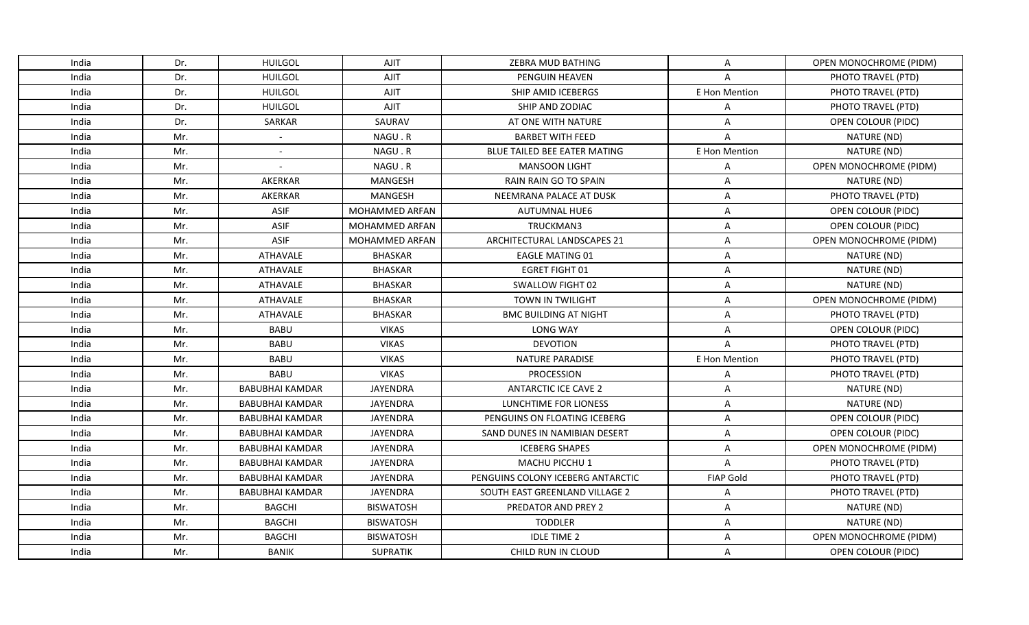| India | Dr. | <b>HUILGOL</b>           | AJIT                  | ZEBRA MUD BATHING                 | Α                | OPEN MONOCHROME (PIDM)    |
|-------|-----|--------------------------|-----------------------|-----------------------------------|------------------|---------------------------|
| India | Dr. | <b>HUILGOL</b>           | <b>AJIT</b>           | <b>PENGUIN HEAVEN</b>             | $\overline{A}$   | PHOTO TRAVEL (PTD)        |
| India | Dr. | <b>HUILGOL</b>           | <b>AJIT</b>           | SHIP AMID ICEBERGS                | E Hon Mention    | PHOTO TRAVEL (PTD)        |
| India | Dr. | <b>HUILGOL</b>           | <b>AJIT</b>           | SHIP AND ZODIAC                   | A                | PHOTO TRAVEL (PTD)        |
| India | Dr. | SARKAR                   | SAURAV                | AT ONE WITH NATURE                | Α                | OPEN COLOUR (PIDC)        |
| India | Mr. | $\blacksquare$           | NAGU.R                | <b>BARBET WITH FEED</b>           | $\overline{A}$   | NATURE (ND)               |
| India | Mr. | $\overline{\phantom{0}}$ | NAGU.R                | BLUE TAILED BEE EATER MATING      | E Hon Mention    | NATURE (ND)               |
| India | Mr. |                          | NAGU.R                | <b>MANSOON LIGHT</b>              | A                | OPEN MONOCHROME (PIDM)    |
| India | Mr. | AKERKAR                  | MANGESH               | RAIN RAIN GO TO SPAIN             | A                | NATURE (ND)               |
| India | Mr. | AKERKAR                  | <b>MANGESH</b>        | NEEMRANA PALACE AT DUSK           | Α                | PHOTO TRAVEL (PTD)        |
| India | Mr. | <b>ASIF</b>              | MOHAMMED ARFAN        | <b>AUTUMNAL HUE6</b>              | Α                | OPEN COLOUR (PIDC)        |
| India | Mr. | <b>ASIF</b>              | <b>MOHAMMED ARFAN</b> | TRUCKMAN3                         | A                | OPEN COLOUR (PIDC)        |
| India | Mr. | <b>ASIF</b>              | MOHAMMED ARFAN        | ARCHITECTURAL LANDSCAPES 21       | A                | OPEN MONOCHROME (PIDM)    |
| India | Mr. | ATHAVALE                 | <b>BHASKAR</b>        | <b>EAGLE MATING 01</b>            | A                | NATURE (ND)               |
| India | Mr. | <b>ATHAVALE</b>          | <b>BHASKAR</b>        | <b>EGRET FIGHT 01</b>             | A                | NATURE (ND)               |
| India | Mr. | <b>ATHAVALE</b>          | <b>BHASKAR</b>        | SWALLOW FIGHT 02                  | A                | NATURE (ND)               |
| India | Mr. | ATHAVALE                 | <b>BHASKAR</b>        | TOWN IN TWILIGHT                  | A                | OPEN MONOCHROME (PIDM)    |
| India | Mr. | ATHAVALE                 | <b>BHASKAR</b>        | <b>BMC BUILDING AT NIGHT</b>      | Α                | PHOTO TRAVEL (PTD)        |
| India | Mr. | <b>BABU</b>              | <b>VIKAS</b>          | LONG WAY                          | A                | OPEN COLOUR (PIDC)        |
| India | Mr. | <b>BABU</b>              | <b>VIKAS</b>          | <b>DEVOTION</b>                   | $\overline{A}$   | PHOTO TRAVEL (PTD)        |
| India | Mr. | <b>BABU</b>              | <b>VIKAS</b>          | <b>NATURE PARADISE</b>            | E Hon Mention    | PHOTO TRAVEL (PTD)        |
| India | Mr. | <b>BABU</b>              | <b>VIKAS</b>          | <b>PROCESSION</b>                 | Α                | PHOTO TRAVEL (PTD)        |
| India | Mr. | <b>BABUBHAI KAMDAR</b>   | <b>JAYENDRA</b>       | <b>ANTARCTIC ICE CAVE 2</b>       | A                | NATURE (ND)               |
| India | Mr. | <b>BABUBHAI KAMDAR</b>   | <b>JAYENDRA</b>       | LUNCHTIME FOR LIONESS             | Α                | NATURE (ND)               |
| India | Mr. | <b>BABUBHAI KAMDAR</b>   | <b>JAYENDRA</b>       | PENGUINS ON FLOATING ICEBERG      | A                | <b>OPEN COLOUR (PIDC)</b> |
| India | Mr. | <b>BABUBHAI KAMDAR</b>   | JAYENDRA              | SAND DUNES IN NAMIBIAN DESERT     | Α                | OPEN COLOUR (PIDC)        |
| India | Mr. | <b>BABUBHAI KAMDAR</b>   | <b>JAYENDRA</b>       | <b>ICEBERG SHAPES</b>             | A                | OPEN MONOCHROME (PIDM)    |
| India | Mr. | <b>BABUBHAI KAMDAR</b>   | <b>JAYENDRA</b>       | MACHU PICCHU 1                    | A                | PHOTO TRAVEL (PTD)        |
| India | Mr. | <b>BABUBHAI KAMDAR</b>   | <b>JAYENDRA</b>       | PENGUINS COLONY ICEBERG ANTARCTIC | <b>FIAP Gold</b> | PHOTO TRAVEL (PTD)        |
| India | Mr. | <b>BABUBHAI KAMDAR</b>   | JAYENDRA              | SOUTH EAST GREENLAND VILLAGE 2    | Α                | PHOTO TRAVEL (PTD)        |
| India | Mr. | <b>BAGCHI</b>            | <b>BISWATOSH</b>      | PREDATOR AND PREY 2               | A                | NATURE (ND)               |
| India | Mr. | <b>BAGCHI</b>            | <b>BISWATOSH</b>      | <b>TODDLER</b>                    | A                | NATURE (ND)               |
| India | Mr. | <b>BAGCHI</b>            | <b>BISWATOSH</b>      | <b>IDLE TIME 2</b>                | A                | OPEN MONOCHROME (PIDM)    |
| India | Mr. | BANIK                    | SUPRATIK              | CHILD RUN IN CLOUD                | A                | OPEN COLOUR (PIDC)        |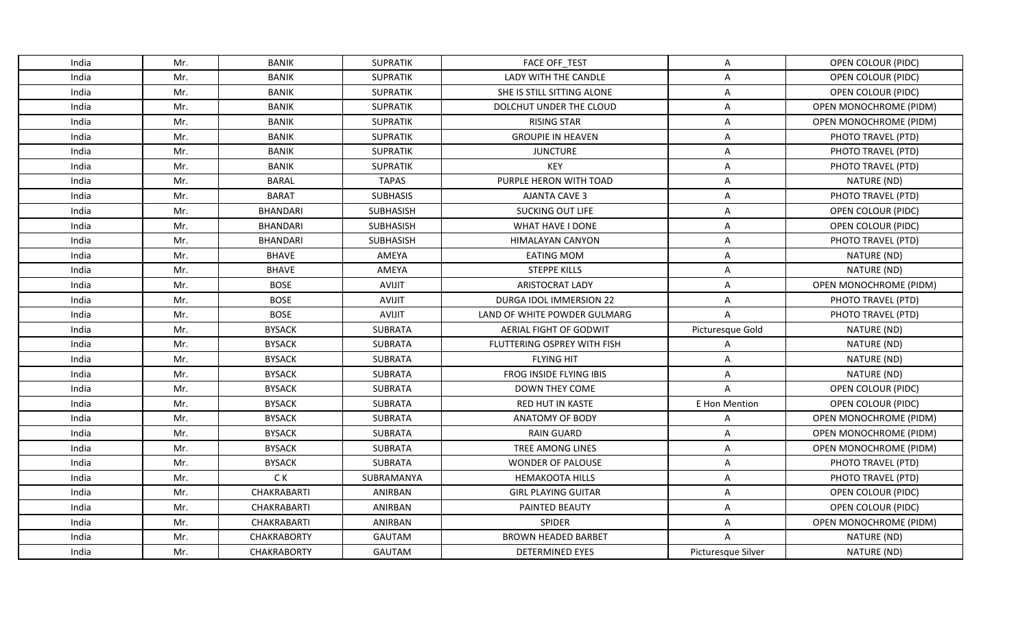| India | Mr. | <b>BANIK</b>       | <b>SUPRATIK</b>  | <b>FACE OFF_TEST</b>         | A                  | OPEN COLOUR (PIDC)        |
|-------|-----|--------------------|------------------|------------------------------|--------------------|---------------------------|
| India | Mr. | <b>BANIK</b>       | <b>SUPRATIK</b>  | LADY WITH THE CANDLE         | A                  | <b>OPEN COLOUR (PIDC)</b> |
| India | Mr. | <b>BANIK</b>       | <b>SUPRATIK</b>  | SHE IS STILL SITTING ALONE   | Α                  | OPEN COLOUR (PIDC)        |
| India | Mr. | <b>BANIK</b>       | <b>SUPRATIK</b>  | DOLCHUT UNDER THE CLOUD      | A                  | OPEN MONOCHROME (PIDM)    |
| India | Mr. | <b>BANIK</b>       | <b>SUPRATIK</b>  | <b>RISING STAR</b>           | A                  | OPEN MONOCHROME (PIDM)    |
| India | Mr. | <b>BANIK</b>       | <b>SUPRATIK</b>  | <b>GROUPIE IN HEAVEN</b>     | Α                  | PHOTO TRAVEL (PTD)        |
| India | Mr. | <b>BANIK</b>       | <b>SUPRATIK</b>  | <b>JUNCTURE</b>              | Α                  | PHOTO TRAVEL (PTD)        |
| India | Mr. | <b>BANIK</b>       | <b>SUPRATIK</b>  | KEY                          | A                  | PHOTO TRAVEL (PTD)        |
| India | Mr. | <b>BARAL</b>       | <b>TAPAS</b>     | PURPLE HERON WITH TOAD       | A                  | NATURE (ND)               |
| India | Mr. | <b>BARAT</b>       | <b>SUBHASIS</b>  | <b>AJANTA CAVE 3</b>         | A                  | PHOTO TRAVEL (PTD)        |
| India | Mr. | <b>BHANDARI</b>    | SUBHASISH        | <b>SUCKING OUT LIFE</b>      | A                  | OPEN COLOUR (PIDC)        |
| India | Mr. | <b>BHANDARI</b>    | <b>SUBHASISH</b> | WHAT HAVE I DONE             | A                  | OPEN COLOUR (PIDC)        |
| India | Mr. | <b>BHANDARI</b>    | SUBHASISH        | <b>HIMALAYAN CANYON</b>      | Α                  | PHOTO TRAVEL (PTD)        |
| India | Mr. | <b>BHAVE</b>       | AMEYA            | <b>EATING MOM</b>            | A                  | NATURE (ND)               |
| India | Mr. | <b>BHAVE</b>       | AMEYA            | <b>STEPPE KILLS</b>          | A                  | NATURE (ND)               |
| India | Mr. | <b>BOSE</b>        | <b>AVIJIT</b>    | ARISTOCRAT LADY              | A                  | OPEN MONOCHROME (PIDM)    |
| India | Mr. | <b>BOSE</b>        | <b>AVIJIT</b>    | DURGA IDOL IMMERSION 22      | A                  | PHOTO TRAVEL (PTD)        |
| India | Mr. | <b>BOSE</b>        | AVIJIT           | LAND OF WHITE POWDER GULMARG | $\overline{A}$     | PHOTO TRAVEL (PTD)        |
| India | Mr. | <b>BYSACK</b>      | SUBRATA          | AERIAL FIGHT OF GODWIT       | Picturesque Gold   | NATURE (ND)               |
| India | Mr. | <b>BYSACK</b>      | <b>SUBRATA</b>   | FLUTTERING OSPREY WITH FISH  | A                  | NATURE (ND)               |
| India | Mr. | <b>BYSACK</b>      | <b>SUBRATA</b>   | <b>FLYING HIT</b>            | A                  | NATURE (ND)               |
| India | Mr. | <b>BYSACK</b>      | <b>SUBRATA</b>   | FROG INSIDE FLYING IBIS      | A                  | NATURE (ND)               |
| India | Mr. | <b>BYSACK</b>      | <b>SUBRATA</b>   | <b>DOWN THEY COME</b>        | $\overline{A}$     | OPEN COLOUR (PIDC)        |
| India | Mr. | <b>BYSACK</b>      | <b>SUBRATA</b>   | RED HUT IN KASTE             | E Hon Mention      | OPEN COLOUR (PIDC)        |
| India | Mr. | <b>BYSACK</b>      | <b>SUBRATA</b>   | <b>ANATOMY OF BODY</b>       | A                  | OPEN MONOCHROME (PIDM)    |
| India | Mr. | <b>BYSACK</b>      | <b>SUBRATA</b>   | <b>RAIN GUARD</b>            | A                  | OPEN MONOCHROME (PIDM)    |
| India | Mr. | <b>BYSACK</b>      | <b>SUBRATA</b>   | TREE AMONG LINES             | A                  | OPEN MONOCHROME (PIDM)    |
| India | Mr. | <b>BYSACK</b>      | <b>SUBRATA</b>   | <b>WONDER OF PALOUSE</b>     | A                  | PHOTO TRAVEL (PTD)        |
| India | Mr. | C K                | SUBRAMANYA       | <b>HEMAKOOTA HILLS</b>       | Α                  | PHOTO TRAVEL (PTD)        |
| India | Mr. | <b>CHAKRABARTI</b> | ANIRBAN          | <b>GIRL PLAYING GUITAR</b>   | Α                  | OPEN COLOUR (PIDC)        |
| India | Mr. | CHAKRABARTI        | ANIRBAN          | PAINTED BEAUTY               | A                  | OPEN COLOUR (PIDC)        |
| India | Mr. | CHAKRABARTI        | ANIRBAN          | SPIDER                       | Α                  | OPEN MONOCHROME (PIDM)    |
| India | Mr. | <b>CHAKRABORTY</b> | <b>GAUTAM</b>    | <b>BROWN HEADED BARBET</b>   | $\overline{A}$     | NATURE (ND)               |
| India | Mr. | <b>CHAKRABORTY</b> | <b>GAUTAM</b>    | <b>DETERMINED EYES</b>       | Picturesque Silver | NATURE (ND)               |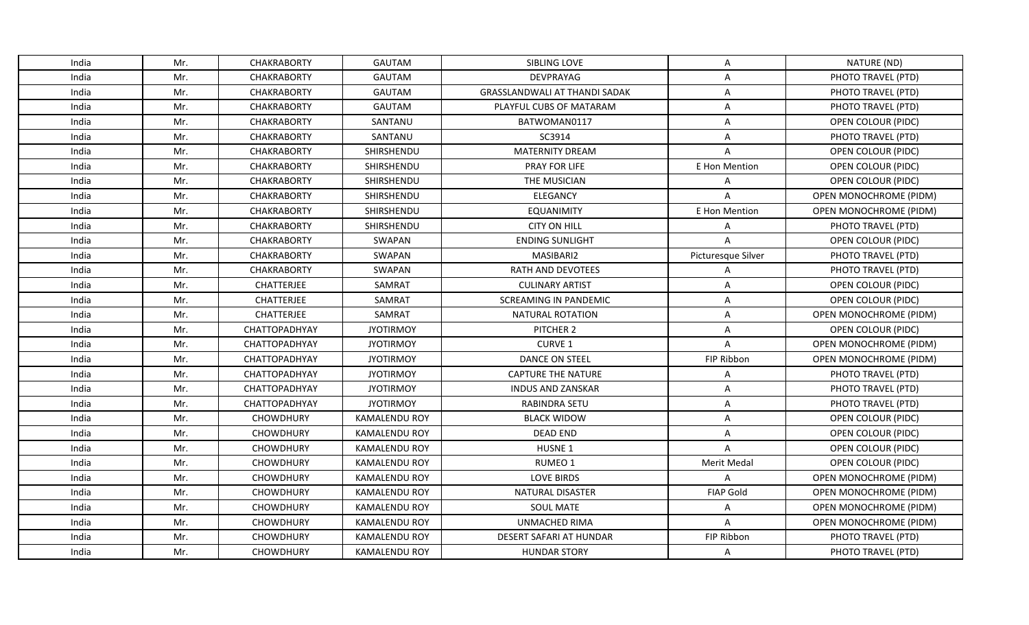| India | Mr. | <b>CHAKRABORTY</b>   | <b>GAUTAM</b>        | SIBLING LOVE                         | Α                  | NATURE (ND)               |
|-------|-----|----------------------|----------------------|--------------------------------------|--------------------|---------------------------|
| India | Mr. | <b>CHAKRABORTY</b>   | <b>GAUTAM</b>        | DEVPRAYAG                            | A                  | PHOTO TRAVEL (PTD)        |
| India | Mr. | <b>CHAKRABORTY</b>   | <b>GAUTAM</b>        | <b>GRASSLANDWALI AT THANDI SADAK</b> | Α                  | PHOTO TRAVEL (PTD)        |
| India | Mr. | <b>CHAKRABORTY</b>   | <b>GAUTAM</b>        | PLAYFUL CUBS OF MATARAM              | A                  | PHOTO TRAVEL (PTD)        |
| India | Mr. | <b>CHAKRABORTY</b>   | SANTANU              | BATWOMAN0117                         | Α                  | OPEN COLOUR (PIDC)        |
| India | Mr. | <b>CHAKRABORTY</b>   | SANTANU              | SC3914                               | A                  | PHOTO TRAVEL (PTD)        |
| India | Mr. | <b>CHAKRABORTY</b>   | SHIRSHENDU           | <b>MATERNITY DREAM</b>               | A                  | OPEN COLOUR (PIDC)        |
| India | Mr. | <b>CHAKRABORTY</b>   | SHIRSHENDU           | PRAY FOR LIFE                        | E Hon Mention      | OPEN COLOUR (PIDC)        |
| India | Mr. | <b>CHAKRABORTY</b>   | SHIRSHENDU           | THE MUSICIAN                         | Α                  | OPEN COLOUR (PIDC)        |
| India | Mr. | <b>CHAKRABORTY</b>   | SHIRSHENDU           | <b>ELEGANCY</b>                      | A                  | OPEN MONOCHROME (PIDM)    |
| India | Mr. | <b>CHAKRABORTY</b>   | SHIRSHENDU           | <b>EQUANIMITY</b>                    | E Hon Mention      | OPEN MONOCHROME (PIDM)    |
| India | Mr. | <b>CHAKRABORTY</b>   | SHIRSHENDU           | <b>CITY ON HILL</b>                  | Α                  | PHOTO TRAVEL (PTD)        |
| India | Mr. | <b>CHAKRABORTY</b>   | SWAPAN               | <b>ENDING SUNLIGHT</b>               | $\overline{A}$     | OPEN COLOUR (PIDC)        |
| India | Mr. | <b>CHAKRABORTY</b>   | SWAPAN               | MASIBARI2                            | Picturesque Silver | PHOTO TRAVEL (PTD)        |
| India | Mr. | <b>CHAKRABORTY</b>   | SWAPAN               | RATH AND DEVOTEES                    | Α                  | PHOTO TRAVEL (PTD)        |
| India | Mr. | CHATTERJEE           | SAMRAT               | <b>CULINARY ARTIST</b>               | Α                  | OPEN COLOUR (PIDC)        |
| India | Mr. | CHATTERJEE           | SAMRAT               | <b>SCREAMING IN PANDEMIC</b>         | Α                  | OPEN COLOUR (PIDC)        |
| India | Mr. | CHATTERJEE           | SAMRAT               | <b>NATURAL ROTATION</b>              | A                  | OPEN MONOCHROME (PIDM)    |
| India | Mr. | CHATTOPADHYAY        | <b>JYOTIRMOY</b>     | PITCHER 2                            | Α                  | <b>OPEN COLOUR (PIDC)</b> |
| India | Mr. | <b>CHATTOPADHYAY</b> | <b>JYOTIRMOY</b>     | <b>CURVE 1</b>                       | $\mathsf{A}$       | OPEN MONOCHROME (PIDM)    |
| India | Mr. | <b>CHATTOPADHYAY</b> | <b>JYOTIRMOY</b>     | DANCE ON STEEL                       | FIP Ribbon         | OPEN MONOCHROME (PIDM)    |
| India | Mr. | CHATTOPADHYAY        | <b>JYOTIRMOY</b>     | <b>CAPTURE THE NATURE</b>            | Α                  | PHOTO TRAVEL (PTD)        |
| India | Mr. | CHATTOPADHYAY        | <b>JYOTIRMOY</b>     | <b>INDUS AND ZANSKAR</b>             | A                  | PHOTO TRAVEL (PTD)        |
| India | Mr. | CHATTOPADHYAY        | <b>JYOTIRMOY</b>     | RABINDRA SETU                        | A                  | PHOTO TRAVEL (PTD)        |
| India | Mr. | <b>CHOWDHURY</b>     | <b>KAMALENDU ROY</b> | <b>BLACK WIDOW</b>                   | Α                  | OPEN COLOUR (PIDC)        |
| India | Mr. | <b>CHOWDHURY</b>     | KAMALENDU ROY        | <b>DEAD END</b>                      | A                  | OPEN COLOUR (PIDC)        |
| India | Mr. | <b>CHOWDHURY</b>     | <b>KAMALENDU ROY</b> | HUSNE <sub>1</sub>                   | A                  | OPEN COLOUR (PIDC)        |
| India | Mr. | <b>CHOWDHURY</b>     | <b>KAMALENDU ROY</b> | RUMEO 1                              | <b>Merit Medal</b> | <b>OPEN COLOUR (PIDC)</b> |
| India | Mr. | <b>CHOWDHURY</b>     | <b>KAMALENDU ROY</b> | <b>LOVE BIRDS</b>                    | A                  | OPEN MONOCHROME (PIDM)    |
| India | Mr. | <b>CHOWDHURY</b>     | <b>KAMALENDU ROY</b> | NATURAL DISASTER                     | <b>FIAP Gold</b>   | OPEN MONOCHROME (PIDM)    |
| India | Mr. | <b>CHOWDHURY</b>     | <b>KAMALENDU ROY</b> | <b>SOUL MATE</b>                     | Α                  | OPEN MONOCHROME (PIDM)    |
| India | Mr. | <b>CHOWDHURY</b>     | <b>KAMALENDU ROY</b> | UNMACHED RIMA                        | A                  | OPEN MONOCHROME (PIDM)    |
| India | Mr. | <b>CHOWDHURY</b>     | <b>KAMALENDU ROY</b> | DESERT SAFARI AT HUNDAR              | FIP Ribbon         | PHOTO TRAVEL (PTD)        |
| India | Mr. | <b>CHOWDHURY</b>     | <b>KAMALENDU ROY</b> | <b>HUNDAR STORY</b>                  | A                  | PHOTO TRAVEL (PTD)        |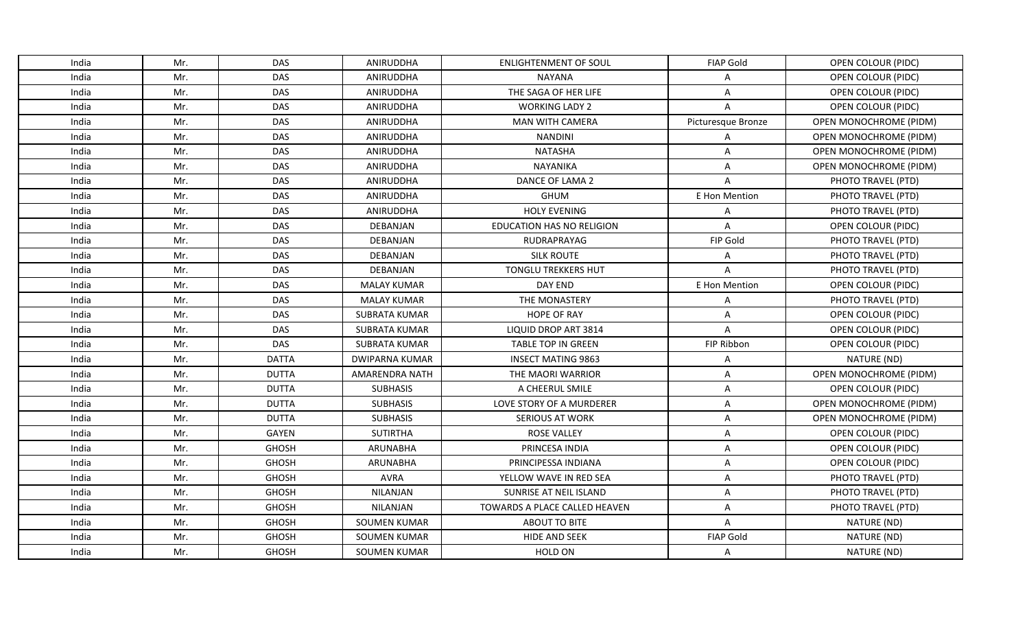| India | Mr. | <b>DAS</b>   | ANIRUDDHA             | <b>ENLIGHTENMENT OF SOUL</b>  | <b>FIAP Gold</b>   | OPEN COLOUR (PIDC)        |
|-------|-----|--------------|-----------------------|-------------------------------|--------------------|---------------------------|
| India | Mr. | <b>DAS</b>   | ANIRUDDHA             | <b>NAYANA</b>                 | A                  | OPEN COLOUR (PIDC)        |
| India | Mr. | DAS          | ANIRUDDHA             | THE SAGA OF HER LIFE          | Α                  | OPEN COLOUR (PIDC)        |
| India | Mr. | <b>DAS</b>   | ANIRUDDHA             | <b>WORKING LADY 2</b>         | $\overline{A}$     | OPEN COLOUR (PIDC)        |
| India | Mr. | DAS          | ANIRUDDHA             | <b>MAN WITH CAMERA</b>        | Picturesque Bronze | OPEN MONOCHROME (PIDM)    |
| India | Mr. | <b>DAS</b>   | ANIRUDDHA             | NANDINI                       | Α                  | OPEN MONOCHROME (PIDM)    |
| India | Mr. | <b>DAS</b>   | ANIRUDDHA             | NATASHA                       | Α                  | OPEN MONOCHROME (PIDM)    |
| India | Mr. | <b>DAS</b>   | ANIRUDDHA             | <b>NAYANIKA</b>               | A                  | OPEN MONOCHROME (PIDM)    |
| India | Mr. | <b>DAS</b>   | ANIRUDDHA             | DANCE OF LAMA 2               | $\overline{A}$     | PHOTO TRAVEL (PTD)        |
| India | Mr. | <b>DAS</b>   | ANIRUDDHA             | <b>GHUM</b>                   | E Hon Mention      | PHOTO TRAVEL (PTD)        |
| India | Mr. | DAS          | ANIRUDDHA             | <b>HOLY EVENING</b>           | A                  | PHOTO TRAVEL (PTD)        |
| India | Mr. | <b>DAS</b>   | DEBANJAN              | EDUCATION HAS NO RELIGION     | $\overline{A}$     | OPEN COLOUR (PIDC)        |
| India | Mr. | <b>DAS</b>   | DEBANJAN              | RUDRAPRAYAG                   | FIP Gold           | PHOTO TRAVEL (PTD)        |
| India | Mr. | <b>DAS</b>   | <b>DEBANJAN</b>       | <b>SILK ROUTE</b>             | A                  | PHOTO TRAVEL (PTD)        |
| India | Mr. | <b>DAS</b>   | DEBANJAN              | <b>TONGLU TREKKERS HUT</b>    | $\overline{A}$     | PHOTO TRAVEL (PTD)        |
| India | Mr. | <b>DAS</b>   | <b>MALAY KUMAR</b>    | DAY END                       | E Hon Mention      | OPEN COLOUR (PIDC)        |
| India | Mr. | <b>DAS</b>   | <b>MALAY KUMAR</b>    | THE MONASTERY                 | Α                  | PHOTO TRAVEL (PTD)        |
| India | Mr. | DAS          | <b>SUBRATA KUMAR</b>  | <b>HOPE OF RAY</b>            | $\mathsf{A}$       | <b>OPEN COLOUR (PIDC)</b> |
| India | Mr. | <b>DAS</b>   | SUBRATA KUMAR         | LIQUID DROP ART 3814          | $\overline{A}$     | OPEN COLOUR (PIDC)        |
| India | Mr. | DAS          | SUBRATA KUMAR         | <b>TABLE TOP IN GREEN</b>     | FIP Ribbon         | OPEN COLOUR (PIDC)        |
| India | Mr. | <b>DATTA</b> | <b>DWIPARNA KUMAR</b> | <b>INSECT MATING 9863</b>     | A                  | NATURE (ND)               |
| India | Mr. | <b>DUTTA</b> | <b>AMARENDRA NATH</b> | THE MAORI WARRIOR             | Α                  | OPEN MONOCHROME (PIDM)    |
| India | Mr. | <b>DUTTA</b> | <b>SUBHASIS</b>       | A CHEERUL SMILE               | A                  | OPEN COLOUR (PIDC)        |
| India | Mr. | <b>DUTTA</b> | <b>SUBHASIS</b>       | LOVE STORY OF A MURDERER      | Α                  | OPEN MONOCHROME (PIDM)    |
| India | Mr. | <b>DUTTA</b> | <b>SUBHASIS</b>       | <b>SERIOUS AT WORK</b>        | A                  | OPEN MONOCHROME (PIDM)    |
| India | Mr. | GAYEN        | <b>SUTIRTHA</b>       | <b>ROSE VALLEY</b>            | A                  | OPEN COLOUR (PIDC)        |
| India | Mr. | <b>GHOSH</b> | ARUNABHA              | PRINCESA INDIA                | A                  | OPEN COLOUR (PIDC)        |
| India | Mr. | <b>GHOSH</b> | ARUNABHA              | PRINCIPESSA INDIANA           | A                  | OPEN COLOUR (PIDC)        |
| India | Mr. | <b>GHOSH</b> | <b>AVRA</b>           | YELLOW WAVE IN RED SEA        | A                  | PHOTO TRAVEL (PTD)        |
| India | Mr. | <b>GHOSH</b> | <b>NILANJAN</b>       | SUNRISE AT NEIL ISLAND        | A                  | PHOTO TRAVEL (PTD)        |
| India | Mr. | <b>GHOSH</b> | NILANJAN              | TOWARDS A PLACE CALLED HEAVEN | A                  | PHOTO TRAVEL (PTD)        |
| India | Mr. | <b>GHOSH</b> | <b>SOUMEN KUMAR</b>   | ABOUT TO BITE                 | A                  | NATURE (ND)               |
| India | Mr. | <b>GHOSH</b> | <b>SOUMEN KUMAR</b>   | <b>HIDE AND SEEK</b>          | <b>FIAP Gold</b>   | NATURE (ND)               |
| India | Mr. | <b>GHOSH</b> | SOUMEN KUMAR          | HOLD ON                       | A                  | NATURE (ND)               |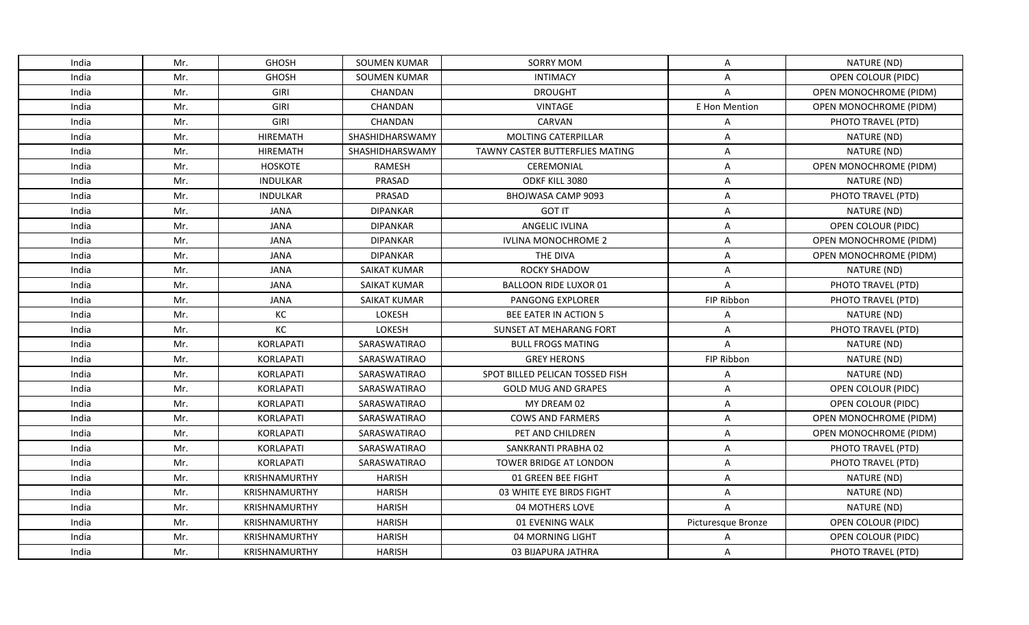| India | Mr. | <b>GHOSH</b>         | SOUMEN KUMAR        | <b>SORRY MOM</b>                | Α                  | NATURE (ND)                   |
|-------|-----|----------------------|---------------------|---------------------------------|--------------------|-------------------------------|
| India | Mr. | <b>GHOSH</b>         | <b>SOUMEN KUMAR</b> | <b>INTIMACY</b>                 | Α                  | OPEN COLOUR (PIDC)            |
| India | Mr. | GIRI                 | CHANDAN             | <b>DROUGHT</b>                  | A                  | OPEN MONOCHROME (PIDM)        |
| India | Mr. | GIRI                 | CHANDAN             | <b>VINTAGE</b>                  | E Hon Mention      | OPEN MONOCHROME (PIDM)        |
| India | Mr. | <b>GIRI</b>          | <b>CHANDAN</b>      | <b>CARVAN</b>                   | A                  | PHOTO TRAVEL (PTD)            |
| India | Mr. | <b>HIREMATH</b>      | SHASHIDHARSWAMY     | <b>MOLTING CATERPILLAR</b>      | A                  | NATURE (ND)                   |
| India | Mr. | HIREMATH             | SHASHIDHARSWAMY     | TAWNY CASTER BUTTERFLIES MATING | Α                  | NATURE (ND)                   |
| India | Mr. | HOSKOTE              | <b>RAMESH</b>       | CEREMONIAL                      | Α                  | OPEN MONOCHROME (PIDM)        |
| India | Mr. | <b>INDULKAR</b>      | PRASAD              | ODKF KILL 3080                  | Α                  | NATURE (ND)                   |
| India | Mr. | <b>INDULKAR</b>      | PRASAD              | BHOJWASA CAMP 9093              | Α                  | PHOTO TRAVEL (PTD)            |
| India | Mr. | <b>JANA</b>          | <b>DIPANKAR</b>     | <b>GOT IT</b>                   | Α                  | NATURE (ND)                   |
| India | Mr. | <b>JANA</b>          | <b>DIPANKAR</b>     | <b>ANGELIC IVLINA</b>           | A                  | OPEN COLOUR (PIDC)            |
| India | Mr. | <b>JANA</b>          | <b>DIPANKAR</b>     | <b>IVLINA MONOCHROME 2</b>      | A                  | <b>OPEN MONOCHROME (PIDM)</b> |
| India | Mr. | <b>JANA</b>          | <b>DIPANKAR</b>     | THE DIVA                        | A                  | <b>OPEN MONOCHROME (PIDM)</b> |
| India | Mr. | <b>JANA</b>          | <b>SAIKAT KUMAR</b> | <b>ROCKY SHADOW</b>             | Α                  | NATURE (ND)                   |
| India | Mr. | <b>JANA</b>          | SAIKAT KUMAR        | <b>BALLOON RIDE LUXOR 01</b>    | A                  | PHOTO TRAVEL (PTD)            |
| India | Mr. | <b>JANA</b>          | <b>SAIKAT KUMAR</b> | <b>PANGONG EXPLORER</b>         | FIP Ribbon         | PHOTO TRAVEL (PTD)            |
| India | Mr. | КC                   | LOKESH              | <b>BEE EATER IN ACTION 5</b>    | Α                  | NATURE (ND)                   |
| India | Mr. | KC                   | LOKESH              | SUNSET AT MEHARANG FORT         | Α                  | PHOTO TRAVEL (PTD)            |
| India | Mr. | KORLAPATI            | SARASWATIRAO        | <b>BULL FROGS MATING</b>        | A                  | NATURE (ND)                   |
| India | Mr. | <b>KORLAPATI</b>     | SARASWATIRAO        | <b>GREY HERONS</b>              | FIP Ribbon         | NATURE (ND)                   |
| India | Mr. | KORLAPATI            | SARASWATIRAO        | SPOT BILLED PELICAN TOSSED FISH | Α                  | NATURE (ND)                   |
| India | Mr. | <b>KORLAPATI</b>     | SARASWATIRAO        | <b>GOLD MUG AND GRAPES</b>      | Α                  | OPEN COLOUR (PIDC)            |
| India | Mr. | KORLAPATI            | SARASWATIRAO        | MY DREAM 02                     | A                  | OPEN COLOUR (PIDC)            |
| India | Mr. | KORLAPATI            | SARASWATIRAO        | <b>COWS AND FARMERS</b>         | Α                  | <b>OPEN MONOCHROME (PIDM)</b> |
| India | Mr. | KORLAPATI            | SARASWATIRAO        | PET AND CHILDREN                | Α                  | OPEN MONOCHROME (PIDM)        |
| India | Mr. | <b>KORLAPATI</b>     | SARASWATIRAO        | SANKRANTI PRABHA 02             | A                  | PHOTO TRAVEL (PTD)            |
| India | Mr. | KORLAPATI            | SARASWATIRAO        | TOWER BRIDGE AT LONDON          | A                  | PHOTO TRAVEL (PTD)            |
| India | Mr. | <b>KRISHNAMURTHY</b> | <b>HARISH</b>       | 01 GREEN BEE FIGHT              | A                  | NATURE (ND)                   |
| India | Mr. | <b>KRISHNAMURTHY</b> | <b>HARISH</b>       | 03 WHITE EYE BIRDS FIGHT        | Α                  | NATURE (ND)                   |
| India | Mr. | <b>KRISHNAMURTHY</b> | <b>HARISH</b>       | 04 MOTHERS LOVE                 | A                  | NATURE (ND)                   |
| India | Mr. | KRISHNAMURTHY        | <b>HARISH</b>       | 01 EVENING WALK                 | Picturesque Bronze | OPEN COLOUR (PIDC)            |
| India | Mr. | <b>KRISHNAMURTHY</b> | <b>HARISH</b>       | 04 MORNING LIGHT                | A                  | OPEN COLOUR (PIDC)            |
| India | Mr. | <b>KRISHNAMURTHY</b> | <b>HARISH</b>       | 03 BIJAPURA JATHRA              | A                  | PHOTO TRAVEL (PTD)            |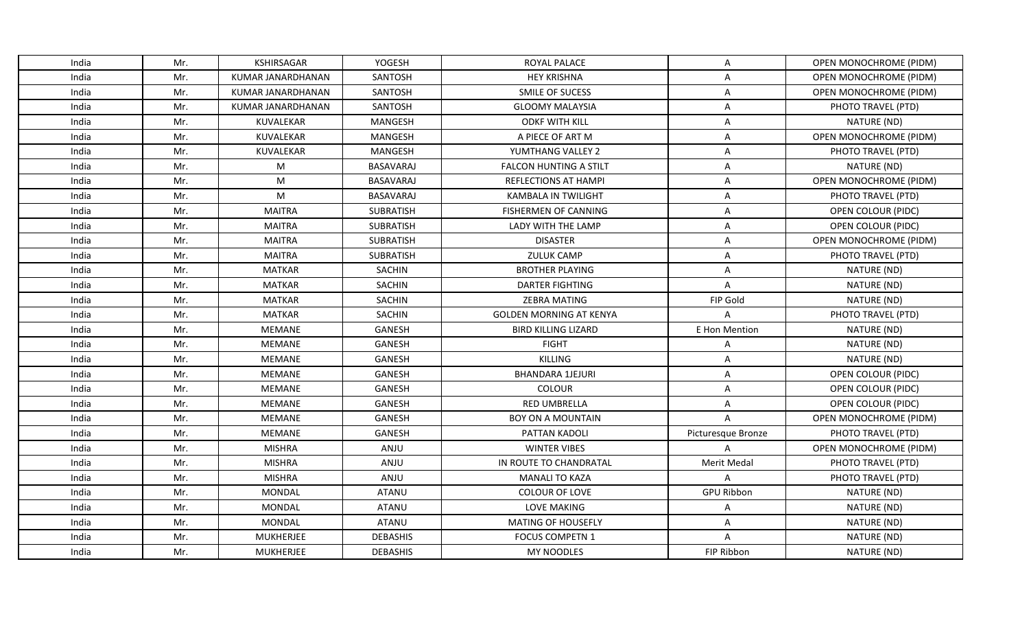| India | Mr. | KSHIRSAGAR               | YOGESH           | ROYAL PALACE                   | A                  | OPEN MONOCHROME (PIDM)        |
|-------|-----|--------------------------|------------------|--------------------------------|--------------------|-------------------------------|
| India | Mr. | <b>KUMAR JANARDHANAN</b> | SANTOSH          | <b>HEY KRISHNA</b>             | A                  | OPEN MONOCHROME (PIDM)        |
| India | Mr. | KUMAR JANARDHANAN        | SANTOSH          | SMILE OF SUCESS                | Α                  | OPEN MONOCHROME (PIDM)        |
| India | Mr. | KUMAR JANARDHANAN        | SANTOSH          | <b>GLOOMY MALAYSIA</b>         | A                  | PHOTO TRAVEL (PTD)            |
| India | Mr. | <b>KUVALEKAR</b>         | <b>MANGESH</b>   | <b>ODKF WITH KILL</b>          | Α                  | NATURE (ND)                   |
| India | Mr. | KUVALEKAR                | MANGESH          | A PIECE OF ART M               | A                  | <b>OPEN MONOCHROME (PIDM)</b> |
| India | Mr. | KUVALEKAR                | <b>MANGESH</b>   | YUMTHANG VALLEY 2              | A                  | PHOTO TRAVEL (PTD)            |
| India | Mr. | M                        | <b>BASAVARAJ</b> | <b>FALCON HUNTING A STILT</b>  | A                  | NATURE (ND)                   |
| India | Mr. | M                        | <b>BASAVARAJ</b> | <b>REFLECTIONS AT HAMPI</b>    | A                  | <b>OPEN MONOCHROME (PIDM)</b> |
| India | Mr. | M                        | BASAVARAJ        | <b>KAMBALA IN TWILIGHT</b>     | Α                  | PHOTO TRAVEL (PTD)            |
| India | Mr. | <b>MAITRA</b>            | SUBRATISH        | <b>FISHERMEN OF CANNING</b>    | A                  | OPEN COLOUR (PIDC)            |
| India | Mr. | <b>MAITRA</b>            | SUBRATISH        | LADY WITH THE LAMP             | Α                  | OPEN COLOUR (PIDC)            |
| India | Mr. | <b>MAITRA</b>            | SUBRATISH        | <b>DISASTER</b>                | A                  | OPEN MONOCHROME (PIDM)        |
| India | Mr. | <b>MAITRA</b>            | SUBRATISH        | <b>ZULUK CAMP</b>              | A                  | PHOTO TRAVEL (PTD)            |
| India | Mr. | <b>MATKAR</b>            | <b>SACHIN</b>    | <b>BROTHER PLAYING</b>         | Α                  | NATURE (ND)                   |
| India | Mr. | <b>MATKAR</b>            | <b>SACHIN</b>    | <b>DARTER FIGHTING</b>         | A                  | NATURE (ND)                   |
| India | Mr. | <b>MATKAR</b>            | <b>SACHIN</b>    | <b>ZEBRA MATING</b>            | FIP Gold           | NATURE (ND)                   |
| India | Mr. | <b>MATKAR</b>            | <b>SACHIN</b>    | <b>GOLDEN MORNING AT KENYA</b> | $\overline{A}$     | PHOTO TRAVEL (PTD)            |
| India | Mr. | MEMANE                   | GANESH           | <b>BIRD KILLING LIZARD</b>     | E Hon Mention      | NATURE (ND)                   |
| India | Mr. | MEMANE                   | <b>GANESH</b>    | <b>FIGHT</b>                   | Α                  | NATURE (ND)                   |
| India | Mr. | MEMANE                   | <b>GANESH</b>    | <b>KILLING</b>                 | Α                  | NATURE (ND)                   |
| India | Mr. | MEMANE                   | <b>GANESH</b>    | <b>BHANDARA 1JEJURI</b>        | A                  | OPEN COLOUR (PIDC)            |
| India | Mr. | MEMANE                   | <b>GANESH</b>    | COLOUR                         | A                  | OPEN COLOUR (PIDC)            |
| India | Mr. | <b>MEMANE</b>            | GANESH           | <b>RED UMBRELLA</b>            | A                  | OPEN COLOUR (PIDC)            |
| India | Mr. | MEMANE                   | <b>GANESH</b>    | BOY ON A MOUNTAIN              | $\overline{A}$     | OPEN MONOCHROME (PIDM)        |
| India | Mr. | <b>MEMANE</b>            | <b>GANESH</b>    | PATTAN KADOLI                  | Picturesque Bronze | PHOTO TRAVEL (PTD)            |
| India | Mr. | <b>MISHRA</b>            | ANJU             | <b>WINTER VIBES</b>            | A                  | OPEN MONOCHROME (PIDM)        |
| India | Mr. | <b>MISHRA</b>            | ANJU             | IN ROUTE TO CHANDRATAL         | <b>Merit Medal</b> | PHOTO TRAVEL (PTD)            |
| India | Mr. | <b>MISHRA</b>            | ANJU             | <b>MANALI TO KAZA</b>          | A                  | PHOTO TRAVEL (PTD)            |
| India | Mr. | MONDAL                   | <b>ATANU</b>     | <b>COLOUR OF LOVE</b>          | <b>GPU Ribbon</b>  | NATURE (ND)                   |
| India | Mr. | MONDAL                   | <b>ATANU</b>     | <b>LOVE MAKING</b>             | Α                  | NATURE (ND)                   |
| India | Mr. | MONDAL                   | <b>ATANU</b>     | <b>MATING OF HOUSEFLY</b>      | Α                  | NATURE (ND)                   |
| India | Mr. | <b>MUKHERJEE</b>         | <b>DEBASHIS</b>  | <b>FOCUS COMPETN 1</b>         | $\overline{A}$     | NATURE (ND)                   |
| India | Mr. | <b>MUKHERJEE</b>         | <b>DEBASHIS</b>  | MY NOODLES                     | FIP Ribbon         | NATURE (ND)                   |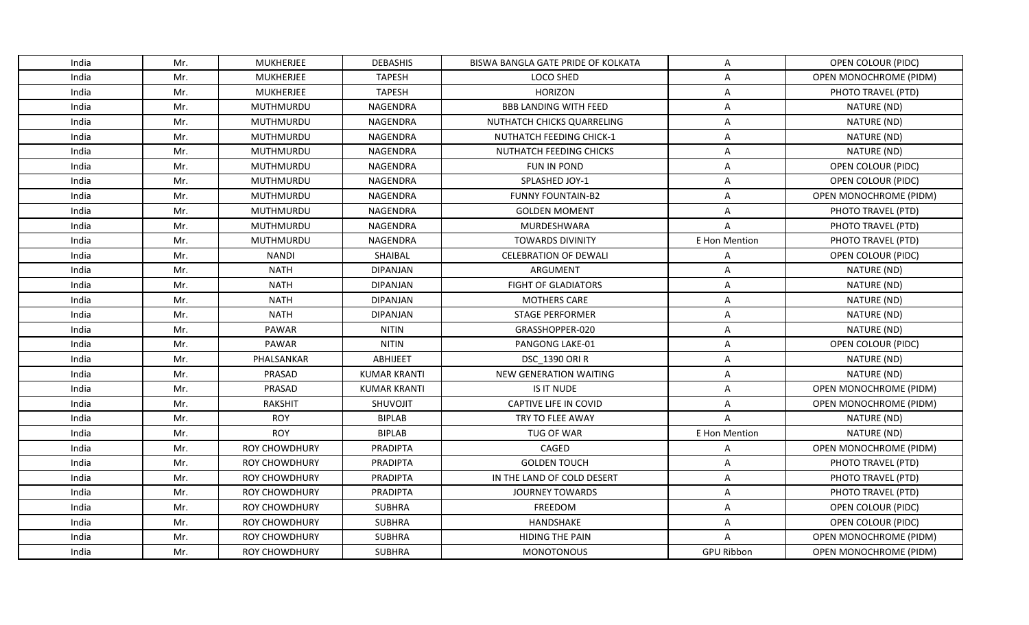| India | Mr. | <b>MUKHERJEE</b>     | <b>DEBASHIS</b>     | BISWA BANGLA GATE PRIDE OF KOLKATA | A                 | OPEN COLOUR (PIDC)            |
|-------|-----|----------------------|---------------------|------------------------------------|-------------------|-------------------------------|
| India | Mr. | <b>MUKHERJEE</b>     | <b>TAPESH</b>       | LOCO SHED                          | A                 | OPEN MONOCHROME (PIDM)        |
| India | Mr. | <b>MUKHERJEE</b>     | <b>TAPESH</b>       | <b>HORIZON</b>                     | Α                 | PHOTO TRAVEL (PTD)            |
| India | Mr. | <b>MUTHMURDU</b>     | NAGENDRA            | <b>BBB LANDING WITH FEED</b>       | Α                 | NATURE (ND)                   |
| India | Mr. | MUTHMURDU            | NAGENDRA            | NUTHATCH CHICKS QUARRELING         | Α                 | NATURE (ND)                   |
| India | Mr. | MUTHMURDU            | NAGENDRA            | <b>NUTHATCH FEEDING CHICK-1</b>    | A                 | NATURE (ND)                   |
| India | Mr. | MUTHMURDU            | NAGENDRA            | NUTHATCH FEEDING CHICKS            | Α                 | NATURE (ND)                   |
| India | Mr. | <b>MUTHMURDU</b>     | NAGENDRA            | FUN IN POND                        | A                 | OPEN COLOUR (PIDC)            |
| India | Mr. | MUTHMURDU            | NAGENDRA            | SPLASHED JOY-1                     | A                 | OPEN COLOUR (PIDC)            |
| India | Mr. | <b>MUTHMURDU</b>     | NAGENDRA            | <b>FUNNY FOUNTAIN-B2</b>           | Α                 | OPEN MONOCHROME (PIDM)        |
| India | Mr. | MUTHMURDU            | NAGENDRA            | <b>GOLDEN MOMENT</b>               | Α                 | PHOTO TRAVEL (PTD)            |
| India | Mr. | MUTHMURDU            | NAGENDRA            | MURDESHWARA                        | Α                 | PHOTO TRAVEL (PTD)            |
| India | Mr. | MUTHMURDU            | NAGENDRA            | <b>TOWARDS DIVINITY</b>            | E Hon Mention     | PHOTO TRAVEL (PTD)            |
| India | Mr. | <b>NANDI</b>         | SHAIBAL             | <b>CELEBRATION OF DEWALI</b>       | Α                 | OPEN COLOUR (PIDC)            |
| India | Mr. | <b>NATH</b>          | <b>DIPANJAN</b>     | ARGUMENT                           | Α                 | NATURE (ND)                   |
| India | Mr. | <b>NATH</b>          | <b>DIPANJAN</b>     | <b>FIGHT OF GLADIATORS</b>         | A                 | NATURE (ND)                   |
| India | Mr. | <b>NATH</b>          | <b>DIPANJAN</b>     | <b>MOTHERS CARE</b>                | A                 | NATURE (ND)                   |
| India | Mr. | <b>NATH</b>          | <b>DIPANJAN</b>     | <b>STAGE PERFORMER</b>             | Α                 | NATURE (ND)                   |
| India | Mr. | PAWAR                | <b>NITIN</b>        | GRASSHOPPER-020                    | A                 | NATURE (ND)                   |
| India | Mr. | <b>PAWAR</b>         | <b>NITIN</b>        | <b>PANGONG LAKE-01</b>             | Α                 | OPEN COLOUR (PIDC)            |
| India | Mr. | PHALSANKAR           | <b>ABHIJEET</b>     | <b>DSC 1390 ORI R</b>              | Α                 | NATURE (ND)                   |
| India | Mr. | PRASAD               | <b>KUMAR KRANTI</b> | NEW GENERATION WAITING             | Α                 | NATURE (ND)                   |
| India | Mr. | PRASAD               | <b>KUMAR KRANTI</b> | IS IT NUDE                         | A                 | OPEN MONOCHROME (PIDM)        |
| India | Mr. | RAKSHIT              | <b>SHUVOJIT</b>     | CAPTIVE LIFE IN COVID              | Α                 | OPEN MONOCHROME (PIDM)        |
| India | Mr. | <b>ROY</b>           | <b>BIPLAB</b>       | TRY TO FLEE AWAY                   | $\overline{A}$    | NATURE (ND)                   |
| India | Mr. | <b>ROY</b>           | <b>BIPLAB</b>       | TUG OF WAR                         | E Hon Mention     | NATURE (ND)                   |
| India | Mr. | <b>ROY CHOWDHURY</b> | PRADIPTA            | CAGED                              | Α                 | OPEN MONOCHROME (PIDM)        |
| India | Mr. | <b>ROY CHOWDHURY</b> | <b>PRADIPTA</b>     | <b>GOLDEN TOUCH</b>                | Α                 | PHOTO TRAVEL (PTD)            |
| India | Mr. | <b>ROY CHOWDHURY</b> | <b>PRADIPTA</b>     | IN THE LAND OF COLD DESERT         | A                 | PHOTO TRAVEL (PTD)            |
| India | Mr. | <b>ROY CHOWDHURY</b> | <b>PRADIPTA</b>     | <b>JOURNEY TOWARDS</b>             | Α                 | PHOTO TRAVEL (PTD)            |
| India | Mr. | ROY CHOWDHURY        | <b>SUBHRA</b>       | FREEDOM                            | A                 | OPEN COLOUR (PIDC)            |
| India | Mr. | <b>ROY CHOWDHURY</b> | <b>SUBHRA</b>       | HANDSHAKE                          | Α                 | OPEN COLOUR (PIDC)            |
| India | Mr. | <b>ROY CHOWDHURY</b> | <b>SUBHRA</b>       | <b>HIDING THE PAIN</b>             | A                 | OPEN MONOCHROME (PIDM)        |
| India | Mr. | <b>ROY CHOWDHURY</b> | <b>SUBHRA</b>       | <b>MONOTONOUS</b>                  | <b>GPU Ribbon</b> | <b>OPEN MONOCHROME (PIDM)</b> |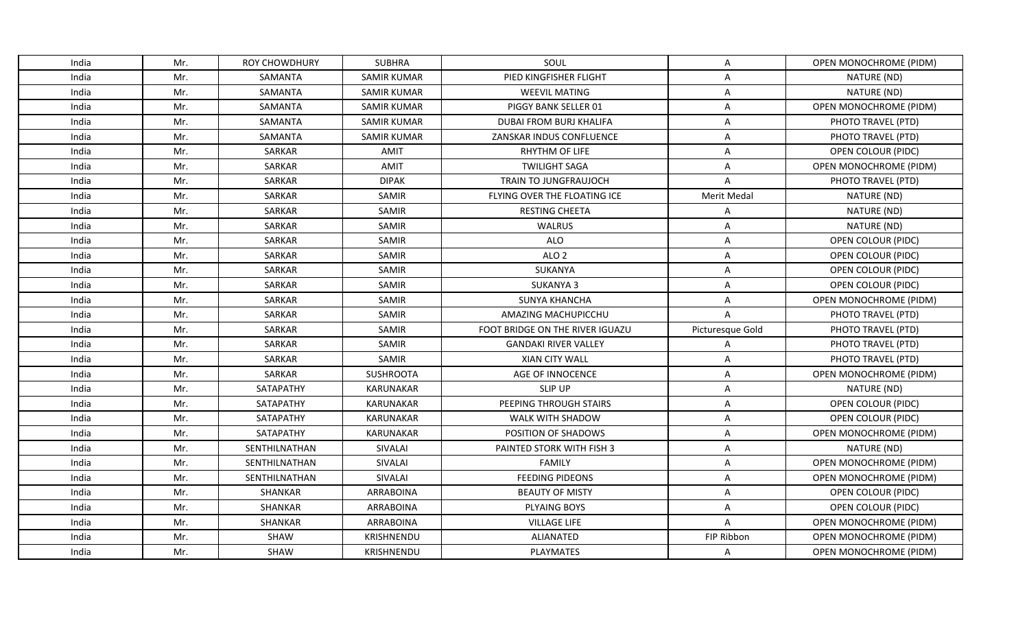| India | Mr. | <b>ROY CHOWDHURY</b> | <b>SUBHRA</b>      | SOUL                            | A                  | OPEN MONOCHROME (PIDM)        |
|-------|-----|----------------------|--------------------|---------------------------------|--------------------|-------------------------------|
| India | Mr. | SAMANTA              | <b>SAMIR KUMAR</b> | PIED KINGFISHER FLIGHT          | A                  | NATURE (ND)                   |
| India | Mr. | SAMANTA              | <b>SAMIR KUMAR</b> | <b>WEEVIL MATING</b>            | Α                  | NATURE (ND)                   |
| India | Mr. | SAMANTA              | <b>SAMIR KUMAR</b> | PIGGY BANK SELLER 01            | Α                  | OPEN MONOCHROME (PIDM)        |
| India | Mr. | SAMANTA              | <b>SAMIR KUMAR</b> | DUBAI FROM BURJ KHALIFA         | Α                  | PHOTO TRAVEL (PTD)            |
| India | Mr. | <b>SAMANTA</b>       | <b>SAMIR KUMAR</b> | ZANSKAR INDUS CONFLUENCE        | Α                  | PHOTO TRAVEL (PTD)            |
| India | Mr. | SARKAR               | AMIT               | RHYTHM OF LIFE                  | Α                  | OPEN COLOUR (PIDC)            |
| India | Mr. | SARKAR               | <b>AMIT</b>        | <b>TWILIGHT SAGA</b>            | A                  | OPEN MONOCHROME (PIDM)        |
| India | Mr. | SARKAR               | <b>DIPAK</b>       | TRAIN TO JUNGFRAUJOCH           | A                  | PHOTO TRAVEL (PTD)            |
| India | Mr. | SARKAR               | <b>SAMIR</b>       | FLYING OVER THE FLOATING ICE    | <b>Merit Medal</b> | NATURE (ND)                   |
| India | Mr. | SARKAR               | SAMIR              | <b>RESTING CHEETA</b>           | Α                  | NATURE (ND)                   |
| India | Mr. | SARKAR               | <b>SAMIR</b>       | <b>WALRUS</b>                   | Α                  | NATURE (ND)                   |
| India | Mr. | SARKAR               | SAMIR              | <b>ALO</b>                      | Α                  | OPEN COLOUR (PIDC)            |
| India | Mr. | SARKAR               | SAMIR              | ALO <sub>2</sub>                | Α                  | OPEN COLOUR (PIDC)            |
| India | Mr. | SARKAR               | SAMIR              | SUKANYA                         | Α                  | OPEN COLOUR (PIDC)            |
| India | Mr. | SARKAR               | SAMIR              | <b>SUKANYA 3</b>                | A                  | OPEN COLOUR (PIDC)            |
| India | Mr. | SARKAR               | SAMIR              | <b>SUNYA KHANCHA</b>            | A                  | OPEN MONOCHROME (PIDM)        |
| India | Mr. | SARKAR               | <b>SAMIR</b>       | AMAZING MACHUPICCHU             | A                  | PHOTO TRAVEL (PTD)            |
| India | Mr. | SARKAR               | SAMIR              | FOOT BRIDGE ON THE RIVER IGUAZU | Picturesque Gold   | PHOTO TRAVEL (PTD)            |
| India | Mr. | SARKAR               | <b>SAMIR</b>       | <b>GANDAKI RIVER VALLEY</b>     | A                  | PHOTO TRAVEL (PTD)            |
| India | Mr. | SARKAR               | SAMIR              | <b>XIAN CITY WALL</b>           | Α                  | PHOTO TRAVEL (PTD)            |
| India | Mr. | SARKAR               | <b>SUSHROOTA</b>   | AGE OF INNOCENCE                | Α                  | OPEN MONOCHROME (PIDM)        |
| India | Mr. | SATAPATHY            | <b>KARUNAKAR</b>   | <b>SLIP UP</b>                  | A                  | NATURE (ND)                   |
| India | Mr. | SATAPATHY            | KARUNAKAR          | PEEPING THROUGH STAIRS          | Α                  | OPEN COLOUR (PIDC)            |
| India | Mr. | SATAPATHY            | <b>KARUNAKAR</b>   | WALK WITH SHADOW                | Α                  | OPEN COLOUR (PIDC)            |
| India | Mr. | SATAPATHY            | KARUNAKAR          | POSITION OF SHADOWS             | Α                  | OPEN MONOCHROME (PIDM)        |
| India | Mr. | SENTHILNATHAN        | SIVALAI            | PAINTED STORK WITH FISH 3       | A                  | NATURE (ND)                   |
| India | Mr. | SENTHILNATHAN        | SIVALAI            | <b>FAMILY</b>                   | Α                  | OPEN MONOCHROME (PIDM)        |
| India | Mr. | SENTHILNATHAN        | <b>SIVALAI</b>     | <b>FEEDING PIDEONS</b>          | A                  | <b>OPEN MONOCHROME (PIDM)</b> |
| India | Mr. | SHANKAR              | ARRABOINA          | <b>BEAUTY OF MISTY</b>          | Α                  | OPEN COLOUR (PIDC)            |
| India | Mr. | SHANKAR              | ARRABOINA          | PLYAING BOYS                    | A                  | OPEN COLOUR (PIDC)            |
| India | Mr. | SHANKAR              | ARRABOINA          | <b>VILLAGE LIFE</b>             | Α                  | OPEN MONOCHROME (PIDM)        |
| India | Mr. | <b>SHAW</b>          | KRISHNENDU         | <b>ALIANATED</b>                | FIP Ribbon         | OPEN MONOCHROME (PIDM)        |
| India | Mr. | SHAW                 | KRISHNENDU         | <b>PLAYMATES</b>                | Α                  | OPEN MONOCHROME (PIDM)        |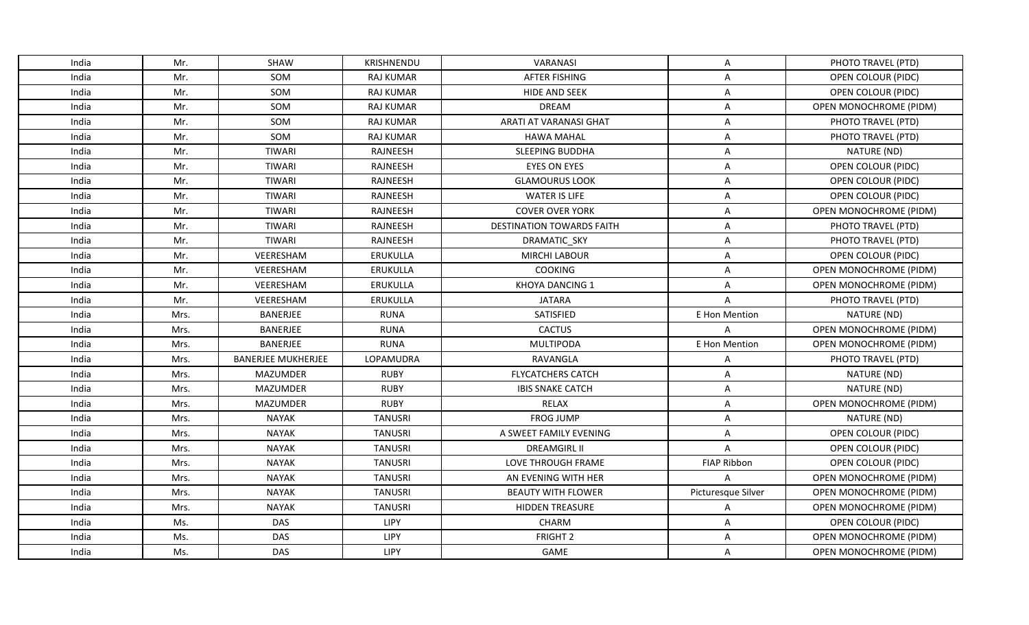| India | Mr.  | <b>SHAW</b>               | <b>KRISHNENDU</b> | VARANASI                         | Α                  | PHOTO TRAVEL (PTD)            |
|-------|------|---------------------------|-------------------|----------------------------------|--------------------|-------------------------------|
| India | Mr.  | SOM                       | <b>RAJ KUMAR</b>  | <b>AFTER FISHING</b>             | A                  | OPEN COLOUR (PIDC)            |
| India | Mr.  | SOM                       | <b>RAJ KUMAR</b>  | HIDE AND SEEK                    | A                  | OPEN COLOUR (PIDC)            |
| India | Mr.  | SOM                       | <b>RAJ KUMAR</b>  | <b>DREAM</b>                     | A                  | OPEN MONOCHROME (PIDM)        |
| India | Mr.  | SOM                       | <b>RAJ KUMAR</b>  | ARATI AT VARANASI GHAT           | Α                  | PHOTO TRAVEL (PTD)            |
| India | Mr.  | <b>SOM</b>                | <b>RAJ KUMAR</b>  | <b>HAWA MAHAL</b>                | A                  | PHOTO TRAVEL (PTD)            |
| India | Mr.  | <b>TIWARI</b>             | RAJNEESH          | SLEEPING BUDDHA                  | A                  | NATURE (ND)                   |
| India | Mr.  | <b>TIWARI</b>             | RAJNEESH          | <b>EYES ON EYES</b>              | A                  | <b>OPEN COLOUR (PIDC)</b>     |
| India | Mr.  | <b>TIWARI</b>             | <b>RAJNEESH</b>   | <b>GLAMOURUS LOOK</b>            | A                  | OPEN COLOUR (PIDC)            |
| India | Mr.  | TIWARI                    | RAJNEESH          | <b>WATER IS LIFE</b>             | Α                  | OPEN COLOUR (PIDC)            |
| India | Mr.  | <b>TIWARI</b>             | RAJNEESH          | <b>COVER OVER YORK</b>           | A                  | OPEN MONOCHROME (PIDM)        |
| India | Mr.  | <b>TIWARI</b>             | RAJNEESH          | <b>DESTINATION TOWARDS FAITH</b> | Α                  | PHOTO TRAVEL (PTD)            |
| India | Mr.  | <b>TIWARI</b>             | RAJNEESH          | <b>DRAMATIC SKY</b>              | A                  | PHOTO TRAVEL (PTD)            |
| India | Mr.  | VEERESHAM                 | ERUKULLA          | <b>MIRCHI LABOUR</b>             | Α                  | OPEN COLOUR (PIDC)            |
| India | Mr.  | VEERESHAM                 | ERUKULLA          | <b>COOKING</b>                   | Α                  | OPEN MONOCHROME (PIDM)        |
| India | Mr.  | VEERESHAM                 | ERUKULLA          | <b>KHOYA DANCING 1</b>           | A                  | OPEN MONOCHROME (PIDM)        |
| India | Mr.  | VEERESHAM                 | <b>ERUKULLA</b>   | <b>JATARA</b>                    | A                  | PHOTO TRAVEL (PTD)            |
| India | Mrs. | <b>BANERJEE</b>           | <b>RUNA</b>       | SATISFIED                        | E Hon Mention      | NATURE (ND)                   |
| India | Mrs. | <b>BANERJEE</b>           | <b>RUNA</b>       | <b>CACTUS</b>                    | A                  | OPEN MONOCHROME (PIDM)        |
| India | Mrs. | BANERJEE                  | <b>RUNA</b>       | <b>MULTIPODA</b>                 | E Hon Mention      | OPEN MONOCHROME (PIDM)        |
| India | Mrs. | <b>BANERJEE MUKHERJEE</b> | LOPAMUDRA         | RAVANGLA                         | A                  | PHOTO TRAVEL (PTD)            |
| India | Mrs. | MAZUMDER                  | <b>RUBY</b>       | <b>FLYCATCHERS CATCH</b>         | A                  | NATURE (ND)                   |
| India | Mrs. | <b>MAZUMDER</b>           | <b>RUBY</b>       | <b>IBIS SNAKE CATCH</b>          | A                  | NATURE (ND)                   |
| India | Mrs. | <b>MAZUMDER</b>           | <b>RUBY</b>       | <b>RELAX</b>                     | A                  | OPEN MONOCHROME (PIDM)        |
| India | Mrs. | <b>NAYAK</b>              | <b>TANUSRI</b>    | <b>FROG JUMP</b>                 | Α                  | NATURE (ND)                   |
| India | Mrs. | <b>NAYAK</b>              | <b>TANUSRI</b>    | A SWEET FAMILY EVENING           | A                  | OPEN COLOUR (PIDC)            |
| India | Mrs. | <b>NAYAK</b>              | <b>TANUSRI</b>    | <b>DREAMGIRL II</b>              | A                  | OPEN COLOUR (PIDC)            |
| India | Mrs. | <b>NAYAK</b>              | <b>TANUSRI</b>    | LOVE THROUGH FRAME               | <b>FIAP Ribbon</b> | OPEN COLOUR (PIDC)            |
| India | Mrs. | <b>NAYAK</b>              | <b>TANUSRI</b>    | AN EVENING WITH HER              | $\overline{A}$     | OPEN MONOCHROME (PIDM)        |
| India | Mrs. | <b>NAYAK</b>              | <b>TANUSRI</b>    | <b>BEAUTY WITH FLOWER</b>        | Picturesque Silver | <b>OPEN MONOCHROME (PIDM)</b> |
| India | Mrs. | <b>NAYAK</b>              | <b>TANUSRI</b>    | <b>HIDDEN TREASURE</b>           | A                  | OPEN MONOCHROME (PIDM)        |
| India | Ms.  | <b>DAS</b>                | LIPY              | CHARM                            | Α                  | OPEN COLOUR (PIDC)            |
| India | Ms.  | DAS                       | LIPY              | FRIGHT <sub>2</sub>              | A                  | OPEN MONOCHROME (PIDM)        |
| India | Ms.  | <b>DAS</b>                | LIPY              | GAME                             | Α                  | OPEN MONOCHROME (PIDM)        |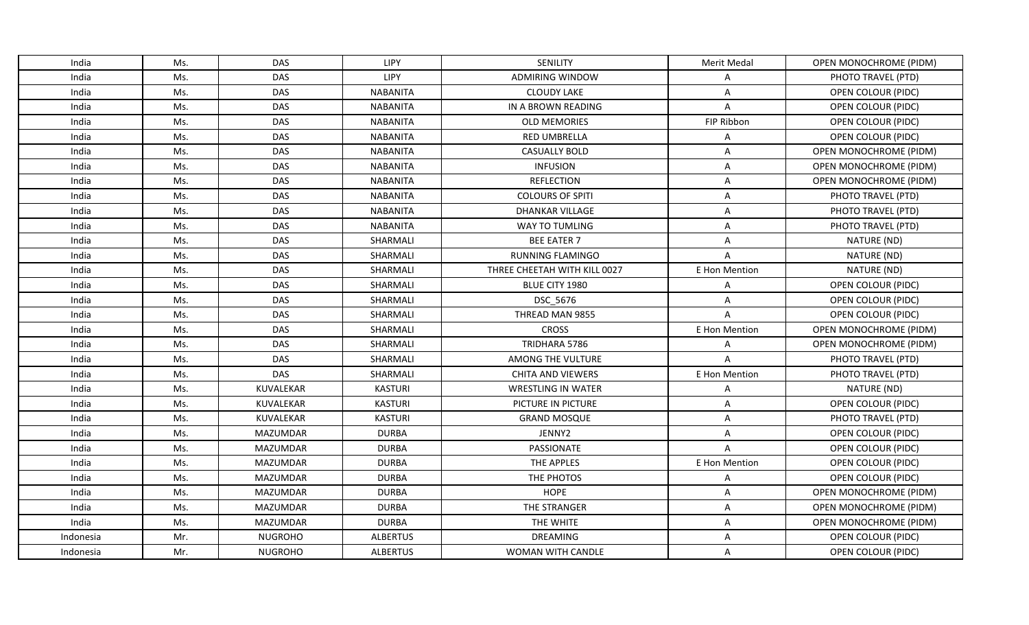| India     | Ms. | <b>DAS</b>      | <b>LIPY</b>     | <b>SENILITY</b>              | Merit Medal    | OPEN MONOCHROME (PIDM)        |
|-----------|-----|-----------------|-----------------|------------------------------|----------------|-------------------------------|
| India     | Ms. | <b>DAS</b>      | LIPY            | <b>ADMIRING WINDOW</b>       | Α              | PHOTO TRAVEL (PTD)            |
| India     | Ms. | <b>DAS</b>      | <b>NABANITA</b> | <b>CLOUDY LAKE</b>           | Α              | OPEN COLOUR (PIDC)            |
| India     | Ms. | <b>DAS</b>      | <b>NABANITA</b> | IN A BROWN READING           | $\overline{A}$ | OPEN COLOUR (PIDC)            |
| India     | Ms. | <b>DAS</b>      | <b>NABANITA</b> | <b>OLD MEMORIES</b>          | FIP Ribbon     | OPEN COLOUR (PIDC)            |
| India     | Ms. | <b>DAS</b>      | <b>NABANITA</b> | <b>RED UMBRELLA</b>          | Α              | OPEN COLOUR (PIDC)            |
| India     | Ms. | <b>DAS</b>      | <b>NABANITA</b> | <b>CASUALLY BOLD</b>         | A              | OPEN MONOCHROME (PIDM)        |
| India     | Ms. | <b>DAS</b>      | <b>NABANITA</b> | <b>INFUSION</b>              | A              | OPEN MONOCHROME (PIDM)        |
| India     | Ms. | <b>DAS</b>      | <b>NABANITA</b> | <b>REFLECTION</b>            | A              | OPEN MONOCHROME (PIDM)        |
| India     | Ms. | <b>DAS</b>      | <b>NABANITA</b> | <b>COLOURS OF SPITI</b>      | Α              | PHOTO TRAVEL (PTD)            |
| India     | Ms. | <b>DAS</b>      | <b>NABANITA</b> | <b>DHANKAR VILLAGE</b>       | A              | PHOTO TRAVEL (PTD)            |
| India     | Ms. | DAS             | <b>NABANITA</b> | WAY TO TUMLING               | Α              | PHOTO TRAVEL (PTD)            |
| India     | Ms. | <b>DAS</b>      | SHARMALI        | <b>BEE EATER 7</b>           | A              | NATURE (ND)                   |
| India     | Ms. | <b>DAS</b>      | SHARMALI        | <b>RUNNING FLAMINGO</b>      | A              | NATURE (ND)                   |
| India     | Ms. | <b>DAS</b>      | SHARMALI        | THREE CHEETAH WITH KILL 0027 | E Hon Mention  | NATURE (ND)                   |
| India     | Ms. | <b>DAS</b>      | SHARMALI        | BLUE CITY 1980               | Α              | OPEN COLOUR (PIDC)            |
| India     | Ms. | <b>DAS</b>      | SHARMALI        | DSC_5676                     | A              | OPEN COLOUR (PIDC)            |
| India     | Ms. | <b>DAS</b>      | SHARMALI        | THREAD MAN 9855              | $\overline{A}$ | OPEN COLOUR (PIDC)            |
| India     | Ms. | <b>DAS</b>      | SHARMALI        | <b>CROSS</b>                 | E Hon Mention  | OPEN MONOCHROME (PIDM)        |
| India     | Ms. | <b>DAS</b>      | SHARMALI        | TRIDHARA 5786                | A              | OPEN MONOCHROME (PIDM)        |
| India     | Ms. | <b>DAS</b>      | SHARMALI        | AMONG THE VULTURE            | A              | PHOTO TRAVEL (PTD)            |
| India     | Ms. | <b>DAS</b>      | <b>SHARMALI</b> | <b>CHITA AND VIEWERS</b>     | E Hon Mention  | PHOTO TRAVEL (PTD)            |
| India     | Ms. | KUVALEKAR       | <b>KASTURI</b>  | <b>WRESTLING IN WATER</b>    | Α              | NATURE (ND)                   |
| India     | Ms. | KUVALEKAR       | <b>KASTURI</b>  | PICTURE IN PICTURE           | Α              | OPEN COLOUR (PIDC)            |
| India     | Ms. | KUVALEKAR       | <b>KASTURI</b>  | <b>GRAND MOSQUE</b>          | A              | PHOTO TRAVEL (PTD)            |
| India     | Ms. | <b>MAZUMDAR</b> | <b>DURBA</b>    | JENNY2                       | A              | OPEN COLOUR (PIDC)            |
| India     | Ms. | MAZUMDAR        | <b>DURBA</b>    | <b>PASSIONATE</b>            | A              | OPEN COLOUR (PIDC)            |
| India     | Ms. | <b>MAZUMDAR</b> | <b>DURBA</b>    | THE APPLES                   | E Hon Mention  | OPEN COLOUR (PIDC)            |
| India     | Ms. | <b>MAZUMDAR</b> | <b>DURBA</b>    | THE PHOTOS                   | A              | OPEN COLOUR (PIDC)            |
| India     | Ms. | MAZUMDAR        | <b>DURBA</b>    | <b>HOPE</b>                  | Α              | OPEN MONOCHROME (PIDM)        |
| India     | Ms. | MAZUMDAR        | <b>DURBA</b>    | THE STRANGER                 | A              | <b>OPEN MONOCHROME (PIDM)</b> |
| India     | Ms. | MAZUMDAR        | <b>DURBA</b>    | THE WHITE                    | A              | OPEN MONOCHROME (PIDM)        |
| Indonesia | Mr. | <b>NUGROHO</b>  | <b>ALBERTUS</b> | <b>DREAMING</b>              | A              | OPEN COLOUR (PIDC)            |
| Indonesia | Mr. | <b>NUGROHO</b>  | <b>ALBERTUS</b> | WOMAN WITH CANDLE            | A              | OPEN COLOUR (PIDC)            |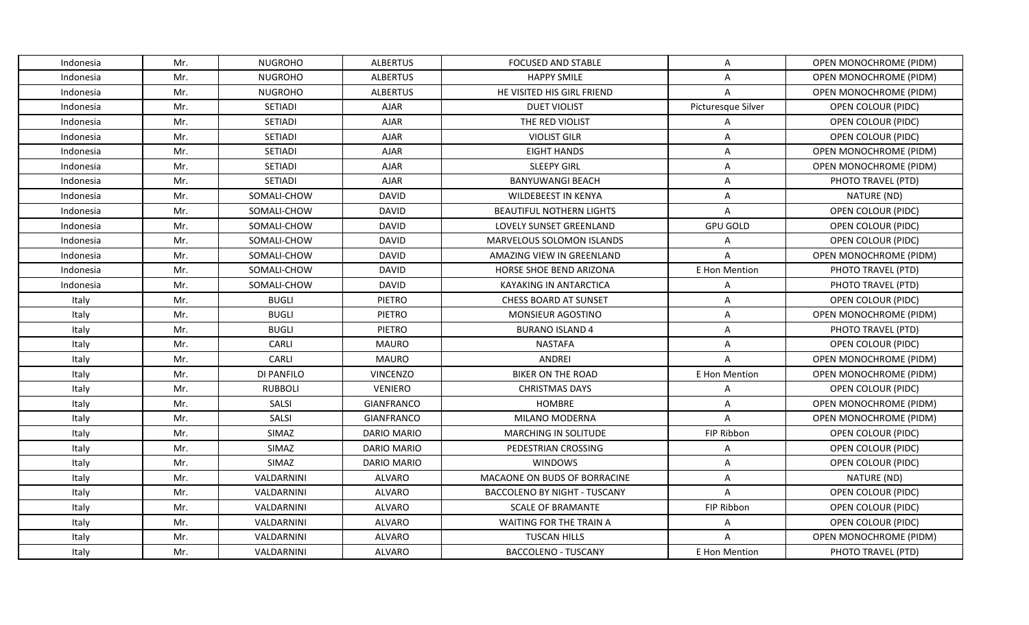| Indonesia | Mr. | <b>NUGROHO</b> | <b>ALBERTUS</b>    | <b>FOCUSED AND STABLE</b>           | Α                  | OPEN MONOCHROME (PIDM)        |
|-----------|-----|----------------|--------------------|-------------------------------------|--------------------|-------------------------------|
| Indonesia | Mr. | <b>NUGROHO</b> | <b>ALBERTUS</b>    | <b>HAPPY SMILE</b>                  | A                  | OPEN MONOCHROME (PIDM)        |
| Indonesia | Mr. | <b>NUGROHO</b> | <b>ALBERTUS</b>    | HE VISITED HIS GIRL FRIEND          | $\overline{A}$     | OPEN MONOCHROME (PIDM)        |
| Indonesia | Mr. | <b>SETIADI</b> | <b>AJAR</b>        | <b>DUET VIOLIST</b>                 | Picturesque Silver | OPEN COLOUR (PIDC)            |
| Indonesia | Mr. | <b>SETIADI</b> | <b>AJAR</b>        | THE RED VIOLIST                     | A                  | OPEN COLOUR (PIDC)            |
| Indonesia | Mr. | SETIADI        | <b>AJAR</b>        | <b>VIOLIST GILR</b>                 | A                  | OPEN COLOUR (PIDC)            |
| Indonesia | Mr. | SETIADI        | <b>AJAR</b>        | <b>EIGHT HANDS</b>                  | A                  | OPEN MONOCHROME (PIDM)        |
| Indonesia | Mr. | SETIADI        | <b>AJAR</b>        | <b>SLEEPY GIRL</b>                  | A                  | <b>OPEN MONOCHROME (PIDM)</b> |
| Indonesia | Mr. | <b>SETIADI</b> | <b>AJAR</b>        | <b>BANYUWANGI BEACH</b>             | A                  | PHOTO TRAVEL (PTD)            |
| Indonesia | Mr. | SOMALI-CHOW    | <b>DAVID</b>       | <b>WILDEBEEST IN KENYA</b>          | Α                  | NATURE (ND)                   |
| Indonesia | Mr. | SOMALI-CHOW    | <b>DAVID</b>       | <b>BEAUTIFUL NOTHERN LIGHTS</b>     | A                  | OPEN COLOUR (PIDC)            |
| Indonesia | Mr. | SOMALI-CHOW    | <b>DAVID</b>       | LOVELY SUNSET GREENLAND             | <b>GPU GOLD</b>    | OPEN COLOUR (PIDC)            |
| Indonesia | Mr. | SOMALI-CHOW    | <b>DAVID</b>       | MARVELOUS SOLOMON ISLANDS           | $\overline{A}$     | OPEN COLOUR (PIDC)            |
| Indonesia | Mr. | SOMALI-CHOW    | <b>DAVID</b>       | AMAZING VIEW IN GREENLAND           | $\overline{A}$     | OPEN MONOCHROME (PIDM)        |
| Indonesia | Mr. | SOMALI-CHOW    | <b>DAVID</b>       | <b>HORSE SHOE BEND ARIZONA</b>      | E Hon Mention      | PHOTO TRAVEL (PTD)            |
| Indonesia | Mr. | SOMALI-CHOW    | <b>DAVID</b>       | KAYAKING IN ANTARCTICA              | Α                  | PHOTO TRAVEL (PTD)            |
| Italy     | Mr. | <b>BUGLI</b>   | <b>PIETRO</b>      | <b>CHESS BOARD AT SUNSET</b>        | A                  | OPEN COLOUR (PIDC)            |
| Italy     | Mr. | <b>BUGLI</b>   | <b>PIETRO</b>      | MONSIEUR AGOSTINO                   | A                  | OPEN MONOCHROME (PIDM)        |
| Italy     | Mr. | <b>BUGLI</b>   | <b>PIETRO</b>      | <b>BURANO ISLAND 4</b>              | A                  | PHOTO TRAVEL (PTD)            |
| Italy     | Mr. | CARLI          | <b>MAURO</b>       | <b>NASTAFA</b>                      | A                  | OPEN COLOUR (PIDC)            |
| Italy     | Mr. | CARLI          | <b>MAURO</b>       | ANDREI                              | A                  | OPEN MONOCHROME (PIDM)        |
| Italy     | Mr. | DI PANFILO     | <b>VINCENZO</b>    | <b>BIKER ON THE ROAD</b>            | E Hon Mention      | OPEN MONOCHROME (PIDM)        |
| Italy     | Mr. | <b>RUBBOLI</b> | <b>VENIERO</b>     | <b>CHRISTMAS DAYS</b>               | Α                  | OPEN COLOUR (PIDC)            |
| Italy     | Mr. | SALSI          | <b>GIANFRANCO</b>  | <b>HOMBRE</b>                       | Α                  | OPEN MONOCHROME (PIDM)        |
| Italy     | Mr. | SALSI          | <b>GIANFRANCO</b>  | MILANO MODERNA                      | A                  | OPEN MONOCHROME (PIDM)        |
| Italy     | Mr. | SIMAZ          | DARIO MARIO        | MARCHING IN SOLITUDE                | FIP Ribbon         | OPEN COLOUR (PIDC)            |
| Italy     | Mr. | SIMAZ          | <b>DARIO MARIO</b> | PEDESTRIAN CROSSING                 | Α                  | OPEN COLOUR (PIDC)            |
| Italy     | Mr. | SIMAZ          | <b>DARIO MARIO</b> | <b>WINDOWS</b>                      | A                  | <b>OPEN COLOUR (PIDC)</b>     |
| Italy     | Mr. | VALDARNINI     | ALVARO             | MACAONE ON BUDS OF BORRACINE        | A                  | NATURE (ND)                   |
| Italy     | Mr. | VALDARNINI     | ALVARO             | <b>BACCOLENO BY NIGHT - TUSCANY</b> | $\overline{A}$     | OPEN COLOUR (PIDC)            |
| Italy     | Mr. | VALDARNINI     | <b>ALVARO</b>      | <b>SCALE OF BRAMANTE</b>            | FIP Ribbon         | OPEN COLOUR (PIDC)            |
| Italy     | Mr. | VALDARNINI     | ALVARO             | WAITING FOR THE TRAIN A             | Α                  | OPEN COLOUR (PIDC)            |
| Italy     | Mr. | VALDARNINI     | <b>ALVARO</b>      | <b>TUSCAN HILLS</b>                 | $\overline{A}$     | OPEN MONOCHROME (PIDM)        |
| Italy     | Mr. | VALDARNINI     | ALVARO             | <b>BACCOLENO - TUSCANY</b>          | E Hon Mention      | PHOTO TRAVEL (PTD)            |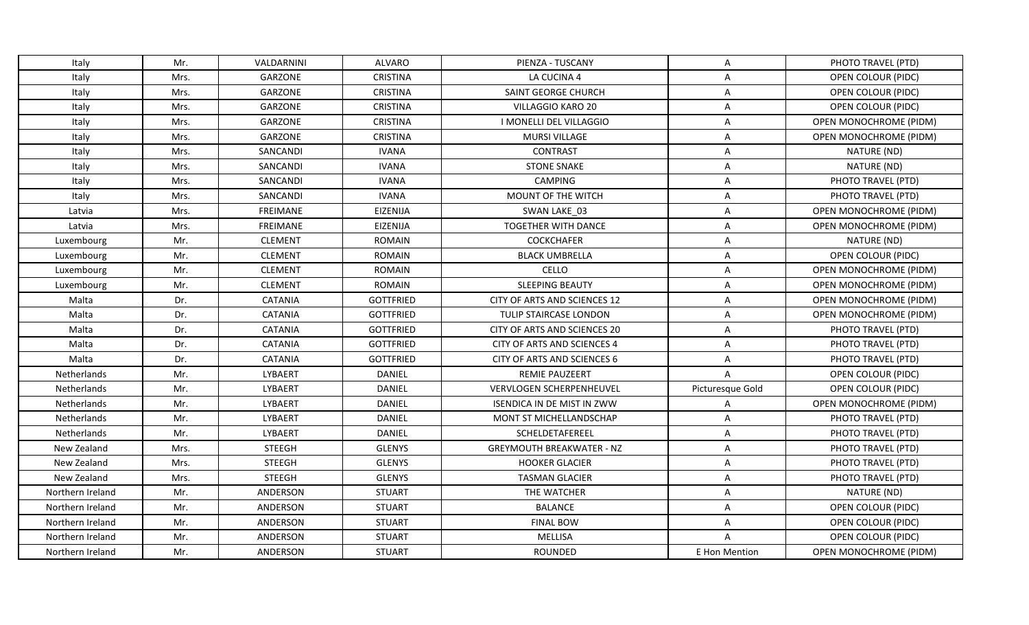| Italy              | Mr.  | VALDARNINI      | ALVARO           | PIENZA - TUSCANY                   | A                | PHOTO TRAVEL (PTD)            |
|--------------------|------|-----------------|------------------|------------------------------------|------------------|-------------------------------|
| Italy              | Mrs. | GARZONE         | <b>CRISTINA</b>  | LA CUCINA 4                        | A                | OPEN COLOUR (PIDC)            |
| Italy              | Mrs. | GARZONE         | <b>CRISTINA</b>  | SAINT GEORGE CHURCH                | Α                | OPEN COLOUR (PIDC)            |
| Italy              | Mrs. | GARZONE         | <b>CRISTINA</b>  | VILLAGGIO KARO 20                  | A                | OPEN COLOUR (PIDC)            |
| Italy              | Mrs. | GARZONE         | <b>CRISTINA</b>  | I MONELLI DEL VILLAGGIO            | Α                | OPEN MONOCHROME (PIDM)        |
| Italy              | Mrs. | GARZONE         | <b>CRISTINA</b>  | MURSI VILLAGE                      | A                | OPEN MONOCHROME (PIDM)        |
| Italy              | Mrs. | SANCANDI        | <b>IVANA</b>     | <b>CONTRAST</b>                    | A                | NATURE (ND)                   |
| Italy              | Mrs. | SANCANDI        | <b>IVANA</b>     | <b>STONE SNAKE</b>                 | A                | NATURE (ND)                   |
| Italy              | Mrs. | SANCANDI        | <b>IVANA</b>     | CAMPING                            | A                | PHOTO TRAVEL (PTD)            |
| Italy              | Mrs. | SANCANDI        | <b>IVANA</b>     | MOUNT OF THE WITCH                 | Α                | PHOTO TRAVEL (PTD)            |
| Latvia             | Mrs. | <b>FREIMANE</b> | <b>EIZENIJA</b>  | SWAN LAKE 03                       | A                | OPEN MONOCHROME (PIDM)        |
| Latvia             | Mrs. | <b>FREIMANE</b> | <b>EIZENIJA</b>  | <b>TOGETHER WITH DANCE</b>         | A                | OPEN MONOCHROME (PIDM)        |
| Luxembourg         | Mr.  | <b>CLEMENT</b>  | <b>ROMAIN</b>    | COCKCHAFER                         | A                | NATURE (ND)                   |
| Luxembourg         | Mr.  | <b>CLEMENT</b>  | <b>ROMAIN</b>    | <b>BLACK UMBRELLA</b>              | Α                | <b>OPEN COLOUR (PIDC)</b>     |
| Luxembourg         | Mr.  | <b>CLEMENT</b>  | <b>ROMAIN</b>    | CELLO                              | A                | OPEN MONOCHROME (PIDM)        |
| Luxembourg         | Mr.  | <b>CLEMENT</b>  | <b>ROMAIN</b>    | <b>SLEEPING BEAUTY</b>             | A                | OPEN MONOCHROME (PIDM)        |
| Malta              | Dr.  | <b>CATANIA</b>  | <b>GOTTFRIED</b> | CITY OF ARTS AND SCIENCES 12       | A                | OPEN MONOCHROME (PIDM)        |
| Malta              | Dr.  | <b>CATANIA</b>  | <b>GOTTFRIED</b> | TULIP STAIRCASE LONDON             | $\overline{A}$   | <b>OPEN MONOCHROME (PIDM)</b> |
| Malta              | Dr.  | <b>CATANIA</b>  | <b>GOTTFRIED</b> | CITY OF ARTS AND SCIENCES 20       | A                | PHOTO TRAVEL (PTD)            |
| Malta              | Dr.  | <b>CATANIA</b>  | <b>GOTTFRIED</b> | <b>CITY OF ARTS AND SCIENCES 4</b> | Α                | PHOTO TRAVEL (PTD)            |
| Malta              | Dr.  | <b>CATANIA</b>  | <b>GOTTFRIED</b> | CITY OF ARTS AND SCIENCES 6        | A                | PHOTO TRAVEL (PTD)            |
| Netherlands        | Mr.  | LYBAERT         | DANIEL           | <b>REMIE PAUZEERT</b>              | Α                | OPEN COLOUR (PIDC)            |
| Netherlands        | Mr.  | LYBAERT         | <b>DANIEL</b>    | VERVLOGEN SCHERPENHEUVEL           | Picturesque Gold | OPEN COLOUR (PIDC)            |
| Netherlands        | Mr.  | LYBAERT         | <b>DANIEL</b>    | <b>ISENDICA IN DE MIST IN ZWW</b>  | Α                | OPEN MONOCHROME (PIDM)        |
| Netherlands        | Mr.  | LYBAERT         | <b>DANIEL</b>    | MONT ST MICHELLANDSCHAP            | $\overline{A}$   | PHOTO TRAVEL (PTD)            |
| <b>Netherlands</b> | Mr.  | LYBAERT         | DANIEL           | SCHELDETAFEREEL                    | Α                | PHOTO TRAVEL (PTD)            |
| New Zealand        | Mrs. | <b>STEEGH</b>   | <b>GLENYS</b>    | <b>GREYMOUTH BREAKWATER - NZ</b>   | A                | PHOTO TRAVEL (PTD)            |
| New Zealand        | Mrs. | <b>STEEGH</b>   | <b>GLENYS</b>    | <b>HOOKER GLACIER</b>              | Α                | PHOTO TRAVEL (PTD)            |
| New Zealand        | Mrs. | <b>STEEGH</b>   | <b>GLENYS</b>    | <b>TASMAN GLACIER</b>              | A                | PHOTO TRAVEL (PTD)            |
| Northern Ireland   | Mr.  | ANDERSON        | <b>STUART</b>    | THE WATCHER                        | A                | NATURE (ND)                   |
| Northern Ireland   | Mr.  | ANDERSON        | <b>STUART</b>    | <b>BALANCE</b>                     | A                | OPEN COLOUR (PIDC)            |
| Northern Ireland   | Mr.  | ANDERSON        | <b>STUART</b>    | <b>FINAL BOW</b>                   | Α                | OPEN COLOUR (PIDC)            |
| Northern Ireland   | Mr.  | ANDERSON        | <b>STUART</b>    | MELLISA                            | $\overline{A}$   | OPEN COLOUR (PIDC)            |
| Northern Ireland   | Mr.  | ANDERSON        | <b>STUART</b>    | ROUNDED                            | E Hon Mention    | OPEN MONOCHROME (PIDM)        |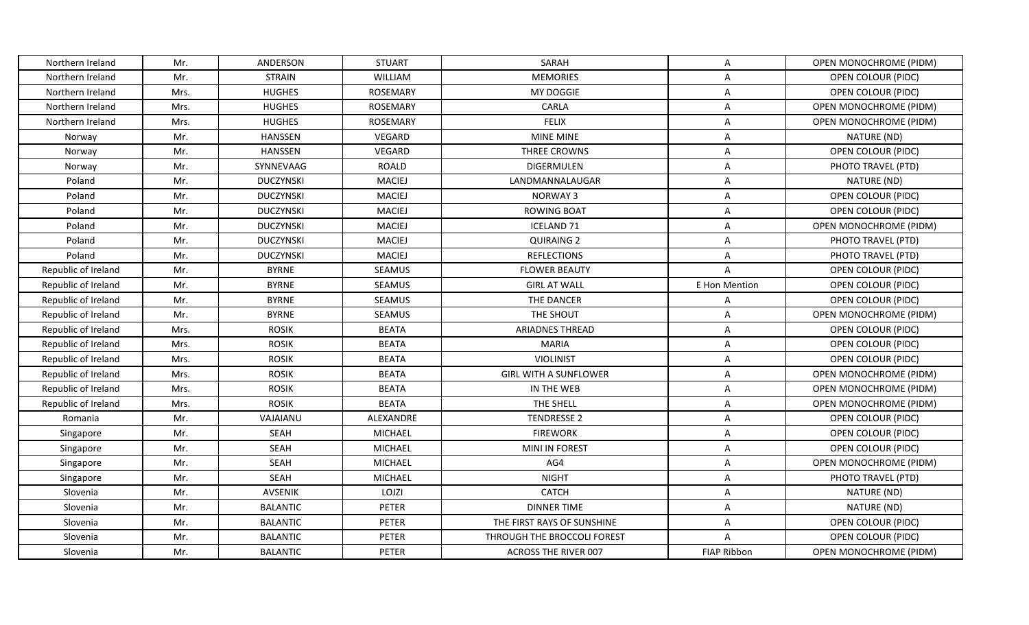| Northern Ireland    | Mr.  | ANDERSON         | <b>STUART</b>   | SARAH                        | A                  | OPEN MONOCHROME (PIDM)    |
|---------------------|------|------------------|-----------------|------------------------------|--------------------|---------------------------|
| Northern Ireland    | Mr.  | <b>STRAIN</b>    | <b>WILLIAM</b>  | <b>MEMORIES</b>              | A                  | OPEN COLOUR (PIDC)        |
| Northern Ireland    | Mrs. | <b>HUGHES</b>    | ROSEMARY        | MY DOGGIE                    | Α                  | OPEN COLOUR (PIDC)        |
| Northern Ireland    | Mrs. | <b>HUGHES</b>    | <b>ROSEMARY</b> | CARLA                        | A                  | OPEN MONOCHROME (PIDM)    |
| Northern Ireland    | Mrs. | <b>HUGHES</b>    | <b>ROSEMARY</b> | <b>FELIX</b>                 | Α                  | OPEN MONOCHROME (PIDM)    |
| Norway              | Mr.  | HANSSEN          | VEGARD          | <b>MINE MINE</b>             | A                  | NATURE (ND)               |
| Norway              | Mr.  | HANSSEN          | VEGARD          | THREE CROWNS                 | A                  | OPEN COLOUR (PIDC)        |
| Norway              | Mr.  | SYNNEVAAG        | <b>ROALD</b>    | <b>DIGERMULEN</b>            | A                  | PHOTO TRAVEL (PTD)        |
| Poland              | Mr.  | <b>DUCZYNSKI</b> | <b>MACIEJ</b>   | LANDMANNALAUGAR              | A                  | NATURE (ND)               |
| Poland              | Mr.  | <b>DUCZYNSKI</b> | <b>MACIEJ</b>   | <b>NORWAY3</b>               | Α                  | OPEN COLOUR (PIDC)        |
| Poland              | Mr.  | <b>DUCZYNSKI</b> | <b>MACIEJ</b>   | <b>ROWING BOAT</b>           | A                  | OPEN COLOUR (PIDC)        |
| Poland              | Mr.  | <b>DUCZYNSKI</b> | <b>MACIEJ</b>   | <b>ICELAND 71</b>            | A                  | OPEN MONOCHROME (PIDM)    |
| Poland              | Mr.  | <b>DUCZYNSKI</b> | <b>MACIEJ</b>   | <b>QUIRAING 2</b>            | A                  | PHOTO TRAVEL (PTD)        |
| Poland              | Mr.  | <b>DUCZYNSKI</b> | <b>MACIEJ</b>   | <b>REFLECTIONS</b>           | A                  | PHOTO TRAVEL (PTD)        |
| Republic of Ireland | Mr.  | <b>BYRNE</b>     | SEAMUS          | <b>FLOWER BEAUTY</b>         | $\overline{A}$     | <b>OPEN COLOUR (PIDC)</b> |
| Republic of Ireland | Mr.  | <b>BYRNE</b>     | <b>SEAMUS</b>   | <b>GIRL AT WALL</b>          | E Hon Mention      | OPEN COLOUR (PIDC)        |
| Republic of Ireland | Mr.  | <b>BYRNE</b>     | SEAMUS          | THE DANCER                   | Α                  | OPEN COLOUR (PIDC)        |
| Republic of Ireland | Mr.  | <b>BYRNE</b>     | SEAMUS          | THE SHOUT                    | $\overline{A}$     | OPEN MONOCHROME (PIDM)    |
| Republic of Ireland | Mrs. | <b>ROSIK</b>     | <b>BEATA</b>    | <b>ARIADNES THREAD</b>       | A                  | OPEN COLOUR (PIDC)        |
| Republic of Ireland | Mrs. | <b>ROSIK</b>     | <b>BEATA</b>    | <b>MARIA</b>                 | Α                  | OPEN COLOUR (PIDC)        |
| Republic of Ireland | Mrs. | <b>ROSIK</b>     | <b>BEATA</b>    | <b>VIOLINIST</b>             | A                  | OPEN COLOUR (PIDC)        |
| Republic of Ireland | Mrs. | <b>ROSIK</b>     | <b>BEATA</b>    | <b>GIRL WITH A SUNFLOWER</b> | Α                  | OPEN MONOCHROME (PIDM)    |
| Republic of Ireland | Mrs. | <b>ROSIK</b>     | <b>BEATA</b>    | IN THE WEB                   | A                  | OPEN MONOCHROME (PIDM)    |
| Republic of Ireland | Mrs. | <b>ROSIK</b>     | <b>BEATA</b>    | THE SHELL                    | A                  | OPEN MONOCHROME (PIDM)    |
| Romania             | Mr.  | VAJAIANU         | ALEXANDRE       | <b>TENDRESSE 2</b>           | A                  | OPEN COLOUR (PIDC)        |
| Singapore           | Mr.  | <b>SEAH</b>      | <b>MICHAEL</b>  | <b>FIREWORK</b>              | Α                  | OPEN COLOUR (PIDC)        |
| Singapore           | Mr.  | <b>SEAH</b>      | MICHAEL         | MINI IN FOREST               | A                  | OPEN COLOUR (PIDC)        |
| Singapore           | Mr.  | <b>SEAH</b>      | MICHAEL         | AG4                          | A                  | OPEN MONOCHROME (PIDM)    |
| Singapore           | Mr.  | <b>SEAH</b>      | MICHAEL         | <b>NIGHT</b>                 | A                  | PHOTO TRAVEL (PTD)        |
| Slovenia            | Mr.  | AVSENIK          | LOJZI           | <b>CATCH</b>                 | A                  | NATURE (ND)               |
| Slovenia            | Mr.  | <b>BALANTIC</b>  | PETER           | <b>DINNER TIME</b>           | A                  | NATURE (ND)               |
| Slovenia            | Mr.  | <b>BALANTIC</b>  | PETER           | THE FIRST RAYS OF SUNSHINE   | Α                  | OPEN COLOUR (PIDC)        |
| Slovenia            | Mr.  | <b>BALANTIC</b>  | PETER           | THROUGH THE BROCCOLI FOREST  | $\overline{A}$     | OPEN COLOUR (PIDC)        |
| Slovenia            | Mr.  | <b>BALANTIC</b>  | PETER           | ACROSS THE RIVER 007         | <b>FIAP Ribbon</b> | OPEN MONOCHROME (PIDM)    |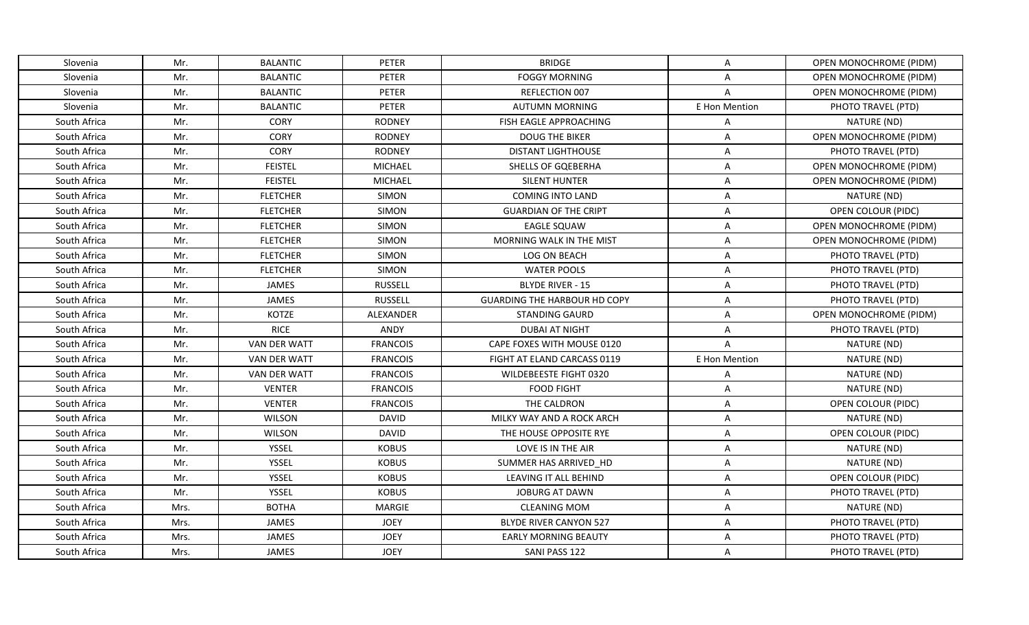| Slovenia     | Mr.  | <b>BALANTIC</b>     | <b>PETER</b>    | <b>BRIDGE</b>                       | A              | OPEN MONOCHROME (PIDM)        |
|--------------|------|---------------------|-----------------|-------------------------------------|----------------|-------------------------------|
| Slovenia     | Mr.  | <b>BALANTIC</b>     | <b>PETER</b>    | <b>FOGGY MORNING</b>                | $\mathsf{A}$   | OPEN MONOCHROME (PIDM)        |
| Slovenia     | Mr.  | <b>BALANTIC</b>     | PETER           | REFLECTION 007                      | $\overline{A}$ | OPEN MONOCHROME (PIDM)        |
| Slovenia     | Mr.  | <b>BALANTIC</b>     | <b>PETER</b>    | <b>AUTUMN MORNING</b>               | E Hon Mention  | PHOTO TRAVEL (PTD)            |
| South Africa | Mr.  | CORY                | <b>RODNEY</b>   | FISH EAGLE APPROACHING              | $\mathsf{A}$   | NATURE (ND)                   |
| South Africa | Mr.  | <b>CORY</b>         | <b>RODNEY</b>   | <b>DOUG THE BIKER</b>               | A              | OPEN MONOCHROME (PIDM)        |
| South Africa | Mr.  | <b>CORY</b>         | <b>RODNEY</b>   | <b>DISTANT LIGHTHOUSE</b>           | $\mathsf{A}$   | PHOTO TRAVEL (PTD)            |
| South Africa | Mr.  | <b>FEISTEL</b>      | <b>MICHAEL</b>  | SHELLS OF GQEBERHA                  | A              | <b>OPEN MONOCHROME (PIDM)</b> |
| South Africa | Mr.  | <b>FEISTEL</b>      | <b>MICHAEL</b>  | <b>SILENT HUNTER</b>                | $\mathsf{A}$   | OPEN MONOCHROME (PIDM)        |
| South Africa | Mr.  | <b>FLETCHER</b>     | <b>SIMON</b>    | <b>COMING INTO LAND</b>             | Α              | NATURE (ND)                   |
| South Africa | Mr.  | <b>FLETCHER</b>     | <b>SIMON</b>    | <b>GUARDIAN OF THE CRIPT</b>        | $\mathsf{A}$   | OPEN COLOUR (PIDC)            |
| South Africa | Mr.  | <b>FLETCHER</b>     | <b>SIMON</b>    | <b>EAGLE SQUAW</b>                  | Α              | OPEN MONOCHROME (PIDM)        |
| South Africa | Mr.  | <b>FLETCHER</b>     | <b>SIMON</b>    | MORNING WALK IN THE MIST            | $\mathsf{A}$   | OPEN MONOCHROME (PIDM)        |
| South Africa | Mr.  | <b>FLETCHER</b>     | <b>SIMON</b>    | LOG ON BEACH                        | Α              | PHOTO TRAVEL (PTD)            |
| South Africa | Mr.  | <b>FLETCHER</b>     | <b>SIMON</b>    | <b>WATER POOLS</b>                  | Α              | PHOTO TRAVEL (PTD)            |
| South Africa | Mr.  | JAMES               | <b>RUSSELL</b>  | <b>BLYDE RIVER - 15</b>             | $\mathsf{A}$   | PHOTO TRAVEL (PTD)            |
| South Africa | Mr.  | <b>JAMES</b>        | <b>RUSSELL</b>  | <b>GUARDING THE HARBOUR HD COPY</b> | $\mathsf{A}$   | PHOTO TRAVEL (PTD)            |
| South Africa | Mr.  | <b>KOTZE</b>        | ALEXANDER       | <b>STANDING GAURD</b>               | $\mathsf{A}$   | OPEN MONOCHROME (PIDM)        |
| South Africa | Mr.  | <b>RICE</b>         | ANDY            | <b>DUBAI AT NIGHT</b>               | A              | PHOTO TRAVEL (PTD)            |
| South Africa | Mr.  | VAN DER WATT        | <b>FRANCOIS</b> | CAPE FOXES WITH MOUSE 0120          | $\mathsf{A}$   | NATURE (ND)                   |
| South Africa | Mr.  | <b>VAN DER WATT</b> | <b>FRANCOIS</b> | FIGHT AT ELAND CARCASS 0119         | E Hon Mention  | NATURE (ND)                   |
| South Africa | Mr.  | <b>VAN DER WATT</b> | <b>FRANCOIS</b> | WILDEBEESTE FIGHT 0320              | Α              | NATURE (ND)                   |
| South Africa | Mr.  | <b>VENTER</b>       | <b>FRANCOIS</b> | <b>FOOD FIGHT</b>                   | $\mathsf{A}$   | NATURE (ND)                   |
| South Africa | Mr.  | <b>VENTER</b>       | <b>FRANCOIS</b> | THE CALDRON                         | A              | OPEN COLOUR (PIDC)            |
| South Africa | Mr.  | <b>WILSON</b>       | <b>DAVID</b>    | MILKY WAY AND A ROCK ARCH           | Α              | NATURE (ND)                   |
| South Africa | Mr.  | <b>WILSON</b>       | <b>DAVID</b>    | THE HOUSE OPPOSITE RYE              | $\mathsf{A}$   | OPEN COLOUR (PIDC)            |
| South Africa | Mr.  | YSSEL               | <b>KOBUS</b>    | LOVE IS IN THE AIR                  | A              | NATURE (ND)                   |
| South Africa | Mr.  | YSSEL               | <b>KOBUS</b>    | SUMMER HAS ARRIVED HD               | $\mathsf{A}$   | NATURE (ND)                   |
| South Africa | Mr.  | YSSEL               | <b>KOBUS</b>    | LEAVING IT ALL BEHIND               | $\mathsf{A}$   | OPEN COLOUR (PIDC)            |
| South Africa | Mr.  | YSSEL               | <b>KOBUS</b>    | <b>JOBURG AT DAWN</b>               | $\mathsf{A}$   | PHOTO TRAVEL (PTD)            |
| South Africa | Mrs. | <b>BOTHA</b>        | <b>MARGIE</b>   | <b>CLEANING MOM</b>                 | $\mathsf{A}$   | NATURE (ND)                   |
| South Africa | Mrs. | JAMES               | <b>JOEY</b>     | <b>BLYDE RIVER CANYON 527</b>       | A              | PHOTO TRAVEL (PTD)            |
| South Africa | Mrs. | JAMES               | <b>JOEY</b>     | <b>EARLY MORNING BEAUTY</b>         | $\mathsf{A}$   | PHOTO TRAVEL (PTD)            |
| South Africa | Mrs. | JAMES               | <b>JOEY</b>     | SANI PASS 122                       | A              | PHOTO TRAVEL (PTD)            |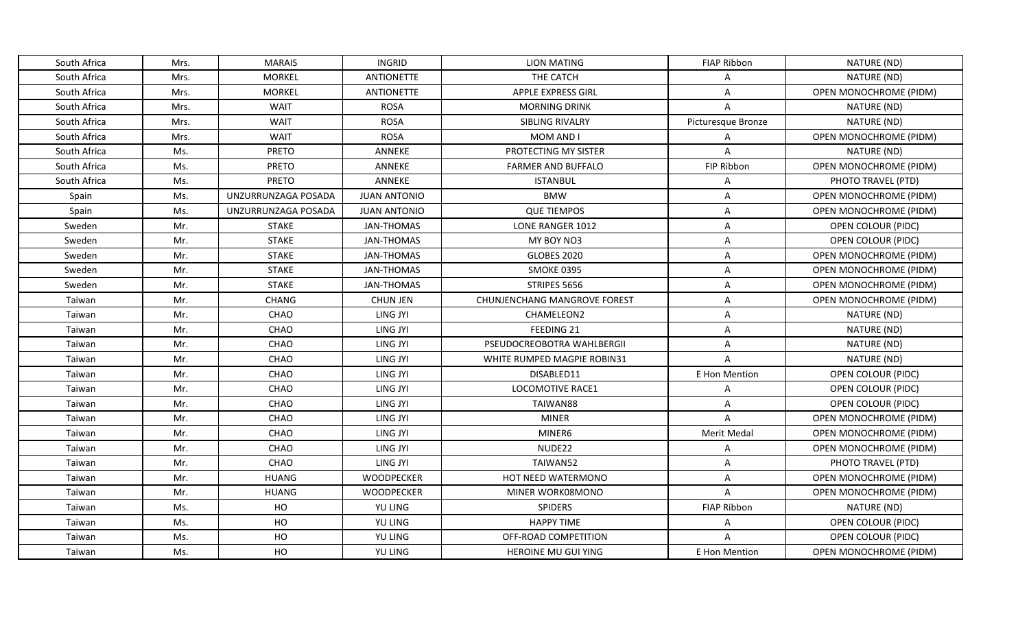| South Africa | Mrs. | <b>MARAIS</b>       | <b>INGRID</b>       | LION MATING                         | <b>FIAP Ribbon</b> | NATURE (ND)                   |
|--------------|------|---------------------|---------------------|-------------------------------------|--------------------|-------------------------------|
| South Africa | Mrs. | <b>MORKEL</b>       | <b>ANTIONETTE</b>   | THE CATCH                           | A                  | NATURE (ND)                   |
| South Africa | Mrs. | <b>MORKEL</b>       | <b>ANTIONETTE</b>   | <b>APPLE EXPRESS GIRL</b>           | $\mathsf{A}$       | OPEN MONOCHROME (PIDM)        |
| South Africa | Mrs. | <b>WAIT</b>         | <b>ROSA</b>         | <b>MORNING DRINK</b>                | $\overline{A}$     | NATURE (ND)                   |
| South Africa | Mrs. | WAIT                | <b>ROSA</b>         | SIBLING RIVALRY                     | Picturesque Bronze | NATURE (ND)                   |
| South Africa | Mrs. | <b>WAIT</b>         | <b>ROSA</b>         | MOM AND I                           | Α                  | OPEN MONOCHROME (PIDM)        |
| South Africa | Ms.  | <b>PRETO</b>        | <b>ANNEKE</b>       | PROTECTING MY SISTER                | A                  | NATURE (ND)                   |
| South Africa | Ms.  | <b>PRETO</b>        | <b>ANNEKE</b>       | <b>FARMER AND BUFFALO</b>           | FIP Ribbon         | OPEN MONOCHROME (PIDM)        |
| South Africa | Ms.  | <b>PRETO</b>        | ANNEKE              | <b>ISTANBUL</b>                     | Α                  | PHOTO TRAVEL (PTD)            |
| Spain        | Ms.  | UNZURRUNZAGA POSADA | <b>JUAN ANTONIO</b> | <b>BMW</b>                          | A                  | OPEN MONOCHROME (PIDM)        |
| Spain        | Ms.  | UNZURRUNZAGA POSADA | <b>JUAN ANTONIO</b> | <b>QUE TIEMPOS</b>                  | A                  | OPEN MONOCHROME (PIDM)        |
| Sweden       | Mr.  | <b>STAKE</b>        | <b>JAN-THOMAS</b>   | LONE RANGER 1012                    | A                  | OPEN COLOUR (PIDC)            |
| Sweden       | Mr.  | <b>STAKE</b>        | <b>JAN-THOMAS</b>   | MY BOY NO3                          | $\overline{A}$     | <b>OPEN COLOUR (PIDC)</b>     |
| Sweden       | Mr.  | <b>STAKE</b>        | <b>JAN-THOMAS</b>   | <b>GLOBES 2020</b>                  | A                  | OPEN MONOCHROME (PIDM)        |
| Sweden       | Mr.  | <b>STAKE</b>        | <b>JAN-THOMAS</b>   | <b>SMOKE 0395</b>                   | A                  | <b>OPEN MONOCHROME (PIDM)</b> |
| Sweden       | Mr.  | <b>STAKE</b>        | <b>JAN-THOMAS</b>   | STRIPES 5656                        | A                  | OPEN MONOCHROME (PIDM)        |
| Taiwan       | Mr.  | <b>CHANG</b>        | <b>CHUN JEN</b>     | <b>CHUNJENCHANG MANGROVE FOREST</b> | A                  | OPEN MONOCHROME (PIDM)        |
| Taiwan       | Mr.  | CHAO                | LING JYI            | CHAMELEON2                          | A                  | NATURE (ND)                   |
| Taiwan       | Mr.  | <b>CHAO</b>         | LING JYI            | <b>FEEDING 21</b>                   | A                  | NATURE (ND)                   |
| Taiwan       | Mr.  | CHAO                | LING JYI            | PSEUDOCREOBOTRA WAHLBERGII          | A                  | NATURE (ND)                   |
| Taiwan       | Mr.  | <b>CHAO</b>         | LING JYI            | WHITE RUMPED MAGPIE ROBIN31         | $\mathsf{A}$       | NATURE (ND)                   |
| Taiwan       | Mr.  | CHAO                | LING JYI            | DISABLED11                          | E Hon Mention      | OPEN COLOUR (PIDC)            |
| Taiwan       | Mr.  | CHAO                | LING JYI            | LOCOMOTIVE RACE1                    | $\mathsf{A}$       | <b>OPEN COLOUR (PIDC)</b>     |
| Taiwan       | Mr.  | CHAO                | LING JYI            | TAIWAN88                            | A                  | OPEN COLOUR (PIDC)            |
| Taiwan       | Mr.  | CHAO                | LING JYI            | <b>MINER</b>                        | A                  | OPEN MONOCHROME (PIDM)        |
| Taiwan       | Mr.  | CHAO                | LING JYI            | MINER6                              | Merit Medal        | OPEN MONOCHROME (PIDM)        |
| Taiwan       | Mr.  | CHAO                | LING JYI            | NUDE22                              | A                  | OPEN MONOCHROME (PIDM)        |
| Taiwan       | Mr.  | CHAO                | LING JYI            | TAIWAN52                            | A                  | PHOTO TRAVEL (PTD)            |
| Taiwan       | Mr.  | <b>HUANG</b>        | <b>WOODPECKER</b>   | <b>HOT NEED WATERMONO</b>           | $\overline{A}$     | OPEN MONOCHROME (PIDM)        |
| Taiwan       | Mr.  | <b>HUANG</b>        | <b>WOODPECKER</b>   | MINER WORK08MONO                    | $\overline{A}$     | OPEN MONOCHROME (PIDM)        |
| Taiwan       | Ms.  | HO                  | <b>YU LING</b>      | <b>SPIDERS</b>                      | <b>FIAP Ribbon</b> | NATURE (ND)                   |
| Taiwan       | Ms.  | HO                  | YU LING             | <b>HAPPY TIME</b>                   | Α                  | OPEN COLOUR (PIDC)            |
| Taiwan       | Ms.  | HO                  | YU LING             | OFF-ROAD COMPETITION                | A                  | <b>OPEN COLOUR (PIDC)</b>     |
| Taiwan       | Ms.  | HO                  | YU LING             | HEROINE MU GUI YING                 | E Hon Mention      | OPEN MONOCHROME (PIDM)        |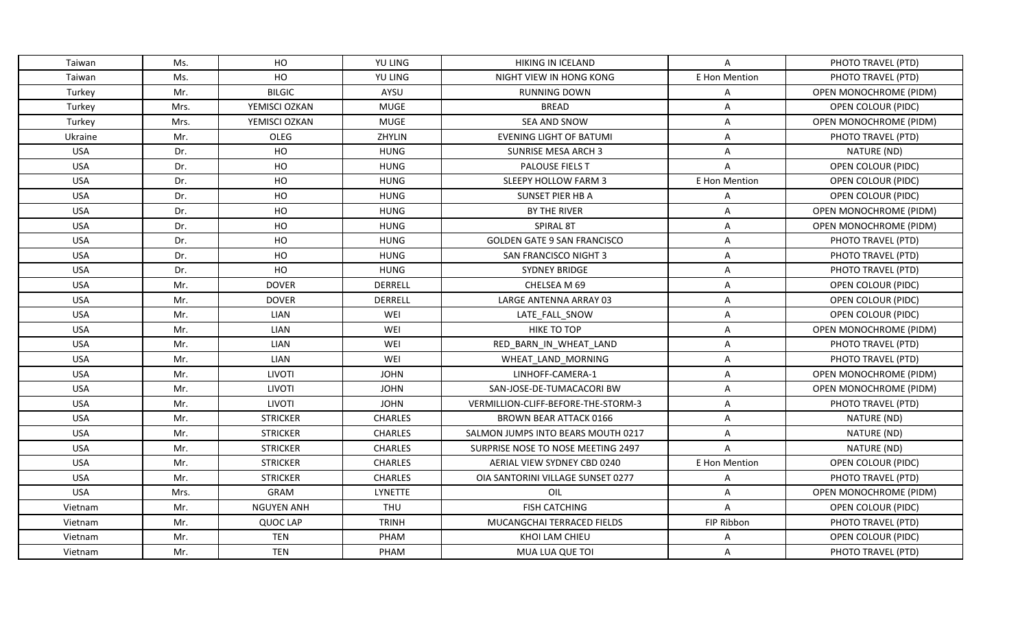| Taiwan     | Ms.  | HO                | YU LING        | <b>HIKING IN ICELAND</b>            | Α              | PHOTO TRAVEL (PTD)        |
|------------|------|-------------------|----------------|-------------------------------------|----------------|---------------------------|
| Taiwan     | Ms.  | HO                | <b>YU LING</b> | NIGHT VIEW IN HONG KONG             | E Hon Mention  | PHOTO TRAVEL (PTD)        |
| Turkey     | Mr.  | <b>BILGIC</b>     | AYSU           | <b>RUNNING DOWN</b>                 | A              | OPEN MONOCHROME (PIDM)    |
| Turkey     | Mrs. | YEMISCI OZKAN     | <b>MUGE</b>    | <b>BREAD</b>                        | A              | OPEN COLOUR (PIDC)        |
| Turkey     | Mrs. | YEMISCI OZKAN     | <b>MUGE</b>    | <b>SEA AND SNOW</b>                 | Α              | OPEN MONOCHROME (PIDM)    |
| Ukraine    | Mr.  | OLEG              | ZHYLIN         | <b>EVENING LIGHT OF BATUMI</b>      | A              | PHOTO TRAVEL (PTD)        |
| <b>USA</b> | Dr.  | HO                | <b>HUNG</b>    | <b>SUNRISE MESA ARCH 3</b>          | A              | NATURE (ND)               |
| <b>USA</b> | Dr.  | HO                | <b>HUNG</b>    | PALOUSE FIELS T                     | $\overline{A}$ | OPEN COLOUR (PIDC)        |
| <b>USA</b> | Dr.  | HO                | <b>HUNG</b>    | SLEEPY HOLLOW FARM 3                | E Hon Mention  | OPEN COLOUR (PIDC)        |
| <b>USA</b> | Dr.  | HO                | <b>HUNG</b>    | SUNSET PIER HB A                    | Α              | OPEN COLOUR (PIDC)        |
| <b>USA</b> | Dr.  | HO                | <b>HUNG</b>    | BY THE RIVER                        | Α              | OPEN MONOCHROME (PIDM)    |
| <b>USA</b> | Dr.  | HO                | <b>HUNG</b>    | SPIRAL 8T                           | A              | OPEN MONOCHROME (PIDM)    |
| <b>USA</b> | Dr.  | HO                | <b>HUNG</b>    | <b>GOLDEN GATE 9 SAN FRANCISCO</b>  | A              | PHOTO TRAVEL (PTD)        |
| <b>USA</b> | Dr.  | HO                | <b>HUNG</b>    | <b>SAN FRANCISCO NIGHT 3</b>        | A              | PHOTO TRAVEL (PTD)        |
| <b>USA</b> | Dr.  | HO                | <b>HUNG</b>    | <b>SYDNEY BRIDGE</b>                | A              | PHOTO TRAVEL (PTD)        |
| <b>USA</b> | Mr.  | <b>DOVER</b>      | <b>DERRELL</b> | CHELSEA M 69                        | A              | OPEN COLOUR (PIDC)        |
| <b>USA</b> | Mr.  | <b>DOVER</b>      | DERRELL        | LARGE ANTENNA ARRAY 03              | A              | <b>OPEN COLOUR (PIDC)</b> |
| <b>USA</b> | Mr.  | <b>LIAN</b>       | WEI            | LATE_FALL_SNOW                      | Α              | <b>OPEN COLOUR (PIDC)</b> |
| <b>USA</b> | Mr.  | <b>LIAN</b>       | WEI            | <b>HIKE TO TOP</b>                  | A              | OPEN MONOCHROME (PIDM)    |
| <b>USA</b> | Mr.  | <b>LIAN</b>       | WEI            | RED_BARN_IN_WHEAT_LAND              | Α              | PHOTO TRAVEL (PTD)        |
| <b>USA</b> | Mr.  | <b>LIAN</b>       | WEI            | WHEAT LAND MORNING                  | Α              | PHOTO TRAVEL (PTD)        |
| <b>USA</b> | Mr.  | LIVOTI            | <b>JOHN</b>    | LINHOFF-CAMERA-1                    | A              | OPEN MONOCHROME (PIDM)    |
| <b>USA</b> | Mr.  | LIVOTI            | <b>JOHN</b>    | SAN-JOSE-DE-TUMACACORI BW           | A              | OPEN MONOCHROME (PIDM)    |
| <b>USA</b> | Mr.  | LIVOTI            | <b>JOHN</b>    | VERMILLION-CLIFF-BEFORE-THE-STORM-3 | Α              | PHOTO TRAVEL (PTD)        |
| <b>USA</b> | Mr.  | <b>STRICKER</b>   | <b>CHARLES</b> | <b>BROWN BEAR ATTACK 0166</b>       | A              | NATURE (ND)               |
| <b>USA</b> | Mr.  | <b>STRICKER</b>   | <b>CHARLES</b> | SALMON JUMPS INTO BEARS MOUTH 0217  | Α              | NATURE (ND)               |
| <b>USA</b> | Mr.  | <b>STRICKER</b>   | <b>CHARLES</b> | SURPRISE NOSE TO NOSE MEETING 2497  | A              | NATURE (ND)               |
| <b>USA</b> | Mr.  | <b>STRICKER</b>   | <b>CHARLES</b> | AERIAL VIEW SYDNEY CBD 0240         | E Hon Mention  | OPEN COLOUR (PIDC)        |
| <b>USA</b> | Mr.  | <b>STRICKER</b>   | <b>CHARLES</b> | OIA SANTORINI VILLAGE SUNSET 0277   | Α              | PHOTO TRAVEL (PTD)        |
| <b>USA</b> | Mrs. | GRAM              | LYNETTE        | OIL                                 | Α              | OPEN MONOCHROME (PIDM)    |
| Vietnam    | Mr.  | <b>NGUYEN ANH</b> | <b>THU</b>     | <b>FISH CATCHING</b>                | $\overline{A}$ | OPEN COLOUR (PIDC)        |
| Vietnam    | Mr.  | <b>QUOC LAP</b>   | <b>TRINH</b>   | MUCANGCHAI TERRACED FIELDS          | FIP Ribbon     | PHOTO TRAVEL (PTD)        |
| Vietnam    | Mr.  | <b>TEN</b>        | PHAM           | KHOI LAM CHIEU                      | A              | <b>OPEN COLOUR (PIDC)</b> |
| Vietnam    | Mr.  | <b>TEN</b>        | PHAM           | MUA LUA QUE TOI                     | A              | PHOTO TRAVEL (PTD)        |